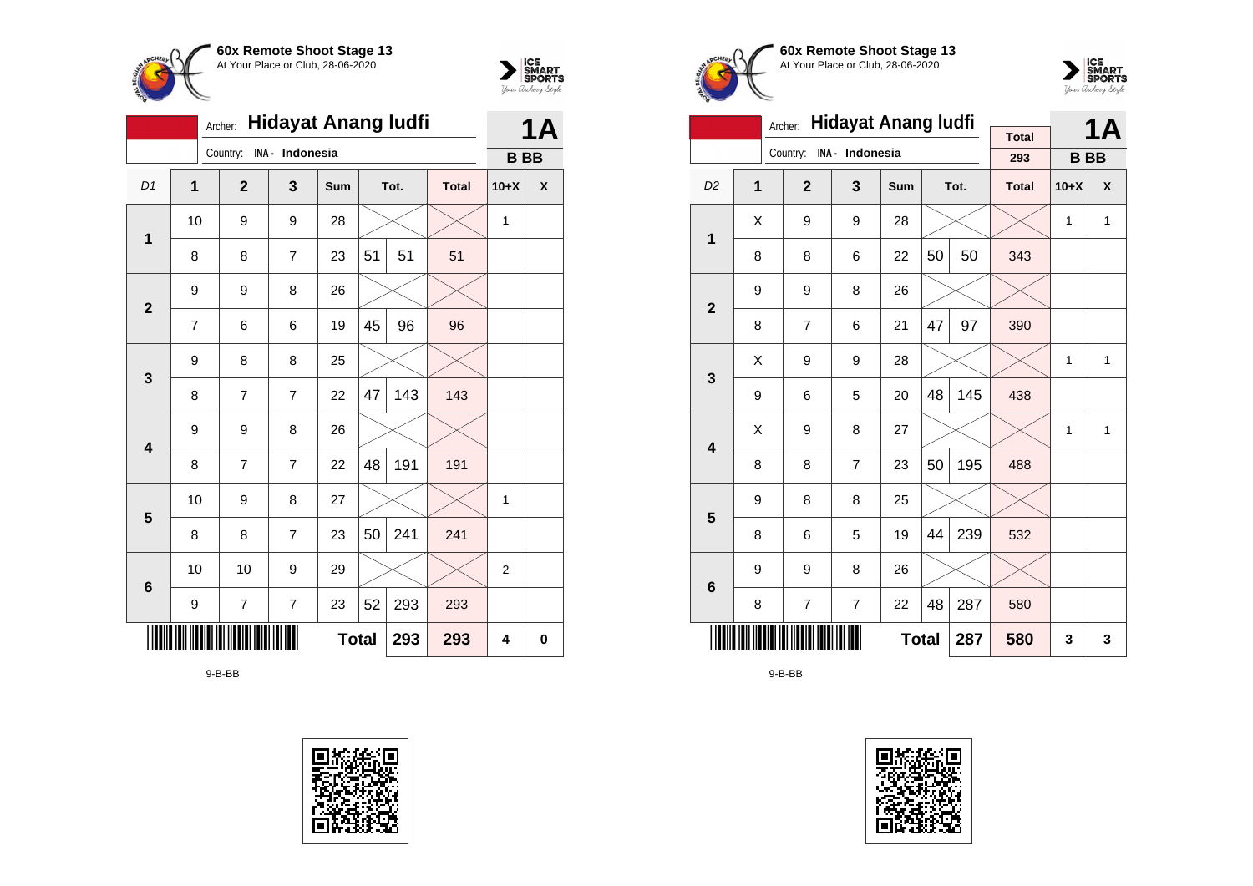



|                |                                                    |              | <b>Hidayat Anang ludfi</b><br>Archer: |                 |              | 1Α |      |              |              |   |
|----------------|----------------------------------------------------|--------------|---------------------------------------|-----------------|--------------|----|------|--------------|--------------|---|
|                |                                                    |              | Country:                              | INA - Indonesia |              |    |      |              | <b>BB</b>    |   |
| D1             | 1                                                  |              | $\mathbf{2}$                          | 3               | Sum          |    | Tot. | <b>Total</b> | $10+X$       | X |
| $\mathbf{1}$   | 10                                                 |              | 9                                     | 9               | 28           |    |      |              | 1            |   |
|                | 8                                                  |              | 8                                     | $\overline{7}$  | 23           | 51 | 51   | 51           |              |   |
| $\mathbf{2}$   | 9                                                  | 9<br>8<br>26 |                                       |                 |              |    |      |              |              |   |
|                | 7                                                  |              | 6                                     | 6               | 19           | 45 | 96   | 96           |              |   |
| $\mathbf{3}$   | 9                                                  |              | 8                                     | 8               | 25           |    |      |              |              |   |
|                | 8                                                  |              | $\overline{7}$                        | 7               | 22           | 47 | 143  | 143          |              |   |
| 4              | 9                                                  |              | 9                                     | 8               | 26           |    |      |              |              |   |
|                | 8                                                  |              | $\overline{7}$                        | $\overline{7}$  | 22           | 48 | 191  | 191          |              |   |
| $5\phantom{1}$ | 10                                                 |              | 9                                     | 8               | 27           |    |      |              | $\mathbf{1}$ |   |
|                | 8                                                  |              | 8                                     | 7               | 23           | 50 | 241  | 241          |              |   |
| $\bf 6$        | 10                                                 |              | 10                                    | 9               | 29           |    |      |              | 2            |   |
|                | 52<br>293<br>$\overline{7}$<br>23<br>293<br>9<br>7 |              |                                       |                 |              |    |      |              |              |   |
|                |                                                    |              |                                       |                 | <b>Total</b> |    | 293  | 293          | 4            | 0 |

9-B-BB





**60x Remote Shoot Stage 13** At Your Place or Club, 28-06-2020



|                         |                                | Archer:        | <b>Hidayat Anang ludfi</b> |              |    | <b>1A</b> |                     |           |              |
|-------------------------|--------------------------------|----------------|----------------------------|--------------|----|-----------|---------------------|-----------|--------------|
|                         |                                | Country:       | INA - Indonesia            |              |    |           | <b>Total</b><br>293 | <b>BB</b> |              |
|                         |                                |                |                            |              |    |           |                     |           |              |
| D <sub>2</sub>          | 1                              | $\overline{2}$ | 3                          | <b>Sum</b>   |    | Tot.      | <b>Total</b>        | $10+X$    | X            |
| 1                       | Χ                              | 9              | 9                          | 28           |    |           |                     | 1         | $\mathbf{1}$ |
|                         | 8                              | 8              | 6                          | 22           | 50 | 50        | 343                 |           |              |
| $\overline{2}$          | 9                              | 9              | 8                          |              |    |           |                     |           |              |
|                         | 8                              | 7              | 6                          | 21           | 47 | 97        | 390                 |           |              |
| 3                       | Χ                              | 9              | 9                          | 28           |    |           |                     | 1         | $\mathbf{1}$ |
|                         | 9                              | 6              | 5                          | 20           | 48 | 145       | 438                 |           |              |
| $\overline{\mathbf{4}}$ | Χ                              | 9              | 8                          | 27           |    |           |                     | 1         | 1            |
|                         | 8                              | 8              | 7                          | 23           | 50 | 195       | 488                 |           |              |
| 5                       | 9                              | 8              | 8                          | 25           |    |           |                     |           |              |
|                         | 8                              | 6              | 5                          | 19           | 44 | 239       | 532                 |           |              |
| $6\phantom{1}6$         | 9                              | 9              | 8                          | 26           |    |           |                     |           |              |
|                         | 48<br>287<br>22<br>8<br>7<br>7 |                |                            |              |    |           |                     |           |              |
|                         |                                |                |                            | <b>Total</b> |    | 287       | 580                 | 3         | 3            |

9-B-BB

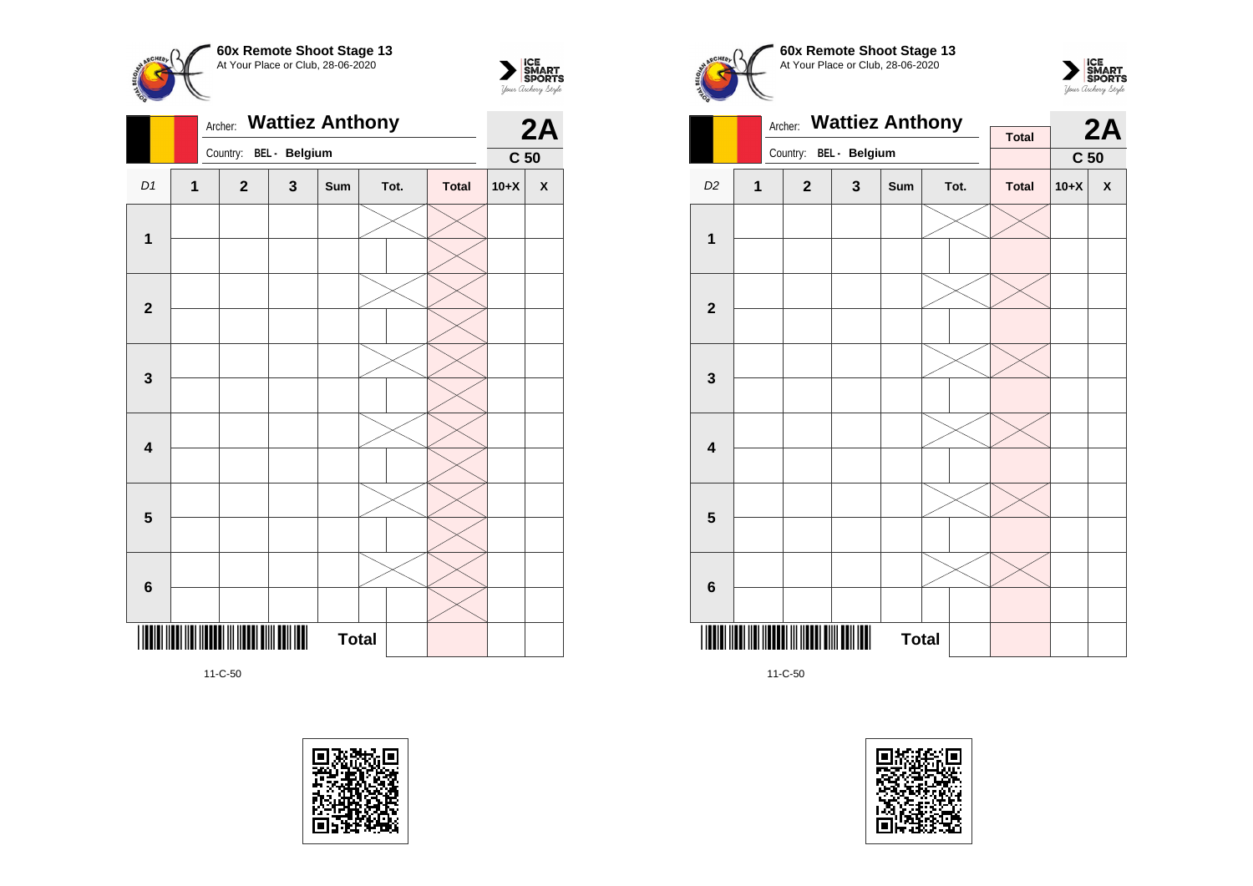



|                         |                | <b>Wattiez Anthony</b><br>Archer: |               |              | 2A   |              |                 |              |
|-------------------------|----------------|-----------------------------------|---------------|--------------|------|--------------|-----------------|--------------|
|                         |                | Country:                          | BEL - Belgium |              |      |              | C <sub>50</sub> |              |
| D1                      | $\overline{1}$ | $\mathbf{2}$                      | $\mathbf{3}$  | Sum          | Tot. | <b>Total</b> | $10+X$          | $\pmb{\chi}$ |
|                         |                |                                   |               |              |      |              |                 |              |
| $\mathbf 1$             |                |                                   |               |              |      |              |                 |              |
|                         |                |                                   |               |              |      |              |                 |              |
| $\mathbf{2}$            |                |                                   |               |              |      |              |                 |              |
|                         |                |                                   |               |              |      |              |                 |              |
| $\mathbf 3$             |                |                                   |               |              |      |              |                 |              |
|                         |                |                                   |               |              |      |              |                 |              |
| $\overline{\mathbf{4}}$ |                |                                   |               |              |      |              |                 |              |
|                         |                |                                   |               |              |      |              |                 |              |
| $5\phantom{1}$          |                |                                   |               |              |      |              |                 |              |
|                         |                |                                   |               |              |      |              |                 |              |
| $\bf 6$                 |                |                                   |               |              |      |              |                 |              |
|                         |                |                                   |               |              |      |              |                 |              |
| III                     |                |                                   |               | <b>Total</b> |      |              |                 |              |









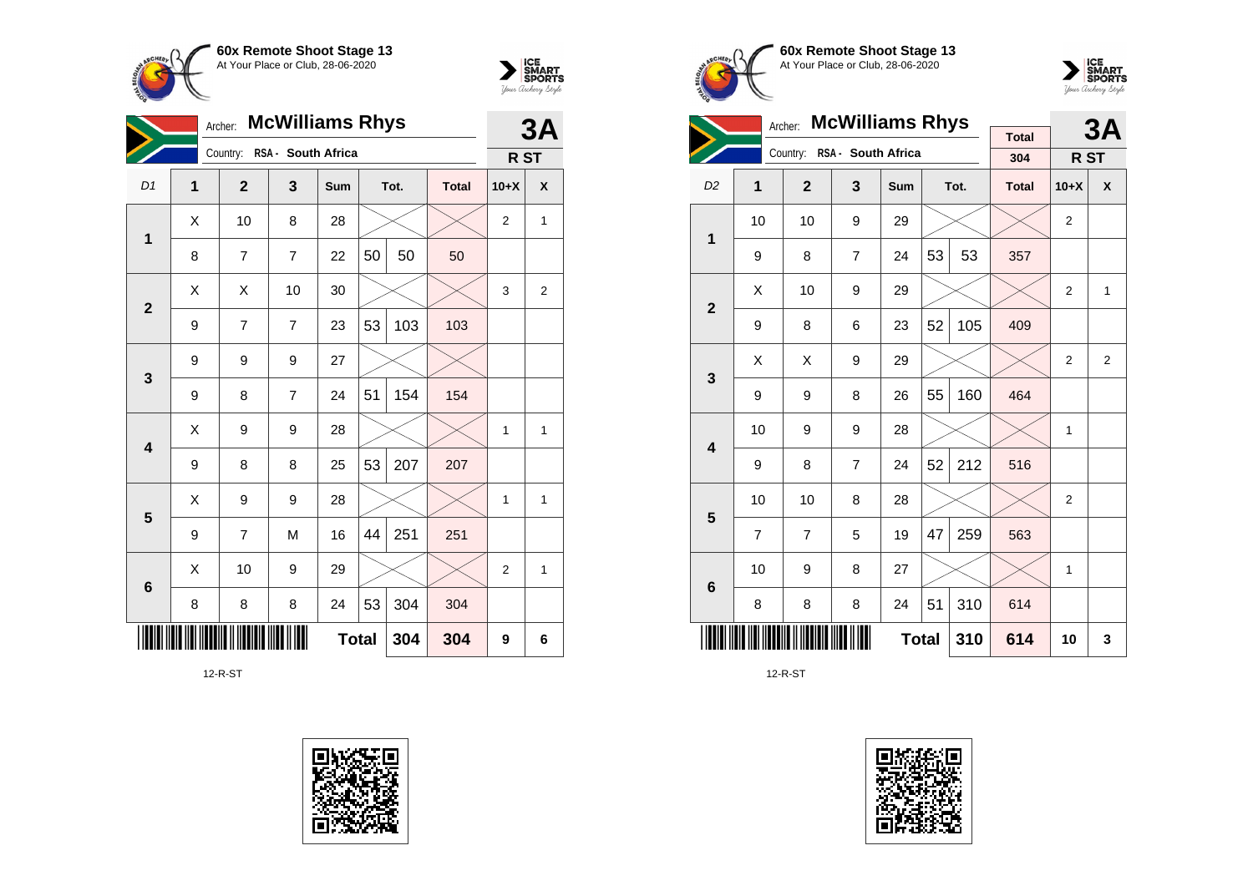



|                         | <b>McWilliams Rhys</b><br>Archer: |                |                    |              |    |      |              | 3A             |                  |
|-------------------------|-----------------------------------|----------------|--------------------|--------------|----|------|--------------|----------------|------------------|
|                         |                                   | Country:       | RSA - South Africa |              |    |      |              | R ST           |                  |
| D1                      | $\overline{1}$                    | $\overline{2}$ | 3                  | Sum          |    | Tot. | <b>Total</b> | $10+X$         | χ                |
| 1                       | X                                 | 10             | 8                  | 28           |    |      |              | $\overline{2}$ | 1                |
|                         | 8                                 | $\overline{7}$ | $\overline{7}$     | 22           | 50 | 50   | 50           |                |                  |
| $\overline{2}$          | Χ                                 | X              | 10                 | 30           |    |      |              | 3              | $\boldsymbol{2}$ |
|                         | 9                                 | 7              | $\overline{7}$     | 23           | 53 | 103  | 103          |                |                  |
| $\mathbf{3}$            | 9                                 | 9              | 9                  | 27           |    |      |              |                |                  |
|                         | 9                                 | 8              | $\overline{7}$     | 24           | 51 | 154  | 154          |                |                  |
| $\overline{\mathbf{4}}$ | X                                 | 9              | 9                  | 28           |    |      |              | 1              | 1                |
|                         | 9                                 | 8              | 8                  | 25           | 53 | 207  | 207          |                |                  |
| 5                       | X                                 | 9              | 9                  | 28           |    |      |              | 1              | 1                |
|                         | 9                                 | 7              | M                  | 16           | 44 | 251  | 251          |                |                  |
| 6                       | X                                 | 10             | 9                  | 29           |    |      |              | $\overline{2}$ | 1                |
|                         | 8                                 | 8              | 8                  | 24           | 53 | 304  | 304          |                |                  |
|                         |                                   |                |                    | <b>Total</b> |    | 304  | 304          | 9              | 6                |

12-R-ST







|                         | <b>McWilliams Rhys</b><br>Archer: |                             |                |              |    |      |                     |                | 3A             |
|-------------------------|-----------------------------------|-----------------------------|----------------|--------------|----|------|---------------------|----------------|----------------|
|                         |                                   | Country: RSA - South Africa |                |              |    |      | <b>Total</b><br>304 |                |                |
|                         |                                   |                             |                |              |    |      |                     | R ST           |                |
| D <sub>2</sub>          | 1                                 | $\overline{2}$              | 3              | Sum          |    | Tot. | <b>Total</b>        | $10+X$         | X              |
| 1                       | 10                                | 10                          | 9              | 29           |    |      |                     | $\overline{2}$ |                |
|                         | 9                                 | 8                           | $\overline{7}$ | 24           | 53 | 53   | 357                 |                |                |
| $\overline{2}$          | X                                 | 10                          | 9              | 29           |    |      |                     | 2              | 1              |
|                         | 9                                 | 8                           | 6              | 23           | 52 | 105  | 409                 |                |                |
| 3                       | X                                 | X                           | 9              | 29           |    |      |                     | $\overline{2}$ | $\overline{2}$ |
|                         | 9                                 | 9                           | 8              | 26           | 55 | 160  | 464                 |                |                |
| $\overline{\mathbf{4}}$ | 10                                | 9                           | 9              | 28           |    |      |                     | $\mathbf{1}$   |                |
|                         | 9                                 | 8                           | $\overline{7}$ | 24           | 52 | 212  | 516                 |                |                |
| 5                       | 10                                | 10                          | 8              | 28           |    |      |                     | 2              |                |
|                         | $\overline{7}$                    | $\overline{7}$              | 5              | 19           | 47 | 259  | 563                 |                |                |
| 6                       | 10                                | 9                           | 8              | 27           |    |      |                     | $\mathbf{1}$   |                |
|                         | 8                                 | 8                           | 8              | 24           | 51 | 310  | 614                 |                |                |
|                         |                                   |                             |                | <b>Total</b> |    | 310  | 614                 | 10             | 3              |

12-R-ST

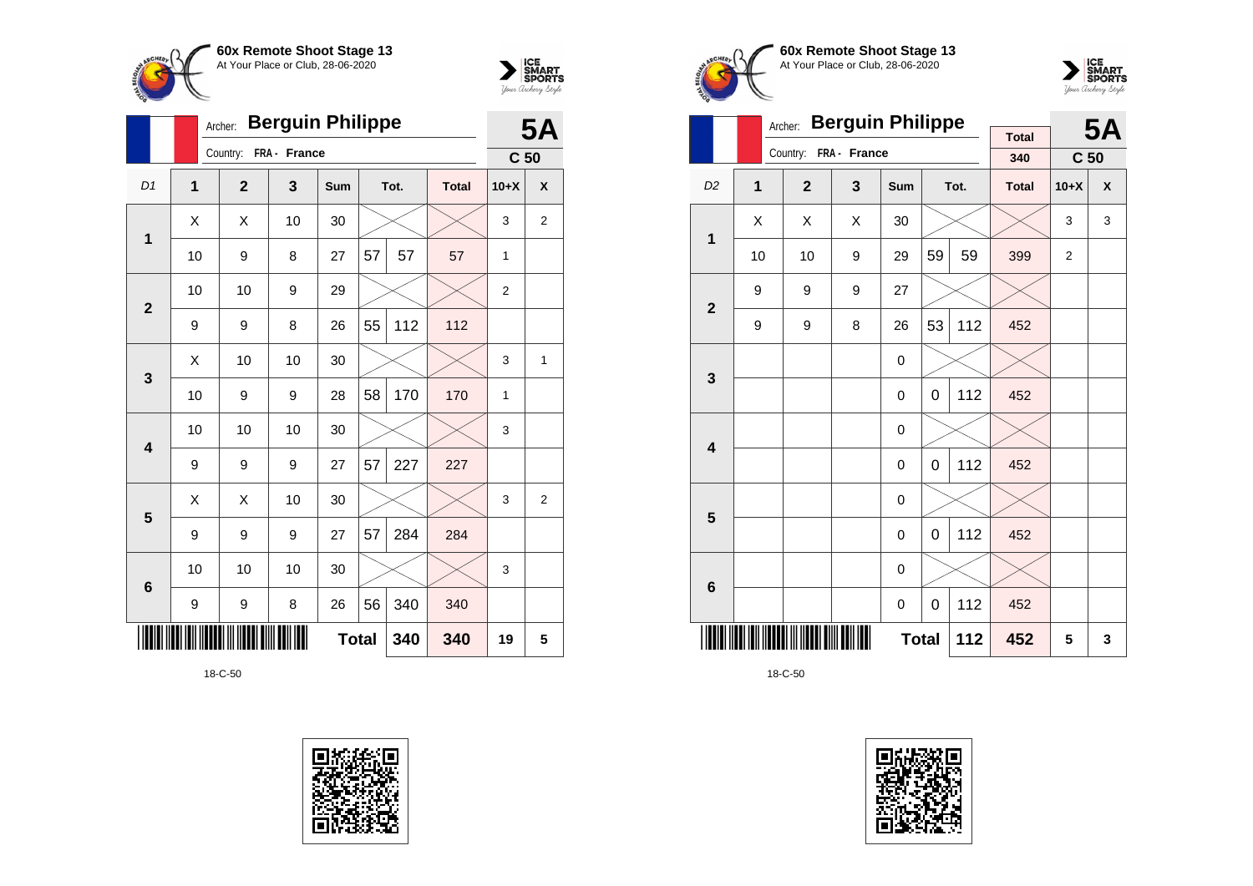



|                         |    | <b>Berguin Philippe</b><br>Archer: |              |              |    |      |              |                 |                |  |  |
|-------------------------|----|------------------------------------|--------------|--------------|----|------|--------------|-----------------|----------------|--|--|
|                         |    | Country:                           | FRA - France |              |    |      |              | C <sub>50</sub> | <b>5A</b>      |  |  |
| D1                      | 1  | $\overline{2}$                     | 3            | Sum          |    | Tot. | <b>Total</b> | $10+X$          | X              |  |  |
| 1                       | Χ  | Χ                                  | 10           | 30           |    |      |              | 3               | 2              |  |  |
|                         | 10 | 9                                  | 8            | 27           | 57 | 57   | 57           | 1               |                |  |  |
| $\overline{2}$          | 10 | 10                                 | 9            | 29           |    |      |              | $\overline{2}$  |                |  |  |
|                         | 9  | 9                                  | 8            | 26           | 55 | 112  | 112          |                 |                |  |  |
| 3                       | X  | 10                                 | 10           | 30           |    |      |              | 3               | 1              |  |  |
|                         | 10 | 9                                  | 9            | 28           | 58 | 170  | 170          | 1               |                |  |  |
| $\overline{\mathbf{4}}$ | 10 | 10                                 | 10           | 30           |    |      |              | 3               |                |  |  |
|                         | 9  | 9                                  | 9            | 27           | 57 | 227  | 227          |                 |                |  |  |
| 5                       | X  | X                                  | 10           | 30           |    |      |              | 3               | $\overline{2}$ |  |  |
|                         | 9  | 9                                  | 9            | 27           | 57 | 284  | 284          |                 |                |  |  |
| $6\phantom{1}6$         | 10 | 10                                 | 10           | 30           |    |      |              | 3               |                |  |  |
|                         | 9  | 9                                  | 8            | 26           | 56 | 340  | 340          |                 |                |  |  |
|                         |    |                                    |              | <b>Total</b> |    | 340  | 340          | 19              | 5              |  |  |







|                         |              | Archer:        | <b>Berguin Philippe</b> |     |     |      | <b>5A</b>           |                 |   |
|-------------------------|--------------|----------------|-------------------------|-----|-----|------|---------------------|-----------------|---|
|                         |              | Country:       | FRA - France            |     |     |      | <b>Total</b><br>340 | C <sub>50</sub> |   |
| D <sub>2</sub>          |              |                |                         |     |     |      |                     |                 | X |
|                         | $\mathbf{1}$ | $\overline{2}$ | 3                       | Sum |     | Tot. | <b>Total</b>        | $10+X$          |   |
| $\mathbf 1$             | X            | X              | X                       | 30  |     |      |                     | 3               | 3 |
|                         | 10           | 10             | 9                       | 29  | 59  | 59   | 399                 | $\overline{2}$  |   |
| $\overline{2}$          | 9            | 9              | 9                       | 27  |     |      |                     |                 |   |
|                         | 9            | 9              | 8                       | 26  | 53  | 112  | 452                 |                 |   |
|                         |              |                |                         | 0   |     |      |                     |                 |   |
| $\mathbf{3}$            |              |                |                         | 0   | 0   | 112  | 452                 |                 |   |
| $\overline{\mathbf{4}}$ |              |                |                         | 0   |     |      |                     |                 |   |
|                         |              |                |                         | 0   | 0   | 112  | 452                 |                 |   |
| 5                       |              |                |                         | 0   |     |      |                     |                 |   |
|                         |              |                |                         | 0   | 0   | 112  | 452                 |                 |   |
| $6\phantom{1}$          |              |                |                         | 0   |     |      |                     |                 |   |
|                         |              |                | 112                     | 452 |     |      |                     |                 |   |
|                         |              |                |                         | 112 | 452 | 5    | 3                   |                 |   |

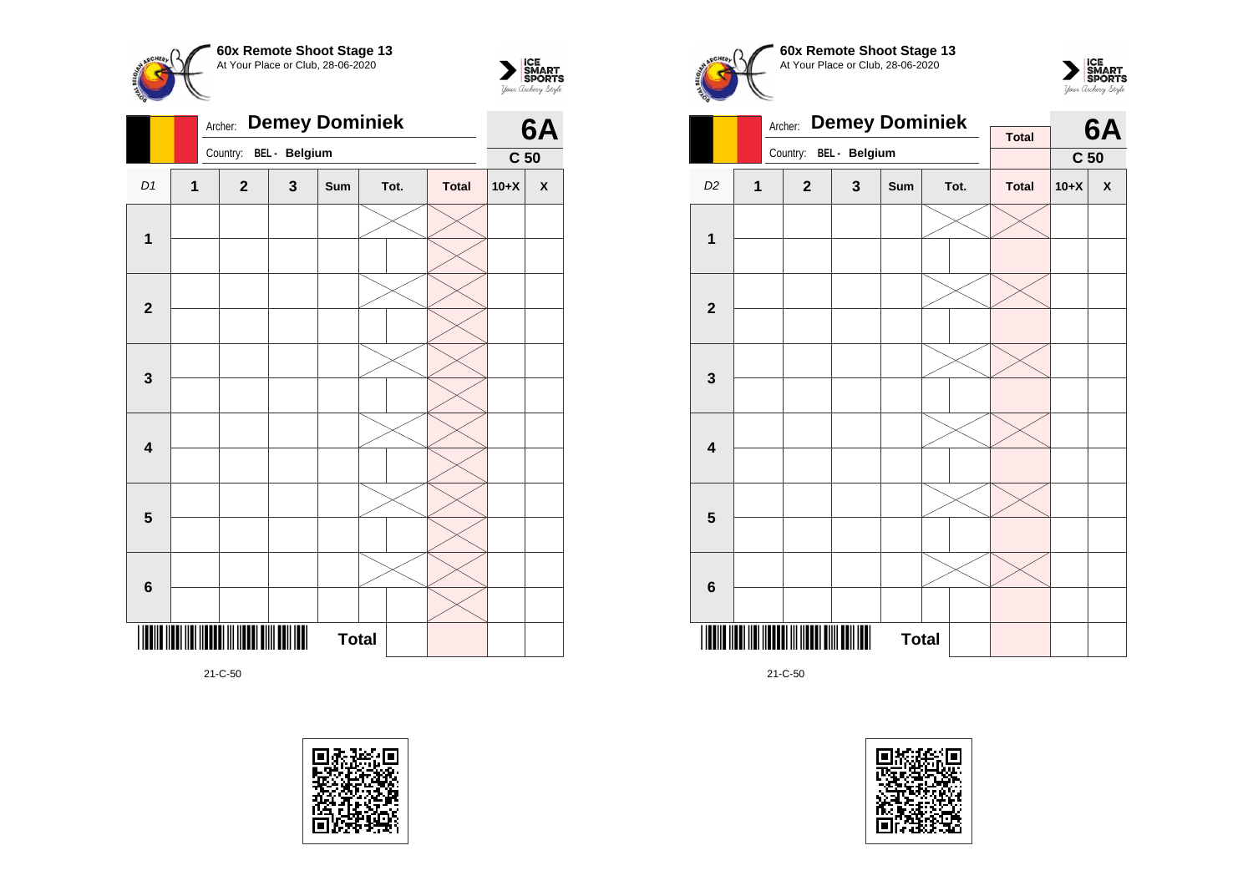



|                         |                | <b>Demey Dominiek</b><br>Archer: |               |     | 6A           |              |                 |                    |
|-------------------------|----------------|----------------------------------|---------------|-----|--------------|--------------|-----------------|--------------------|
|                         |                | Country:                         | BEL - Belgium |     |              |              | C <sub>50</sub> |                    |
| D <sub>1</sub>          | $\overline{1}$ | $\boldsymbol{2}$                 | $\mathbf 3$   | Sum | Tot.         | <b>Total</b> | $10+X$          | $\pmb{\mathsf{X}}$ |
| $\mathbf 1$             |                |                                  |               |     |              |              |                 |                    |
| $\mathbf{2}$            |                |                                  |               |     |              |              |                 |                    |
|                         |                |                                  |               |     |              |              |                 |                    |
| $\mathbf{3}$            |                |                                  |               |     |              |              |                 |                    |
| $\overline{\mathbf{4}}$ |                |                                  |               |     |              |              |                 |                    |
| $5\phantom{1}$          |                |                                  |               |     |              |              |                 |                    |
| $6\phantom{a}$          |                |                                  |               |     |              |              |                 |                    |
| ║                       |                | $\ \ \ \ \ $                     |               |     | <b>Total</b> |              |                 |                    |









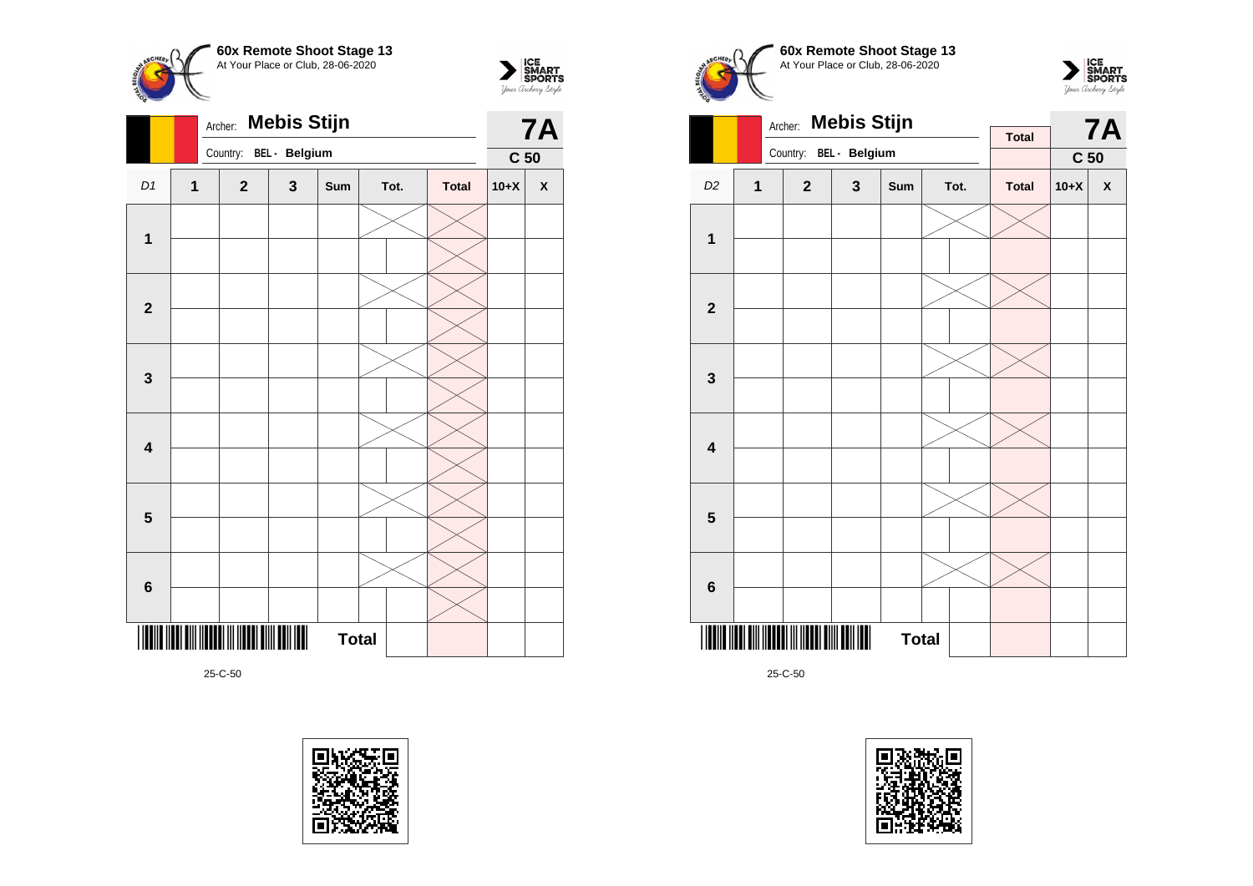



|                         |             | Archer:      | <b>Mebis Stijn</b> |              |      |              |                 | <b>7A</b>          |
|-------------------------|-------------|--------------|--------------------|--------------|------|--------------|-----------------|--------------------|
|                         |             | Country:     | BEL - Belgium      |              |      |              | C <sub>50</sub> |                    |
| D1                      | $\mathbf 1$ | $\mathbf{2}$ | $\mathbf 3$        | Sum          | Tot. | <b>Total</b> | $10+X$          | $\pmb{\mathsf{X}}$ |
|                         |             |              |                    |              |      |              |                 |                    |
| 1                       |             |              |                    |              |      |              |                 |                    |
|                         |             |              |                    |              |      |              |                 |                    |
| $\overline{\mathbf{2}}$ |             |              |                    |              |      |              |                 |                    |
|                         |             |              |                    |              |      |              |                 |                    |
| $\mathbf 3$             |             |              |                    |              |      |              |                 |                    |
|                         |             |              |                    |              |      |              |                 |                    |
| $\overline{\mathbf{4}}$ |             |              |                    |              |      |              |                 |                    |
|                         |             |              |                    |              |      |              |                 |                    |
| $5\phantom{1}$          |             |              |                    |              |      |              |                 |                    |
|                         |             |              |                    |              |      |              |                 |                    |
| $6\phantom{1}$          |             |              |                    |              |      |              |                 |                    |
|                         |             |              |                    | <b>Total</b> |      |              |                 |                    |









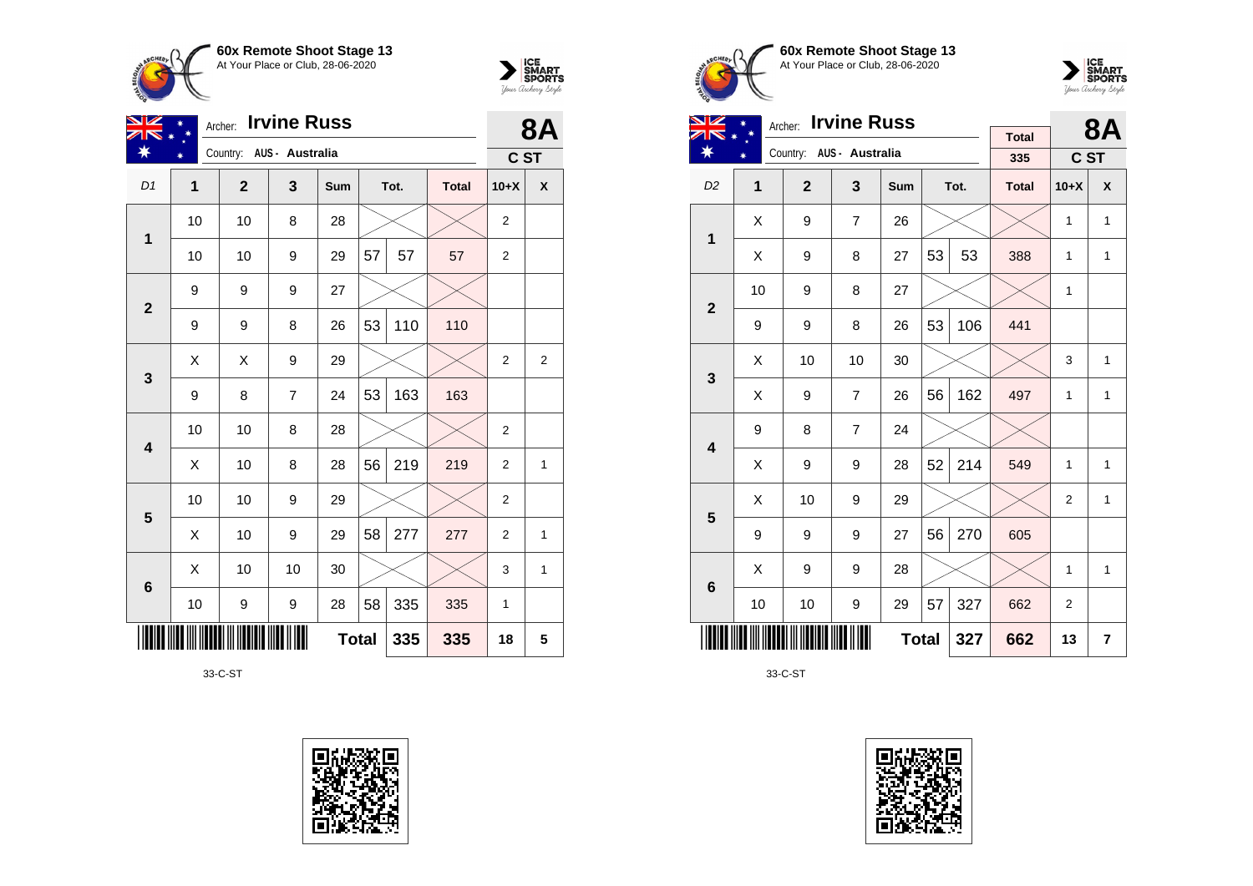



| VZ                      | <b>Irvine Russ</b><br>Archer: |                          |                |              |    |      |              |                | <b>8A</b>    |
|-------------------------|-------------------------------|--------------------------|----------------|--------------|----|------|--------------|----------------|--------------|
| ∗                       | ¥                             | Country: AUS - Australia |                |              |    |      |              | C ST           |              |
| D <sub>1</sub>          | 1                             | $\mathbf{2}$             | 3              | Sum          |    | Tot. | <b>Total</b> | $10+X$         | X            |
| 1                       | 10                            | 10                       | 8              | 28           |    |      |              | $\overline{2}$ |              |
|                         | 10                            | 10                       | 9              | 29           | 57 | 57   | 57           | $\overline{c}$ |              |
| $\overline{2}$          | 9                             | 9                        | 9              | 27           |    |      |              |                |              |
|                         | 9                             | 9                        | 8              | 26           | 53 | 110  | 110          |                |              |
| 3                       | X                             | X                        | 9              | 29           |    |      |              | $\overline{2}$ | 2            |
|                         | 9                             | 8                        | $\overline{7}$ | 24           | 53 | 163  | 163          |                |              |
| $\overline{\mathbf{4}}$ | 10                            | 10                       | 8              | 28           |    |      |              | 2              |              |
|                         | X                             | 10                       | 8              | 28           | 56 | 219  | 219          | $\overline{2}$ | $\mathbf{1}$ |
| 5                       | 10                            | 10                       | 9              | 29           |    |      |              | $\overline{2}$ |              |
|                         | X                             | 10                       | 9              | 29           | 58 | 277  | 277          | $\overline{2}$ | $\mathbf{1}$ |
| $6\phantom{1}6$         | X                             | 10                       | 10             | 30           |    |      |              | 3              | $\mathbf{1}$ |
|                         | 10                            | 9                        | 9              | 28           | 58 | 335  | 335          | 1              |              |
|                         |                               |                          |                | <b>Total</b> |    | 335  | 335          | 18             | 5            |

33-C-ST









| NZ                      | <b>Irvine Russ</b><br>Archer: |                |                          |              |    |      |                     |                | <b>8A</b>        |
|-------------------------|-------------------------------|----------------|--------------------------|--------------|----|------|---------------------|----------------|------------------|
| ¥                       |                               |                | Country: AUS - Australia |              |    |      | <b>Total</b><br>335 | C ST           |                  |
| D <sub>2</sub>          | 1                             | $\overline{2}$ | $\overline{\mathbf{3}}$  | Sum          |    | Tot. | <b>Total</b>        | $10+X$         | $\boldsymbol{x}$ |
|                         |                               |                |                          |              |    |      |                     |                |                  |
| $\mathbf{1}$            | X                             | 9              | $\overline{7}$           | 26           |    |      |                     | $\mathbf{1}$   | $\mathbf{1}$     |
|                         | Χ                             | 9              | 8                        | 27           | 53 | 53   | 388                 | 1              | 1                |
| $\overline{2}$          | 10                            | 9              | 8                        | 27           |    |      |                     | 1              |                  |
|                         | 9                             | 9              | 8                        | 26           | 53 | 106  | 441                 |                |                  |
| 3                       | X                             | 10             | 10                       | 30           |    |      |                     | 3              | $\mathbf{1}$     |
|                         | X                             | 9              | $\overline{7}$           | 26           | 56 | 162  | 497                 | 1              | $\mathbf{1}$     |
| $\overline{\mathbf{4}}$ | 9                             | 8              | $\overline{7}$           | 24           |    |      |                     |                |                  |
|                         | Χ                             | 9              | 9                        | 28           | 52 | 214  | 549                 | 1              | 1                |
| 5                       | X                             | 10             | 9                        | 29           |    |      |                     | $\overline{2}$ | $\mathbf{1}$     |
|                         | 9                             | 9              | 9                        | 27           | 56 | 270  | 605                 |                |                  |
| 6                       | X                             | 9              | 9                        | 28           |    |      |                     | 1              | 1                |
|                         | 10                            | 10             | 9                        | 29           | 57 | 327  | 662                 | 2              |                  |
|                         |                               |                |                          | <b>Total</b> |    | 327  | 662                 | 13             | 7                |

33-C-ST

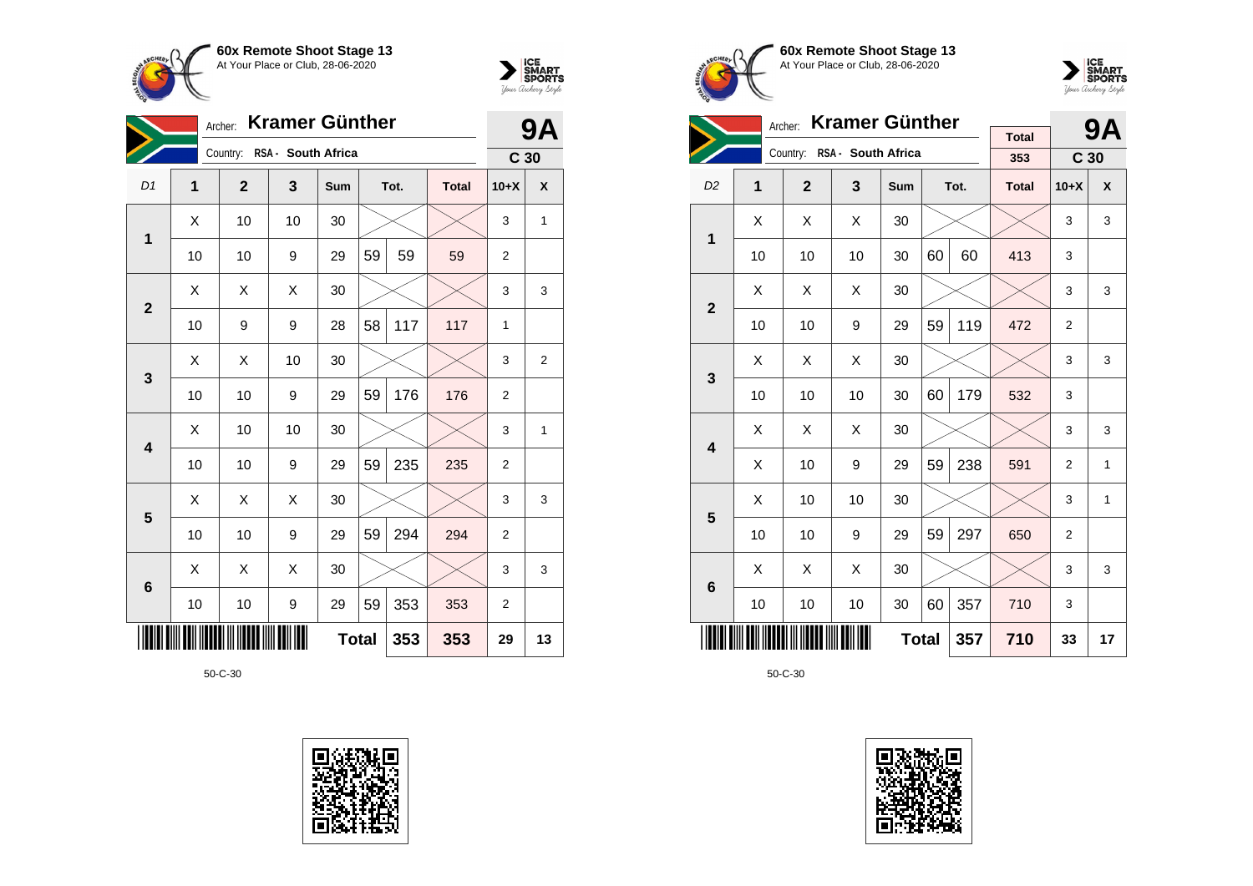



|                 |                | <b>Kramer Günther</b><br>Archer: |    |              |    |      |              |                 |                |  |  |
|-----------------|----------------|----------------------------------|----|--------------|----|------|--------------|-----------------|----------------|--|--|
|                 |                | Country: RSA - South Africa      |    |              |    |      |              | C <sub>30</sub> |                |  |  |
| D1              | $\overline{1}$ | $\mathbf{2}$                     | 3  | Sum          |    | Tot. | <b>Total</b> | $10+X$          | X              |  |  |
| 1               | X              | 10                               | 10 | 30           |    |      |              | 3               | 1              |  |  |
|                 | 10             | 10                               | 9  | 29           | 59 | 59   | 59           | 2               |                |  |  |
| $\mathbf{2}$    | Χ              | Χ                                | Χ  | 30           |    |      |              | 3               | 3              |  |  |
|                 | 10             | 9                                | 9  | 28           | 58 | 117  | 117          | 1               |                |  |  |
| 3               | Χ              | Χ                                | 10 | 30           |    |      |              | 3               | $\overline{2}$ |  |  |
|                 | 10             | 10                               | 9  | 29           | 59 | 176  | 176          | $\overline{2}$  |                |  |  |
| 4               | X              | 10                               | 10 | 30           |    |      |              | 3               | 1              |  |  |
|                 | 10             | 10                               | 9  | 29           | 59 | 235  | 235          | $\overline{2}$  |                |  |  |
| 5               | X              | X                                | X  | 30           |    |      |              | 3               | 3              |  |  |
|                 | 10             | 10                               | 9  | 29           | 59 | 294  | 294          | 2               |                |  |  |
| $6\phantom{1}6$ | X              | X                                | X  | 30           |    |      |              | 3               | 3              |  |  |
|                 | 10             | 10                               | 9  | 29           | 59 | 353  | 353          | $\overline{2}$  |                |  |  |
|                 |                |                                  |    | <b>Total</b> |    | 353  | 353          | 29              | 13             |  |  |









|                         |    | <b>Kramer Günther</b><br>Archer: |                    |     |     | 9Α   |                     |                 |              |
|-------------------------|----|----------------------------------|--------------------|-----|-----|------|---------------------|-----------------|--------------|
|                         |    | Country:                         | RSA - South Africa |     |     |      | <b>Total</b><br>353 | C <sub>30</sub> |              |
| D <sub>2</sub>          | 1  | $\overline{2}$                   | $\mathbf{3}$       | Sum |     | Tot. | <b>Total</b>        | $10+X$          | X            |
| $\mathbf 1$             | X  | Χ                                | X                  | 30  |     |      |                     | 3               | 3            |
|                         | 10 | 10                               | 10                 | 30  | 60  | 60   | 413                 | 3               |              |
| $\overline{2}$          | X  | X                                | X                  | 30  |     |      |                     | 3               | 3            |
|                         | 10 | 10                               | 9                  | 29  | 59  | 119  | 472                 | $\overline{2}$  |              |
| 3                       | Χ  | X                                | X                  | 30  |     |      |                     | 3               | 3            |
|                         | 10 | 10                               | 10                 | 30  | 60  | 179  | 532                 | 3               |              |
| $\overline{\mathbf{4}}$ | X  | X                                | Χ                  | 30  |     |      |                     | 3               | 3            |
|                         | X  | 10                               | 9                  | 29  | 59  | 238  | 591                 | $\overline{2}$  | $\mathbf{1}$ |
| 5                       | Χ  | 10                               | 10                 | 30  |     |      |                     | 3               | 1            |
|                         | 10 | 10                               | 9                  | 29  | 59  | 297  | 650                 | $\overline{2}$  |              |
| 6                       | X  | X                                | X                  | 30  |     |      |                     | 3               | 3            |
|                         | 10 | 10                               | 10                 | 30  | 60  | 357  | 710                 | 3               |              |
|                         |    |                                  | <b>Total</b>       |     | 357 | 710  | 33                  | 17              |              |

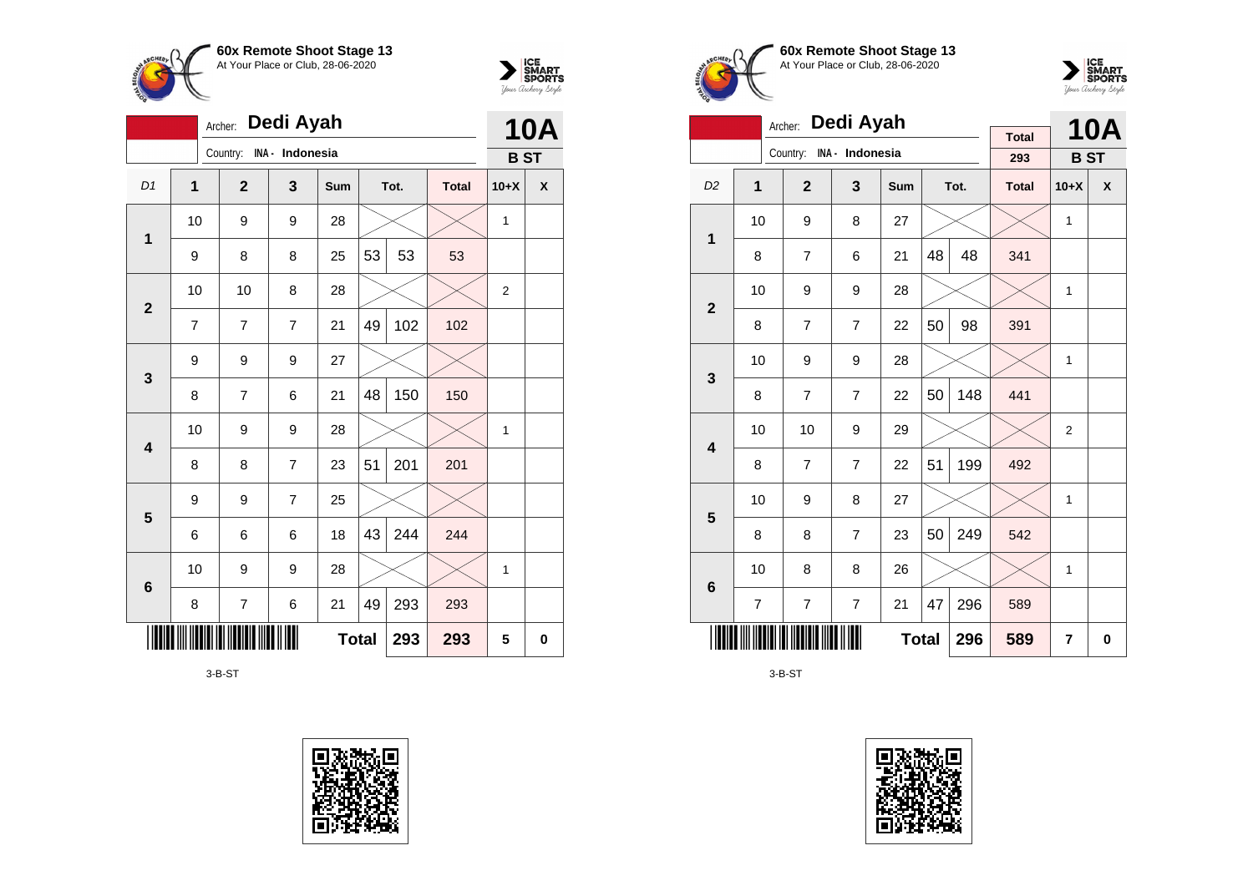



|                         | Dedi Ayah<br>Archer: |                |                 |              |    |      |              |            |            |  |
|-------------------------|----------------------|----------------|-----------------|--------------|----|------|--------------|------------|------------|--|
|                         |                      | Country:       | INA - Indonesia |              |    |      |              | <b>BST</b> | <b>10A</b> |  |
| D <sub>1</sub>          | 1                    | $\overline{2}$ | 3               | Sum          |    | Tot. | <b>Total</b> | $10+X$     | X          |  |
| $\mathbf{1}$            | 10                   | 9              | 9               | 28           |    |      |              | 1          |            |  |
|                         | 9                    | 8              | 8               | 25           | 53 | 53   | 53           |            |            |  |
| $\overline{\mathbf{2}}$ | 10<br>10<br>28<br>8  |                |                 |              |    |      |              |            |            |  |
|                         | $\overline{7}$       | 7              | 7               | 21           | 49 | 102  | 102          |            |            |  |
| 3                       | 9                    | 9              | 9               | 27           |    |      |              |            |            |  |
|                         | 8                    | $\overline{7}$ | 6               | 21           | 48 | 150  | 150          |            |            |  |
| $\overline{\mathbf{4}}$ | 10                   | 9              | 9               | 28           |    |      |              | 1          |            |  |
|                         | 8                    | 8              | 7               | 23           | 51 | 201  | 201          |            |            |  |
| 5                       | 9                    | 9              | $\overline{7}$  | 25           |    |      |              |            |            |  |
|                         | 6                    | 6              | 6               | 18           | 43 | 244  | 244          |            |            |  |
| 6                       | 10                   | 9              | 9               | 28           |    |      |              | 1          |            |  |
|                         | 8                    | $\overline{7}$ | 6               | 21           | 49 | 293  | 293          |            |            |  |
|                         |                      |                |                 | <b>Total</b> |    | 293  | 293          | 5          | 0          |  |

3-B-ST







|                         |                                                          | Dedi Ayah<br>Archer: |                 |              |    | <b>10A</b> |              |                |                    |
|-------------------------|----------------------------------------------------------|----------------------|-----------------|--------------|----|------------|--------------|----------------|--------------------|
|                         |                                                          | Country:             | INA - Indonesia |              |    |            | <b>Total</b> |                |                    |
|                         |                                                          |                      |                 |              |    |            | 293          | <b>BST</b>     |                    |
| D <sub>2</sub>          | 1                                                        | $\overline{2}$       | 3               | Sum          |    | Tot.       | <b>Total</b> | $10+X$         | $\pmb{\mathsf{X}}$ |
| 1                       | 10                                                       | 9                    | 8               | 27           |    |            |              | 1              |                    |
|                         | 8                                                        | $\overline{7}$       | 6               | 21           | 48 | 48         | 341          |                |                    |
| $\overline{2}$          | 10                                                       | 9                    | 9               | 28           |    |            |              | 1              |                    |
|                         | 8                                                        | $\overline{7}$       | $\overline{7}$  | 22           | 50 | 98         | 391          |                |                    |
| 3                       | 10                                                       | 9                    | 9               | 28           |    |            |              | $\mathbf{1}$   |                    |
|                         | 8                                                        | $\overline{7}$       | $\overline{7}$  | 22           | 50 | 148        | 441          |                |                    |
| $\overline{\mathbf{4}}$ | 10                                                       | 10                   | 9               | 29           |    |            |              | $\overline{2}$ |                    |
|                         | 8                                                        | $\overline{7}$       | $\overline{7}$  | 22           | 51 | 199        | 492          |                |                    |
| 5                       | 10                                                       | 9                    | 8               | 27           |    |            |              | 1              |                    |
|                         | 8                                                        | 8                    | $\overline{7}$  | 23           | 50 | 249        | 542          |                |                    |
| $6\phantom{1}$          | 10                                                       | 8                    | 8               | 26           |    |            |              | $\mathbf{1}$   |                    |
|                         | $\overline{\mathbf{7}}$<br>$\overline{\mathcal{I}}$<br>7 |                      |                 |              | 47 | 296        | 589          |                |                    |
|                         |                                                          |                      |                 | <b>Total</b> |    | 296        | 589          | $\overline{7}$ | 0                  |

3-B-ST

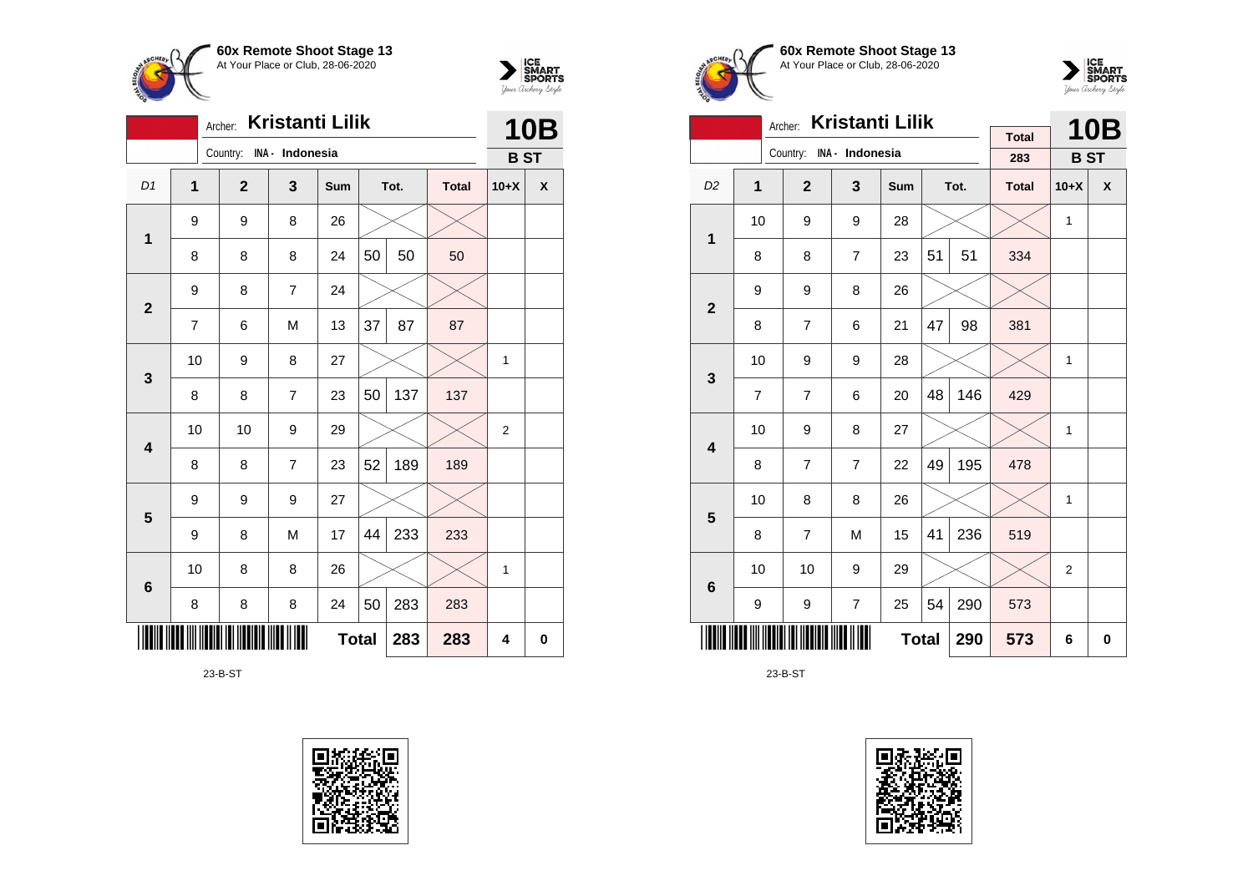



|                |              | Archer:                  | <b>Kristanti Lilik</b> |              |    |      |              | <b>10B</b>     |   |
|----------------|--------------|--------------------------|------------------------|--------------|----|------|--------------|----------------|---|
|                |              | Country: INA - Indonesia |                        |              |    |      |              | <b>BST</b>     |   |
| D <sub>1</sub> | $\mathbf{1}$ | $\overline{2}$           | 3                      | Sum          |    | Tot. | <b>Total</b> | $10+X$         | X |
| $\mathbf 1$    | 9            | 9                        | 8                      | 26           |    |      |              |                |   |
|                | 8            | 8                        | 8                      | 24           | 50 | 50   | 50           |                |   |
| $\overline{2}$ | 9            | 8                        | $\overline{7}$         | 24           |    |      |              |                |   |
|                | 7            | 6                        | M                      | 13           | 37 | 87   | 87           |                |   |
| 3              | 10           | 9                        | 8                      | 27           |    |      |              | 1              |   |
|                | 8            | 8                        | $\overline{7}$         | 23           | 50 | 137  | 137          |                |   |
| 4              | 10           | 10                       | 9                      | 29           |    |      |              | $\overline{2}$ |   |
|                | 8            | 8                        | $\overline{7}$         | 23           | 52 | 189  | 189          |                |   |
| 5              | 9            | 9                        | 9                      | 27           |    |      |              |                |   |
|                | 9            | 8                        | M                      | 17           | 44 | 233  | 233          |                |   |
| 6              | 10           | 8                        | 8                      | 26           |    |      |              | 1              |   |
|                | 8            | 8                        | 8                      | 24           | 50 | 283  | 283          |                |   |
|                |              |                          |                        | <b>Total</b> |    | 283  | 283          | 4              | 0 |

23-B-ST







|                         |    | <b>Kristanti Lilik</b><br>Archer: |                |              |    | <b>10B</b> |                     |                |   |
|-------------------------|----|-----------------------------------|----------------|--------------|----|------------|---------------------|----------------|---|
|                         |    | Country: INA - Indonesia          |                |              |    |            | <b>Total</b><br>283 | <b>BST</b>     |   |
|                         |    |                                   |                |              |    |            |                     |                |   |
| D <sub>2</sub>          | 1  | $\overline{2}$                    | $\mathbf{3}$   | Sum          |    | Tot.       | <b>Total</b>        | $10+X$         | X |
| 1                       | 10 | 9                                 | 9              | 28           |    |            |                     | $\mathbf{1}$   |   |
|                         | 8  | 8                                 | $\overline{7}$ | 23           | 51 | 51         | 334                 |                |   |
| $\overline{2}$          | 9  | 9                                 | 8              | 26           |    |            |                     |                |   |
|                         | 8  | 7                                 | 6              | 21           | 47 | 98         | 381                 |                |   |
| 3                       | 10 | 9                                 | 9              | 28           |    |            |                     | $\mathbf{1}$   |   |
|                         | 7  | 7                                 | 6              | 20           | 48 | 146        | 429                 |                |   |
| $\overline{\mathbf{4}}$ | 10 | 9                                 | 8              | 27           |    |            |                     | 1              |   |
|                         | 8  | 7                                 | $\overline{7}$ | 22           | 49 | 195        | 478                 |                |   |
| 5                       | 10 | 8                                 | 8              | 26           |    |            |                     | 1              |   |
|                         | 8  | 7                                 | M              | 15           | 41 | 236        | 519                 |                |   |
| $6\phantom{1}6$         | 10 | 10                                | 9              | 29           |    |            |                     | $\overline{2}$ |   |
|                         | 9  | 9                                 | $\overline{7}$ | 25           | 54 | 290        | 573                 |                |   |
|                         |    |                                   |                | <b>Total</b> |    | 290        | 573                 | 6              | 0 |

23-B-ST

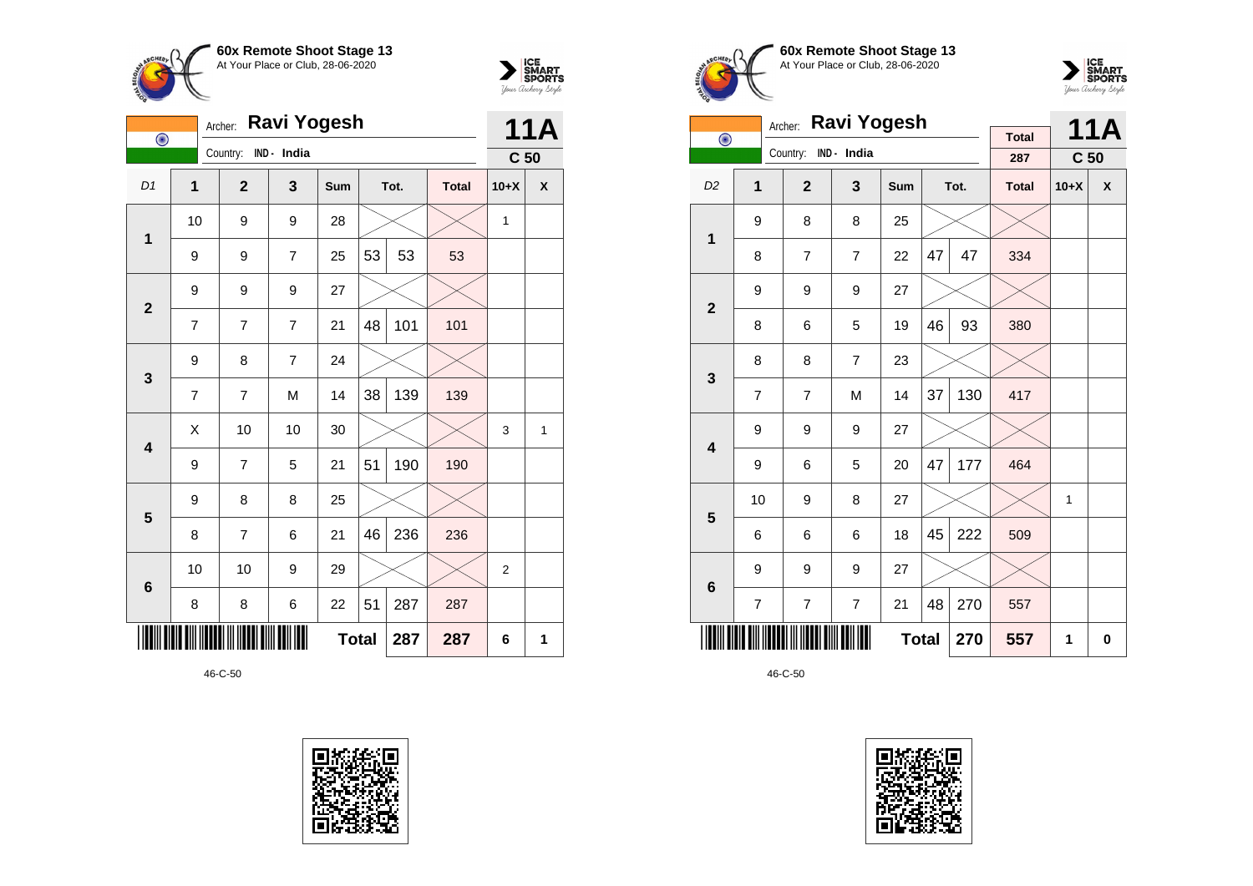



| $\overline{\odot}$      |                | Ravi Yogesh<br>Archer: |                |              | <b>11A</b> |      |              |                 |   |
|-------------------------|----------------|------------------------|----------------|--------------|------------|------|--------------|-----------------|---|
|                         |                | Country:               | IND - India    |              |            |      |              | C <sub>50</sub> |   |
| D1                      | $\mathbf{1}$   | $\mathbf{2}$           | 3              | Sum          |            | Tot. | <b>Total</b> | $10+X$          | X |
| 1                       | 10             | 9                      | 9              | 28           |            |      |              | 1               |   |
|                         | 9              | 9                      | $\overline{7}$ | 25           | 53         | 53   | 53           |                 |   |
| $\overline{2}$          | 9              | 9                      | 9              | 27           |            |      |              |                 |   |
|                         | $\overline{7}$ | 7                      | 7              | 21           | 48         | 101  | 101          |                 |   |
| $\mathbf{3}$            | 9              | 8                      | $\overline{7}$ | 24           |            |      |              |                 |   |
|                         | $\overline{7}$ | 7                      | M              | 14           | 38         | 139  | 139          |                 |   |
| $\overline{\mathbf{4}}$ | Χ              | 10                     | 10             | 30           |            |      |              | 3               | 1 |
|                         | 9              | 7                      | 5              | 21           | 51         | 190  | 190          |                 |   |
| 5                       | 9              | 8                      | 8              | 25           |            |      |              |                 |   |
|                         | 8              | 7                      | 6              | 21           | 46         | 236  | 236          |                 |   |
| $\bf 6$                 | 10             | 10                     | 9              | 29           |            |      |              | $\overline{2}$  |   |
|                         | 8              | 8                      | 6              | 22           | 51         | 287  | 287          |                 |   |
|                         |                |                        |                | <b>Total</b> |            | 287  | 287          | 6               | 1 |







|                         | Archer:        |                |                |     | <b>11A</b>   |      |              |                 |   |
|-------------------------|----------------|----------------|----------------|-----|--------------|------|--------------|-----------------|---|
| $\bigodot$              |                | Country:       | IND - India    |     |              |      | <b>Total</b> |                 |   |
|                         |                |                |                |     |              |      | 287          | C <sub>50</sub> |   |
| D <sub>2</sub>          | 1              | $\overline{2}$ | 3              | Sum |              | Tot. | <b>Total</b> | $10+X$          | X |
| $\mathbf 1$             | 9              | 8              | 8              | 25  |              |      |              |                 |   |
|                         | 8              | $\overline{7}$ | $\overline{7}$ | 22  | 47           | 47   | 334          |                 |   |
| $\overline{\mathbf{2}}$ | 9              | 9              | 9              | 27  |              |      |              |                 |   |
|                         | 8              | 6              | 5              | 19  | 46           | 93   | 380          |                 |   |
| 3                       | 8              | 8              | $\overline{7}$ | 23  |              |      |              |                 |   |
|                         | $\overline{7}$ | $\overline{7}$ | M              | 14  | 37           | 130  | 417          |                 |   |
| $\overline{\mathbf{4}}$ | 9              | 9              | 9              | 27  |              |      |              |                 |   |
|                         | 9              | 6              | 5              | 20  | 47           | 177  | 464          |                 |   |
| 5                       | 10             | 9              | 8              | 27  |              |      |              | 1               |   |
|                         | 6              | 6              | 6              | 18  | 45           | 222  | 509          |                 |   |
| $\bf 6$                 | 9              | 9              | 9              | 27  |              |      |              |                 |   |
|                         | 7              | $\overline{7}$ | $\overline{7}$ | 21  | 48           | 270  | 557          |                 |   |
|                         |                |                |                |     | <b>Total</b> | 270  | 557          | 1               | 0 |

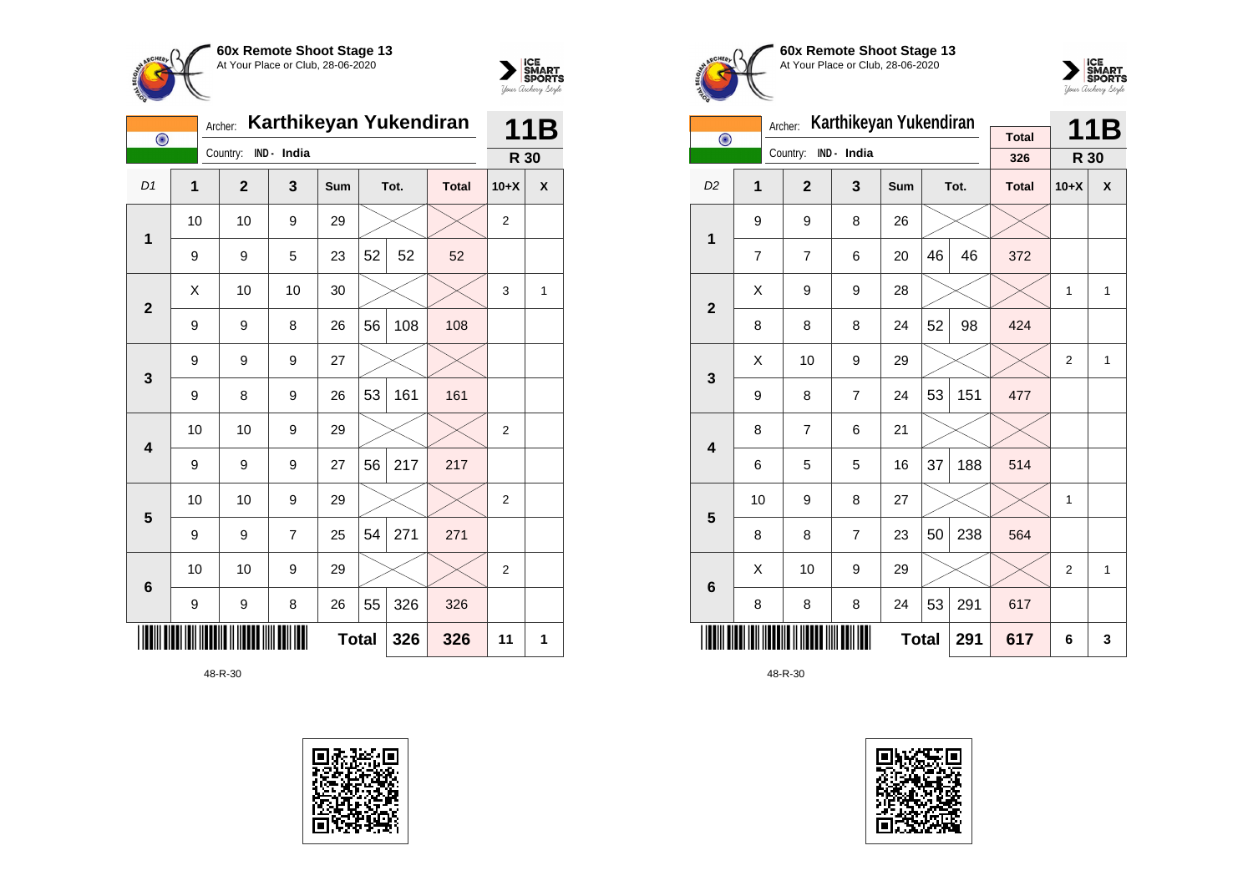



| $\overline{\odot}$ |                | Archer:      | Karthikeyan Yukendiran |     | 11B          |      |              |                |   |
|--------------------|----------------|--------------|------------------------|-----|--------------|------|--------------|----------------|---|
|                    |                | Country:     | IND - India            |     |              |      |              | R 30           |   |
| D1                 | $\overline{1}$ | $\mathbf{2}$ | 3                      | Sum |              | Tot. | <b>Total</b> | $10+X$         | χ |
| $\mathbf 1$        | 10             | 10           | 9                      | 29  |              |      |              | $\overline{2}$ |   |
|                    | 9              | 9            | 5                      | 23  | 52           | 52   | 52           |                |   |
| $\overline{2}$     | X              | 10           | 10                     | 30  |              |      |              | 3              | 1 |
|                    | 9              | 9            | 8                      | 26  | 56           | 108  | 108          |                |   |
| 3                  | 9              | 9            | 9                      | 27  |              |      |              |                |   |
|                    | 9              | 8            | 9                      | 26  | 53           | 161  | 161          |                |   |
| 4                  | 10             | 10           | 9                      | 29  |              |      |              | $\overline{2}$ |   |
|                    | 9              | 9            | 9                      | 27  | 56           | 217  | 217          |                |   |
| 5                  | 10             | 10           | 9                      | 29  |              |      |              | $\overline{2}$ |   |
|                    | 9              | 9            | 7                      | 25  | 54           | 271  | 271          |                |   |
| $6\phantom{1}6$    | 10             | 10           | 9                      | 29  |              |      |              | $\overline{2}$ |   |
|                    | 9              | 9            | 8                      | 26  | 55           | 326  | 326          |                |   |
|                    |                |              |                        |     | <b>Total</b> | 326  | 326          | 11             | 1 |









|                         |    | Archer:        | Karthikeyan Yukendiran |     |    | 11B  |              |                |              |
|-------------------------|----|----------------|------------------------|-----|----|------|--------------|----------------|--------------|
| $\bigodot$              |    | Country:       | IND - India            |     |    |      | <b>Total</b> |                |              |
|                         |    |                |                        |     |    |      | 326          | R 30           |              |
| D <sub>2</sub>          | 1  | $\overline{2}$ | 3                      | Sum |    | Tot. | <b>Total</b> | $10+X$         | X            |
| 1                       | 9  | 9              | 8                      | 26  |    |      |              |                |              |
|                         | 7  | 7              | 6                      | 20  | 46 | 46   | 372          |                |              |
| $\overline{2}$          | X  | 9              | 9                      | 28  |    |      |              | $\mathbf{1}$   | $\mathbf{1}$ |
|                         | 8  | 8              | 8                      | 24  | 52 | 98   | 424          |                |              |
| 3                       | X  | 10             | 9                      | 29  |    |      |              | $\overline{2}$ | 1            |
|                         | 9  | 8              | $\overline{7}$         | 24  | 53 | 151  | 477          |                |              |
| $\overline{\mathbf{4}}$ | 8  | $\overline{7}$ | 6                      | 21  |    |      |              |                |              |
|                         | 6  | 5              | 5                      | 16  | 37 | 188  | 514          |                |              |
| 5                       | 10 | 9              | 8                      | 27  |    |      |              | 1              |              |
|                         | 8  | 8              | $\overline{7}$         | 23  | 50 | 238  | 564          |                |              |
| 6                       | Χ  | 10             | 9                      | 29  |    |      |              | $\overline{2}$ | $\mathbf{1}$ |
|                         | 8  | 8              | 8                      | 24  | 53 | 291  | 617          |                |              |
|                         |    | 617            | 6                      | 3   |    |      |              |                |              |

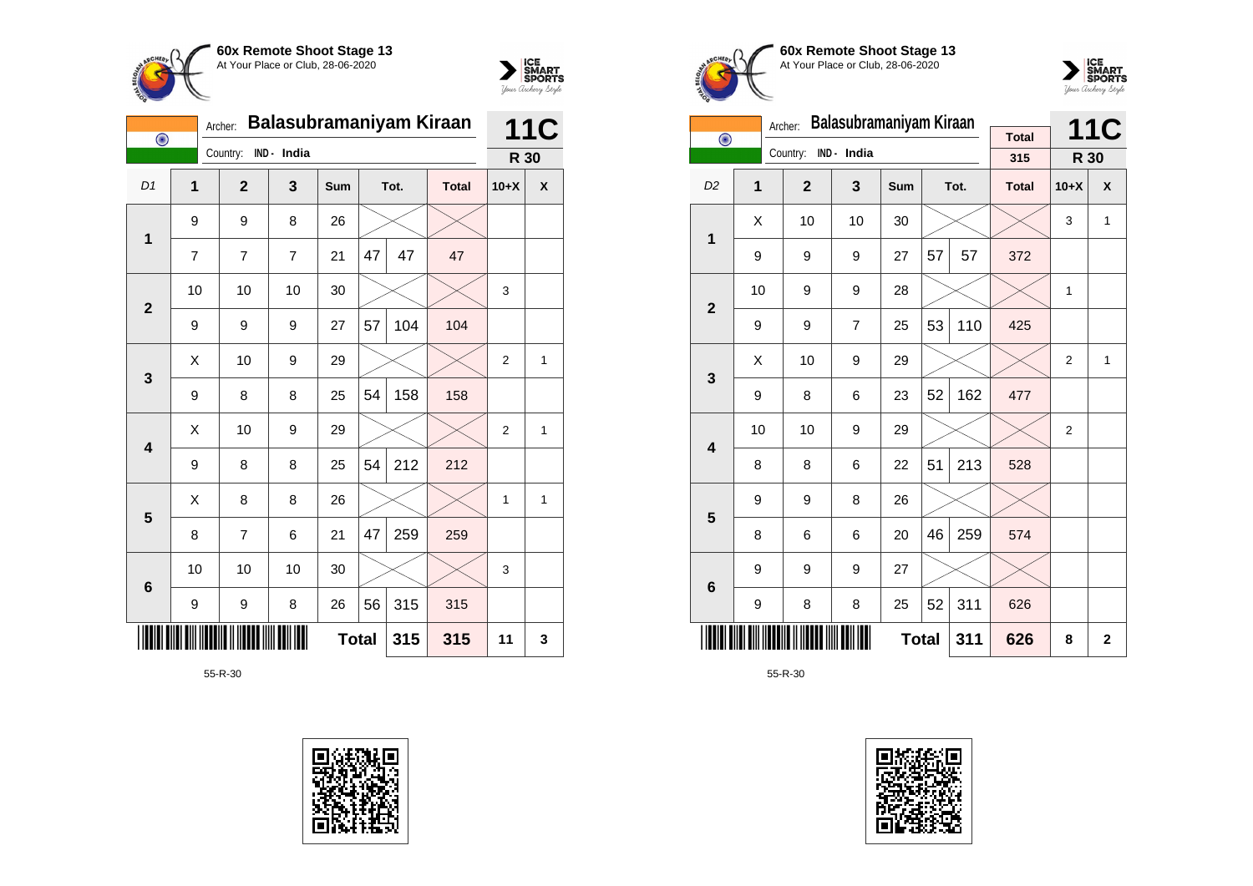



| $\bigodot$              | Archer:        | Balasubramaniyam Kiraan |             | <b>11C</b> |              |      |              |                |                    |
|-------------------------|----------------|-------------------------|-------------|------------|--------------|------|--------------|----------------|--------------------|
|                         |                | Country:                | IND - India |            |              |      |              | R 30           |                    |
| D1                      | 1              | $\mathbf{2}$            | 3           | Sum        |              | Tot. | <b>Total</b> | $10+X$         | $\pmb{\mathsf{X}}$ |
| $\mathbf 1$             | 9              | 9                       | 8           | 26         |              |      |              |                |                    |
|                         | $\overline{7}$ | 7                       | 7           | 21         | 47           | 47   | 47           |                |                    |
| $\mathbf{2}$            | 10             | 10                      | 10          | 30         |              |      |              | 3              |                    |
|                         | 9              | 9                       | 9           | 27         | 57           | 104  | 104          |                |                    |
| 3                       | X              | 10                      | 9           | 29         |              |      |              | $\overline{2}$ | $\mathbf{1}$       |
|                         | 9              | 8                       | 8           | 25         | 54           | 158  | 158          |                |                    |
| $\overline{\mathbf{4}}$ | Χ              | 10                      | 9           | 29         |              |      |              | $\overline{2}$ | $\mathbf{1}$       |
|                         | 9              | 8                       | 8           | 25         | 54           | 212  | 212          |                |                    |
| 5                       | Χ              | 8                       | 8           | 26         |              |      |              | 1              | 1                  |
|                         | 8              | $\overline{7}$          | 6           | 21         | 47           | 259  | 259          |                |                    |
| $6\phantom{1}6$         | 10             | 10                      | 10          | 30         |              |      |              | 3              |                    |
|                         | 9              | 9                       | 8           | 26         | 56           | 315  | 315          |                |                    |
|                         |                |                         |             |            | <b>Total</b> | 315  | 315          | 11             | 3                  |









|                         |                     | Archer:        | Balasubramaniyam Kiraan |     |    | <b>11C</b> |                     |                |              |
|-------------------------|---------------------|----------------|-------------------------|-----|----|------------|---------------------|----------------|--------------|
| $\overline{\odot}$      |                     | Country:       | IND - India             |     |    |            | <b>Total</b><br>315 | R 30           |              |
|                         |                     |                |                         |     |    |            |                     |                |              |
| D <sub>2</sub>          | 1                   | $\overline{2}$ | 3                       | Sum |    | Tot.       | <b>Total</b>        | $10+X$         | X            |
| 1                       | Χ                   | 10             | 10                      | 30  |    |            |                     | 3              | 1            |
|                         | 9                   | 9              | 9                       | 27  | 57 | 57         | 372                 |                |              |
| $\overline{2}$          | 10                  | 9              | 9                       | 28  |    |            |                     | 1              |              |
|                         | 9                   | 9              | 7                       | 25  | 53 | 110        | 425                 |                |              |
|                         | X                   | 10             | 9                       | 29  |    |            |                     | $\overline{2}$ | 1            |
| 3                       | 9                   | 8              | 6                       | 23  | 52 | 162        | 477                 |                |              |
| $\overline{\mathbf{4}}$ | 10                  | 10             | 9                       | 29  |    |            |                     | $\overline{2}$ |              |
|                         | 8                   | 8              | 6                       | 22  | 51 | 213        | 528                 |                |              |
| 5                       | 9                   | 9              | 8                       | 26  |    |            |                     |                |              |
|                         | 8                   | 6              | 6                       | 20  | 46 | 259        | 574                 |                |              |
| $6\phantom{1}6$         | 9                   | 9              | 9                       | 27  |    |            |                     |                |              |
|                         | 9                   | 8              | 8                       | 25  | 52 | 311        | 626                 |                |              |
|                         | <b>Total</b><br>311 |                |                         |     |    |            | 626                 | 8              | $\mathbf{2}$ |

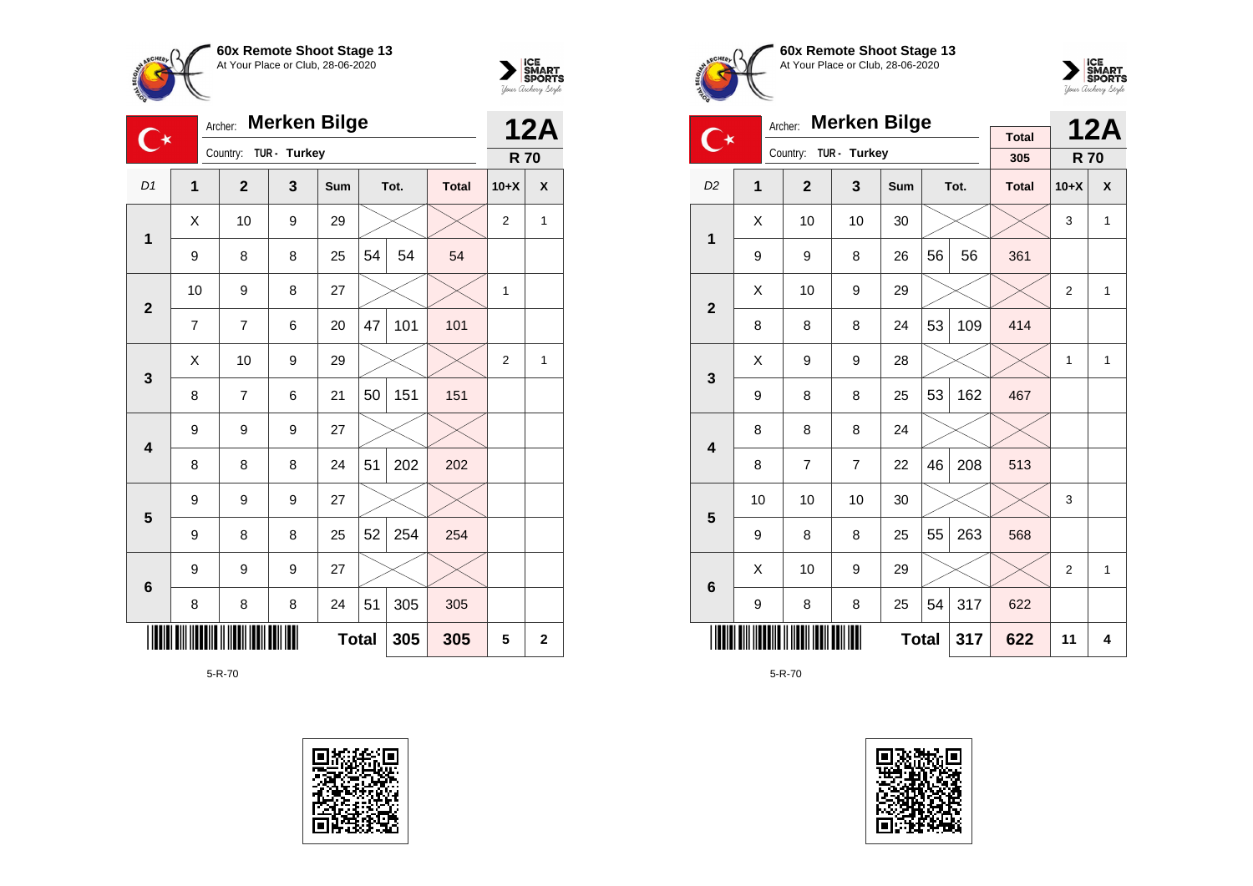



|                         |    | <b>Merken Bilge</b><br>Archer: |              |              |    |      |              |                |              |  |
|-------------------------|----|--------------------------------|--------------|--------------|----|------|--------------|----------------|--------------|--|
|                         |    | Country:                       | TUR - Turkey |              |    |      |              | <b>R70</b>     | <b>12A</b>   |  |
| D1                      | 1  | $\overline{2}$                 | 3            | <b>Sum</b>   |    | Tot. | <b>Total</b> | $10+X$         | X            |  |
| 1                       | X  | 10                             | 9            | 29           |    |      |              | $\overline{2}$ | 1            |  |
|                         | 9  | 8                              | 8            | 25           | 54 | 54   | 54           |                |              |  |
| $\overline{2}$          | 10 | 9                              | 8            | 27           |    |      |              | 1              |              |  |
|                         | 7  | $\overline{7}$                 | 6            | 20           | 47 | 101  | 101          |                |              |  |
| 3                       | X  | 10                             | 9            | 29           |    |      |              | $\overline{2}$ | 1            |  |
|                         | 8  | $\overline{7}$                 | 6            | 21           | 50 | 151  | 151          |                |              |  |
| $\overline{\mathbf{4}}$ | 9  | 9                              | 9            | 27           |    |      |              |                |              |  |
|                         | 8  | 8                              | 8            | 24           | 51 | 202  | 202          |                |              |  |
| 5                       | 9  | 9                              | 9            | 27           |    |      |              |                |              |  |
|                         | 9  | 8                              | 8            | 25           | 52 | 254  | 254          |                |              |  |
| $6\phantom{1}$          | 9  | 9                              | 9            | 27           |    |      |              |                |              |  |
|                         | 8  | 8                              | 8            | 24           | 51 | 305  | 305          |                |              |  |
|                         |    |                                |              | <b>Total</b> |    | 305  | 305          | 5              | $\mathbf{2}$ |  |









|                         | Archer: |                |                |              | <b>12A</b> |      |              |            |              |
|-------------------------|---------|----------------|----------------|--------------|------------|------|--------------|------------|--------------|
| ⋰⊀                      |         | Country:       | TUR - Turkey   |              |            |      | <b>Total</b> |            |              |
|                         |         |                |                |              |            |      | 305          | <b>R70</b> |              |
| D <sub>2</sub>          | 1       | $\overline{2}$ | 3              | Sum          |            | Tot. | <b>Total</b> | $10+X$     | X            |
| 1                       | Χ       | 10             | 10             | 30           |            |      |              | 3          | 1            |
|                         | 9       | 9              | 8              | 26           | 56         | 56   | 361          |            |              |
| $\overline{2}$          | X       | 10             | 9              | 29           |            |      |              | 2          | 1            |
|                         | 8       | 8              | 8              | 24           | 53         | 109  | 414          |            |              |
| 3                       | Χ       | 9              | 9              | 28           |            |      |              | 1          | $\mathbf{1}$ |
|                         | 9       | 8              | 8              | 25           | 53         | 162  | 467          |            |              |
| $\overline{\mathbf{4}}$ | 8       | 8              | 8              | 24           |            |      |              |            |              |
|                         | 8       | $\overline{7}$ | $\overline{7}$ | 22           | 46         | 208  | 513          |            |              |
| 5                       | 10      | 10             | 10             | 30           |            |      |              | 3          |              |
|                         | 9       | 8              | 8              | 25           | 55         | 263  | 568          |            |              |
| $6\phantom{1}$          | X       | 10             | 9              | 29           |            |      |              | 2          | 1            |
|                         | 9       | 8              | 8              | 25           | 54         | 317  | 622          |            |              |
|                         |         |                |                | <b>Total</b> |            | 317  | 622          | 11         | 4            |

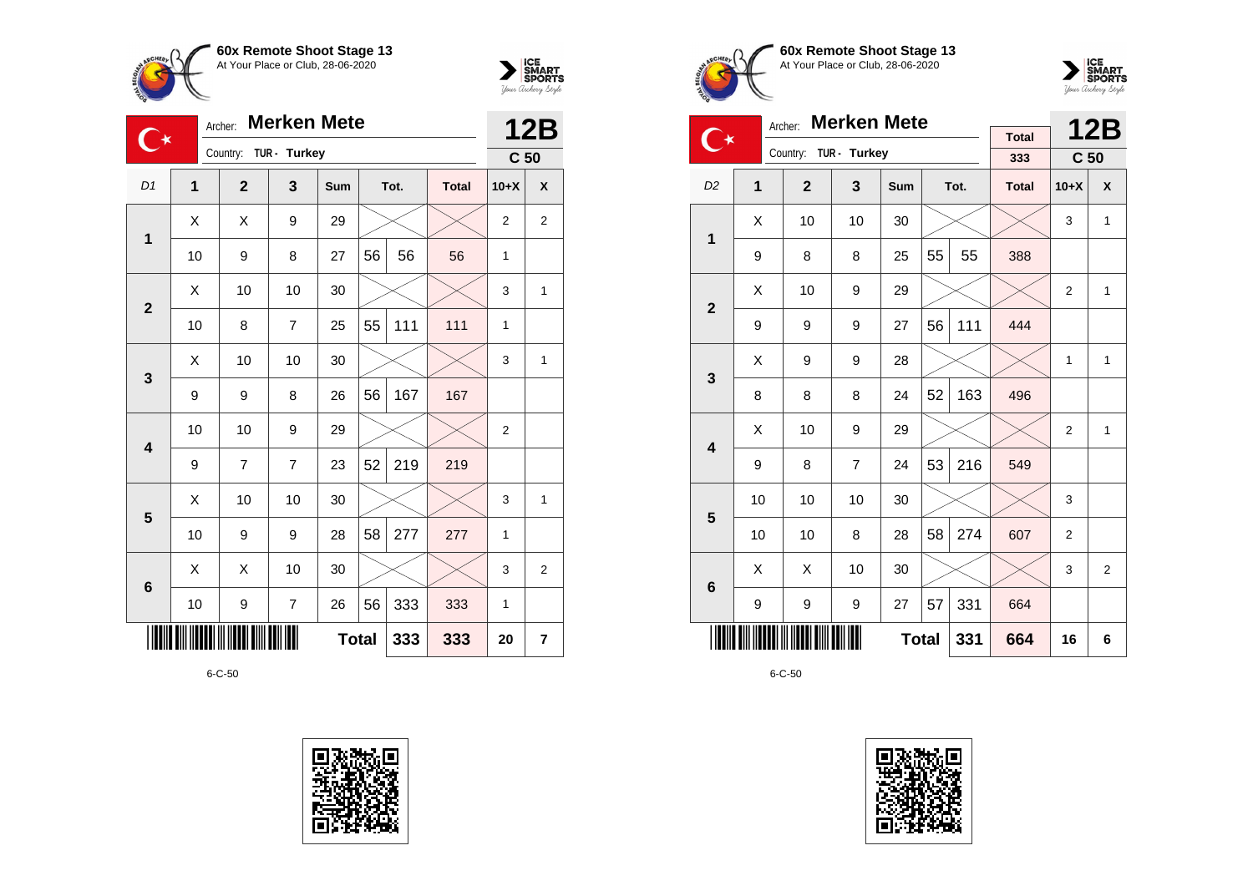



| O               | <b>Merken Mete</b><br>Archer: |                       |                |              |    |      |              |                 | <b>12B</b>     |
|-----------------|-------------------------------|-----------------------|----------------|--------------|----|------|--------------|-----------------|----------------|
|                 |                               | Country: TUR - Turkey |                |              |    |      |              | C <sub>50</sub> |                |
| D <sub>1</sub>  | 1                             | $\mathbf{2}$          | 3              | <b>Sum</b>   |    | Tot. | <b>Total</b> | $10+X$          | X              |
| $\mathbf{1}$    | X                             | X                     | 9              | 29           |    |      |              | $\overline{2}$  | $\overline{2}$ |
|                 | 10                            | 9                     | 8              | 27           | 56 | 56   | 56           | 1               |                |
| $\overline{2}$  | X                             | 10                    | 10             | 30           |    |      |              | 3               | 1              |
|                 | 10                            | 8                     | $\overline{7}$ | 25           | 55 | 111  | 111          | 1               |                |
| 3               | X                             | 10                    | 10             | 30           |    |      |              | 3               | $\mathbf{1}$   |
|                 | 9                             | 9                     | 8              | 26           | 56 | 167  | 167          |                 |                |
| 4               | 10                            | 10                    | 9              | 29           |    |      |              | $\overline{2}$  |                |
|                 | 9                             | 7                     | $\overline{7}$ | 23           | 52 | 219  | 219          |                 |                |
| 5               | Χ                             | 10                    | 10             | 30           |    |      |              | 3               | $\mathbf{1}$   |
|                 | 10                            | 9                     | 9              | 28           | 58 | 277  | 277          | 1               |                |
| $6\phantom{1}6$ | Χ                             | Χ                     | 10             | 30           |    |      |              | 3               | $\overline{2}$ |
|                 | 10                            | 9                     | $\overline{7}$ | 26           | 56 | 333  | 333          | 1               |                |
|                 |                               |                       |                | <b>Total</b> |    | 333  | 333          | 20              | 7              |









|                         | <b>Merken Mete</b><br>Archer: |                |                |              |    |      |                     |                 | <b>12B</b>     |
|-------------------------|-------------------------------|----------------|----------------|--------------|----|------|---------------------|-----------------|----------------|
| $\bullet$               |                               | Country:       | TUR - Turkey   |              |    |      | <b>Total</b><br>333 | C <sub>50</sub> |                |
| D <sub>2</sub>          | 1                             | $\overline{2}$ | 3              | Sum          |    | Tot. | <b>Total</b>        | $10+X$          | X              |
|                         | X                             | 10             | 10             | 30           |    |      |                     | 3               | $\mathbf{1}$   |
| 1                       | 9                             | 8              | 8              | 25           | 55 | 55   | 388                 |                 |                |
|                         | X                             | 10             | 9              | 29           |    |      |                     | $\overline{2}$  | $\mathbf{1}$   |
| $\overline{2}$          | 9                             | 9              | 9              | 27           | 56 | 111  | 444                 |                 |                |
| 3                       | X                             | 9              | 9              | 28           |    |      |                     | 1               | $\mathbf{1}$   |
|                         | 8                             | 8              | 8              | 24           | 52 | 163  | 496                 |                 |                |
| $\overline{\mathbf{4}}$ | X                             | 10             | 9              | 29           |    |      |                     | $\overline{2}$  | $\mathbf{1}$   |
|                         | 9                             | 8              | $\overline{7}$ | 24           | 53 | 216  | 549                 |                 |                |
| 5                       | 10                            | 10             | 10             | 30           |    |      |                     | 3               |                |
|                         | 10                            | 10             | 8              | 28           | 58 | 274  | 607                 | $\overline{2}$  |                |
| 6                       | X                             | X              | 10             | 30           |    |      |                     | 3               | $\overline{2}$ |
|                         | 9                             | 9              | 9              | 27           | 57 | 331  | 664                 |                 |                |
|                         |                               |                |                | <b>Total</b> |    | 331  | 664                 | 16              | 6              |

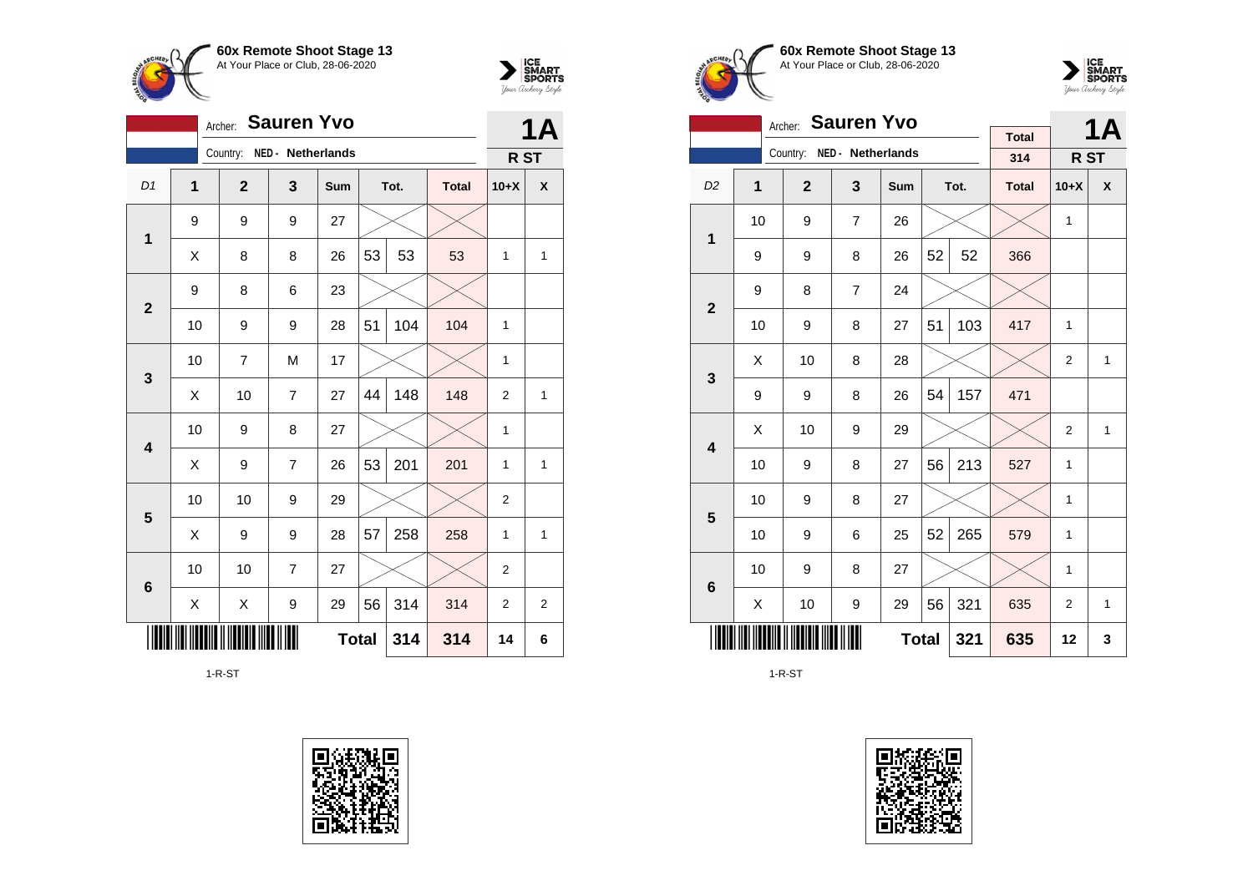



|                         |                | Archer:        | <b>Sauren Yvo</b> |     |              |      |              |                 | <b>1A</b>    |
|-------------------------|----------------|----------------|-------------------|-----|--------------|------|--------------|-----------------|--------------|
|                         |                | Country:       | NED - Netherlands |     |              |      |              | R <sub>ST</sub> |              |
| D <sub>1</sub>          | $\overline{1}$ | $\overline{2}$ | 3                 | Sum |              | Tot. | <b>Total</b> | $10+X$          | X            |
| 1                       | 9              | 9              | 9                 | 27  |              |      |              |                 |              |
|                         | Χ              | 8              | 8                 | 26  | 53           | 53   | 53           | $\mathbf{1}$    | 1            |
| $\overline{2}$          | 9              | 8              | 6                 | 23  |              |      |              |                 |              |
|                         | 10             | 9              | 9                 | 28  | 51           | 104  | 104          | 1               |              |
| 3                       | 10             | $\overline{7}$ | M                 | 17  |              |      |              | $\mathbf{1}$    |              |
|                         | X              | 10             | $\overline{7}$    | 27  | 44           | 148  | 148          | $\overline{2}$  | $\mathbf{1}$ |
| $\overline{\mathbf{4}}$ | 10             | 9              | 8                 | 27  |              |      |              | $\mathbf{1}$    |              |
|                         | X              | 9              | 7                 | 26  | 53           | 201  | 201          | 1               | 1            |
| 5                       | 10             | 10             | 9                 | 29  |              |      |              | $\overline{2}$  |              |
|                         | X              | 9              | 9                 | 28  | 57           | 258  | 258          | $\mathbf{1}$    | 1            |
| $6\phantom{1}6$         | 10             | 10             | $\overline{7}$    | 27  |              |      |              | $\overline{2}$  |              |
|                         | Χ              | Χ              | 9                 | 29  | 56           | 314  | 314          | $\overline{2}$  | 2            |
|                         |                |                |                   |     | <b>Total</b> | 314  | 314          | 14              | 6            |

1-R-ST









|                         |                                 | <b>Sauren Yvo</b><br>Archer: |                   |              |    | <b>1A</b> |                     |                 |              |
|-------------------------|---------------------------------|------------------------------|-------------------|--------------|----|-----------|---------------------|-----------------|--------------|
|                         |                                 | Country:                     | NED - Netherlands |              |    |           | <b>Total</b><br>314 | R <sub>ST</sub> |              |
|                         |                                 |                              |                   |              |    |           |                     |                 |              |
| D <sub>2</sub>          | $\mathbf{1}$                    | $\mathbf{2}$                 | 3                 | Sum          |    | Tot.      | <b>Total</b>        | $10+X$          | X            |
| 1                       | 10                              | 9                            | $\overline{7}$    | 26           |    |           |                     | 1               |              |
|                         | 9                               | 9                            | 8                 | 26           | 52 | 52        | 366                 |                 |              |
| $\overline{2}$          | 9                               | 8                            | $\overline{7}$    | 24           |    |           |                     |                 |              |
|                         | 10                              | 9                            | 8                 | 27           | 51 | 103       | 417                 | 1               |              |
|                         | X                               | 10                           | 8                 | 28           |    |           |                     | $\overline{2}$  | $\mathbf{1}$ |
| 3                       | 9                               | 9                            | 8                 | 26           | 54 | 157       | 471                 |                 |              |
| $\overline{\mathbf{4}}$ | Χ                               | 10                           | 9                 | 29           |    |           |                     | $\overline{2}$  | 1            |
|                         | 10                              | 9                            | 8                 | 27           | 56 | 213       | 527                 | 1               |              |
| 5                       | 10                              | 9                            | 8                 | 27           |    |           |                     | 1               |              |
|                         | 10                              | 9                            | 6                 | 25           | 52 | 265       | 579                 | $\mathbf{1}$    |              |
| $6\phantom{1}6$         | 10                              | 9                            | 8                 | 27           |    |           |                     | 1               |              |
|                         | 321<br>56<br>10<br>9<br>Χ<br>29 |                              |                   |              |    |           |                     | 2               | 1            |
|                         |                                 |                              |                   | <b>Total</b> |    | 321       | 635                 | 12              | 3            |

1-R-ST

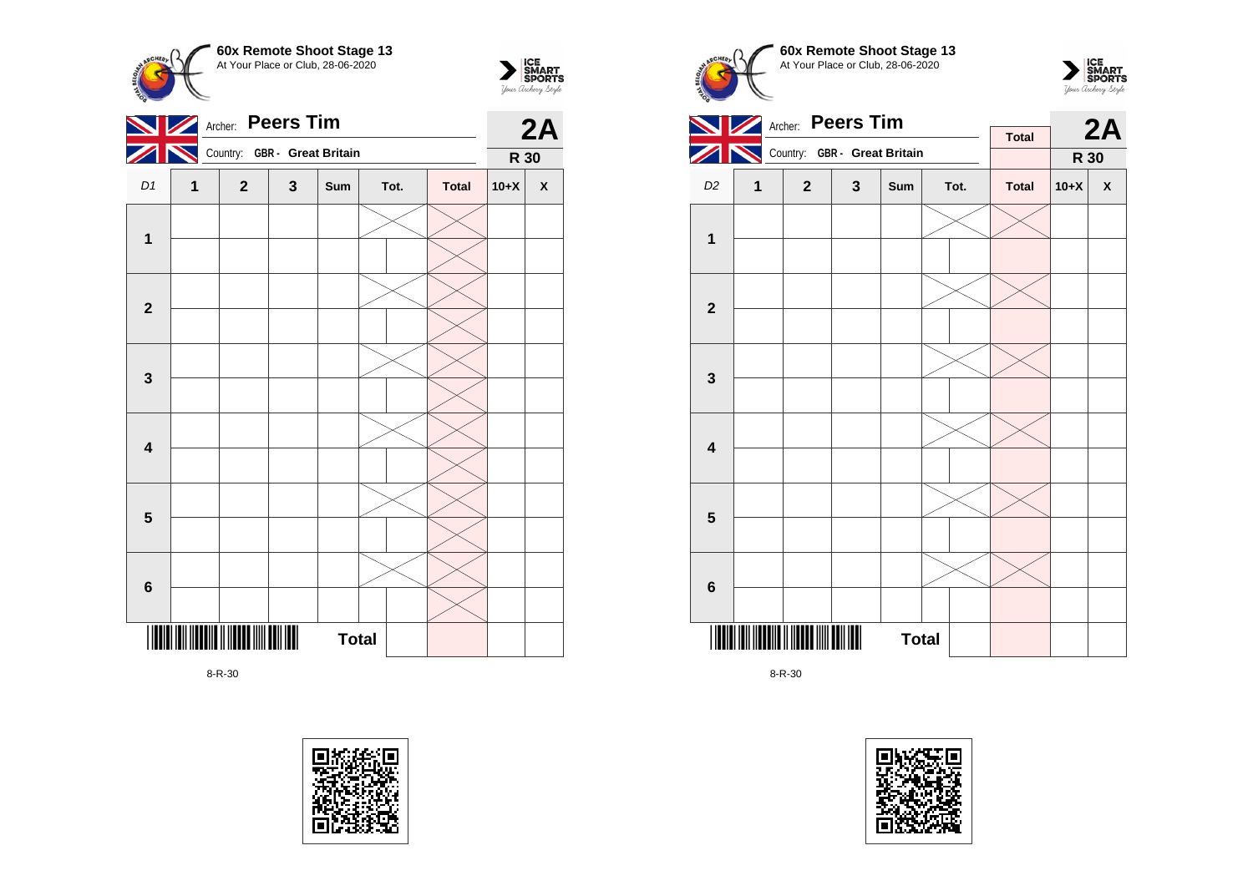





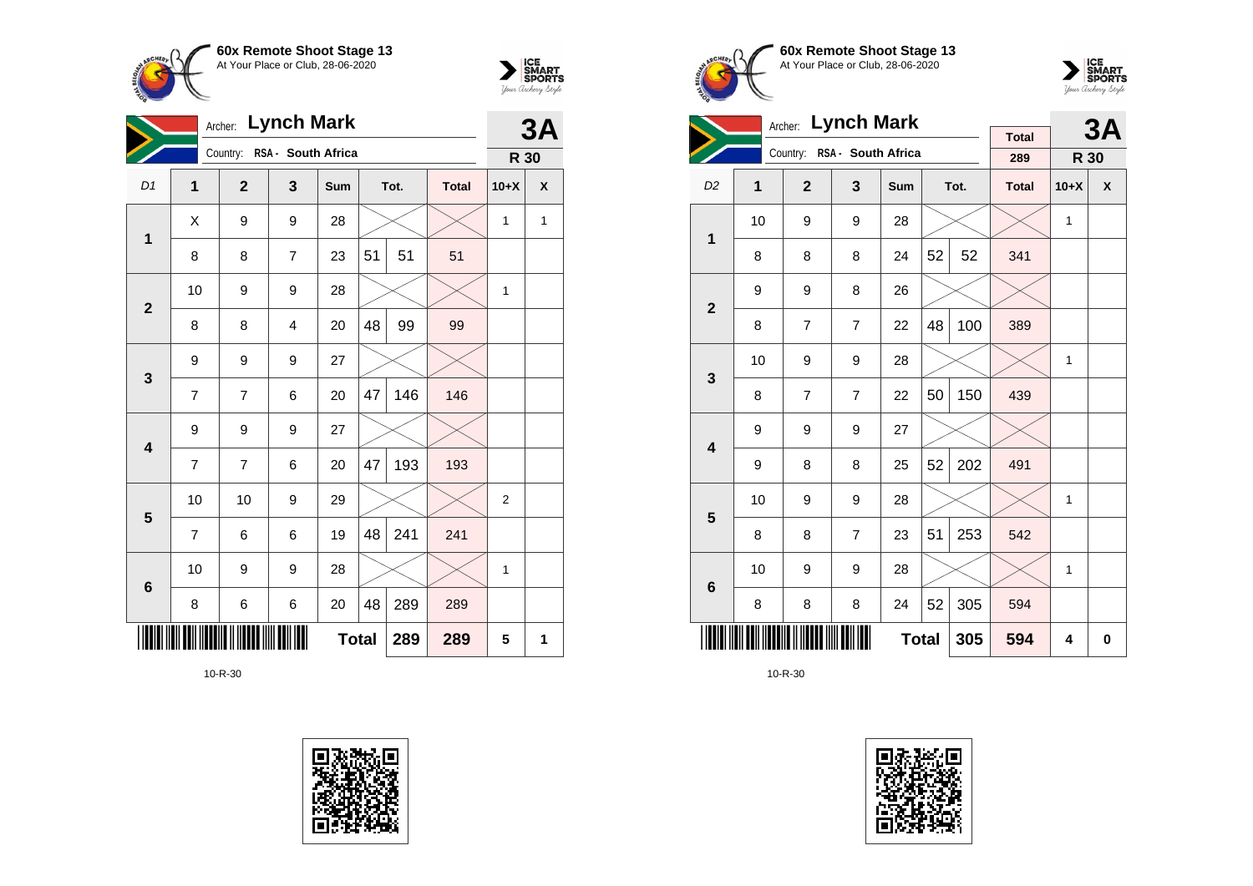



|                         |                | Archer: Lynch Mark          |                         |              |    |      |              |              |   |
|-------------------------|----------------|-----------------------------|-------------------------|--------------|----|------|--------------|--------------|---|
|                         |                | Country: RSA - South Africa |                         |              |    |      |              | R 30         |   |
| D1                      | $\mathbf{1}$   | $\mathbf{2}$                | 3                       | Sum          |    | Tot. | <b>Total</b> | $10+X$       | χ |
| 1                       | X              | 9                           | 9                       | 28           |    |      |              | 1            | 1 |
|                         | 8              | 8                           | $\overline{7}$          | 23           | 51 | 51   | 51           |              |   |
| $\overline{2}$          | 10             | 9                           | 9                       | 28           |    |      |              | $\mathbf{1}$ |   |
|                         | 8              | 8                           | $\overline{\mathbf{4}}$ | 20           | 48 | 99   | 99           |              |   |
| $\mathbf{3}$            | 9              | 9                           | 9                       | 27           |    |      |              |              |   |
|                         | $\overline{7}$ | $\overline{7}$              | 6                       | 20           | 47 | 146  | 146          |              |   |
| $\overline{\mathbf{4}}$ | 9              | 9                           | 9                       | 27           |    |      |              |              |   |
|                         | 7              | 7                           | 6                       | 20           | 47 | 193  | 193          |              |   |
| $\overline{\mathbf{5}}$ | 10             | 10                          | 9                       | 29           |    |      |              | 2            |   |
|                         | $\overline{7}$ | 6                           | 6                       | 19           | 48 | 241  | 241          |              |   |
| $6\phantom{1}6$         | 10             | 9                           | 9                       | 28           |    |      |              | $\mathbf{1}$ |   |
|                         | 8              | 6                           | 6                       | 20           | 48 | 289  | 289          |              |   |
|                         |                |                             |                         | <b>Total</b> |    | 289  | 289          | 5            | 1 |









|                         |    | <b>Lynch Mark</b><br>Archer: |                             |              |    | <b>3A</b> |                     |        |   |
|-------------------------|----|------------------------------|-----------------------------|--------------|----|-----------|---------------------|--------|---|
|                         |    |                              | Country: RSA - South Africa |              |    |           | <b>Total</b><br>289 | R 30   |   |
| D <sub>2</sub>          | 1  | $\overline{2}$               | $\mathbf{3}$                | Sum          |    | Tot.      | <b>Total</b>        | $10+X$ | X |
| 1                       | 10 | 9                            | 9                           | 28           |    |           |                     | 1      |   |
|                         | 8  | 8                            | 8                           | 24           | 52 | 52        | 341                 |        |   |
| $\mathbf{2}$            | 9  | 9                            | 8                           | 26           |    |           |                     |        |   |
|                         | 8  | $\overline{7}$               | $\overline{7}$              | 22           | 48 | 100       | 389                 |        |   |
| 3                       | 10 | 9                            | 9                           | 28           |    |           |                     | 1      |   |
|                         | 8  | $\overline{7}$               | $\overline{7}$              | 22           | 50 | 150       | 439                 |        |   |
| $\overline{\mathbf{4}}$ | 9  | 9                            | 9                           | 27           |    |           |                     |        |   |
|                         | 9  | 8                            | 8                           | 25           | 52 | 202       | 491                 |        |   |
| 5                       | 10 | 9                            | 9                           | 28           |    |           |                     | 1      |   |
|                         | 8  | 8                            | $\overline{7}$              | 23           | 51 | 253       | 542                 |        |   |
| 6                       | 10 | 9                            | 9                           | 28           |    |           |                     | 1      |   |
|                         | 8  | 8                            | 8                           | 24           | 52 | 305       | 594                 |        |   |
|                         |    |                              |                             | <b>Total</b> |    | 305       | 594                 | 4      | 0 |

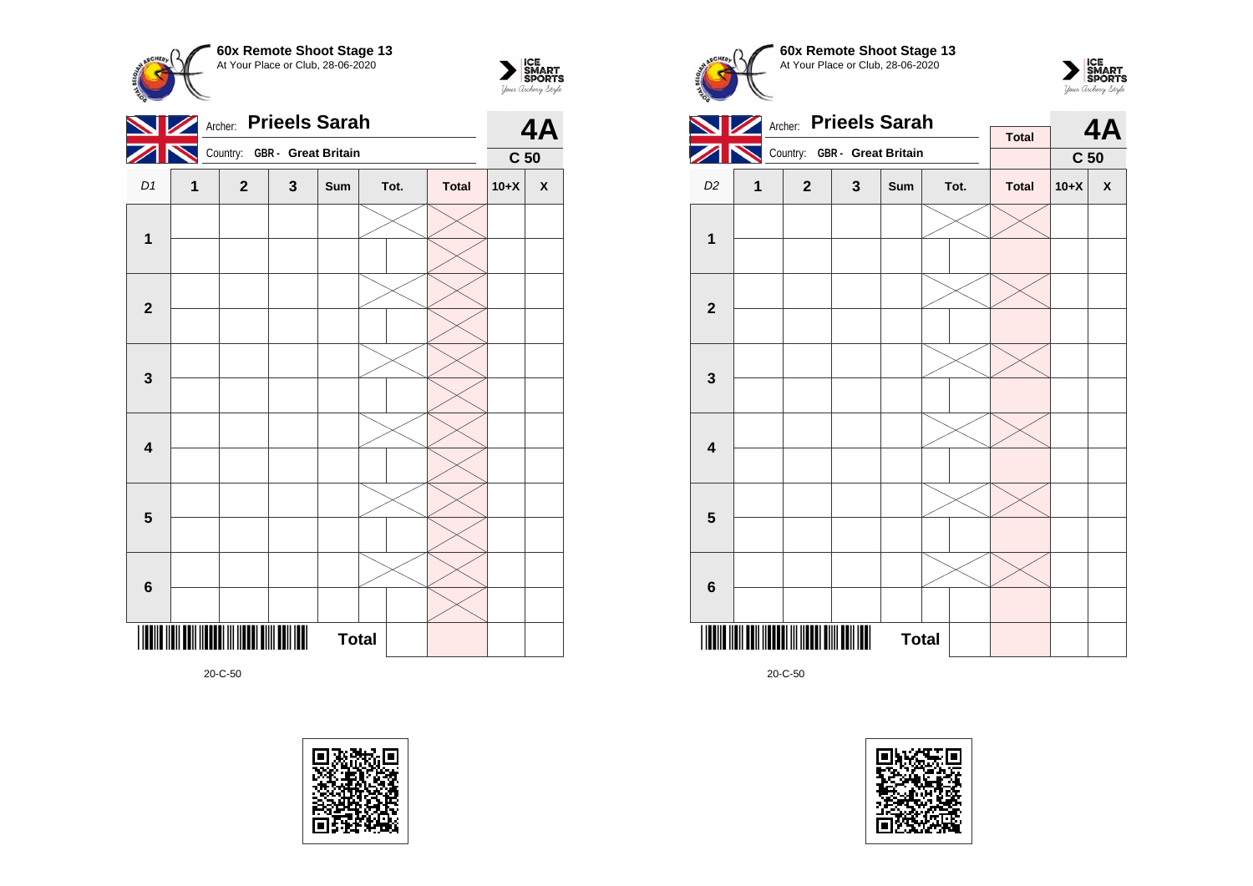



**4A**

 $\sum_{\text{Jour }\text{Cuchy }\text{Sty} } \left| \begin{array}{l} \text{ICE} \\ \text{SDORTS} \\ \text{SPORTS} \end{array} \right.$ 

**C 50**

20-C-50

**3**

**4**

**5**

**6**



**Total** 



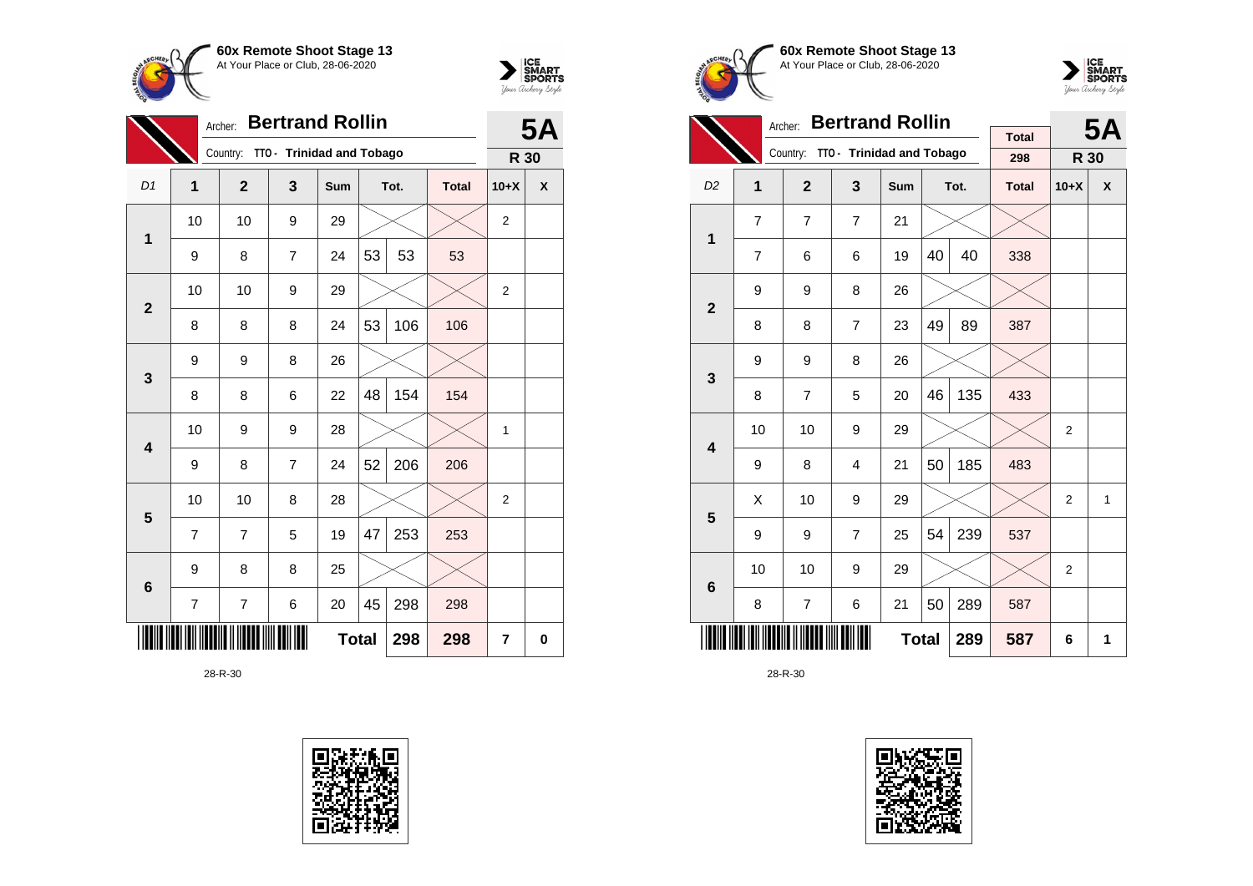



|                         |                | <b>Bertrand Rollin</b><br>Archer: |                           |     |              |      |              |                |   |  |
|-------------------------|----------------|-----------------------------------|---------------------------|-----|--------------|------|--------------|----------------|---|--|
|                         |                | Country:                          | TTO - Trinidad and Tobago |     |              |      |              | R 30           |   |  |
| D1                      | 1              | $\mathbf{2}$                      | 3                         | Sum |              | Tot. | <b>Total</b> | $10+X$         | X |  |
| $\mathbf{1}$            | 10             | 10                                | 9                         | 29  |              |      |              | $\overline{2}$ |   |  |
|                         | 9              | 8                                 | 7                         | 24  | 53           | 53   | 53           |                |   |  |
| $\overline{2}$          | 10             | 10                                | 9                         | 29  |              |      |              | $\overline{2}$ |   |  |
|                         | 8              | 8                                 | 8                         | 24  | 53           | 106  | 106          |                |   |  |
| 3                       | 9              | 9                                 | 8                         | 26  |              |      |              |                |   |  |
|                         | 8              | 8                                 | 6                         | 22  | 48           | 154  | 154          |                |   |  |
| $\overline{\mathbf{4}}$ | 10             | 9                                 | 9                         | 28  |              |      |              | 1              |   |  |
|                         | 9              | 8                                 | $\overline{7}$            | 24  | 52           | 206  | 206          |                |   |  |
| 5                       | 10             | 10                                | 8                         | 28  |              |      |              | $\overline{2}$ |   |  |
|                         | $\overline{7}$ | $\overline{7}$                    | 5                         | 19  | 47           | 253  | 253          |                |   |  |
| $6\phantom{1}6$         | 9              | 8                                 | 8                         | 25  |              |      |              |                |   |  |
|                         | 7              | 7                                 | 6                         | 20  | 45           | 298  | 298          |                |   |  |
|                         |                |                                   |                           |     | <b>Total</b> | 298  | 298          | $\overline{7}$ | 0 |  |







|                |                | <b>Bertrand Rollin</b><br>Archer: |                           |              |    | <b>5A</b> |              |                |   |
|----------------|----------------|-----------------------------------|---------------------------|--------------|----|-----------|--------------|----------------|---|
|                |                |                                   |                           |              |    |           | <b>Total</b> |                |   |
|                |                | Country:                          | TT0 - Trinidad and Tobago |              |    |           | 298          | R 30           |   |
| D <sub>2</sub> | $\overline{1}$ | $\overline{2}$                    | 3                         | Sum          |    | Tot.      | <b>Total</b> | $10+X$         | X |
| 1              | $\overline{7}$ | $\overline{7}$                    | $\overline{7}$            | 21           |    |           |              |                |   |
|                | $\overline{7}$ | 6                                 | 6                         | 19           | 40 | 40        | 338          |                |   |
| $\overline{2}$ | 9              | 9                                 | 8                         | 26           |    |           |              |                |   |
|                | 8              | 8                                 | $\overline{7}$            | 23           | 49 | 89        | 387          |                |   |
| 3              | 9              | 9                                 | 8                         | 26           |    |           |              |                |   |
|                | 8              | $\overline{7}$                    | 5                         | 20           | 46 | 135       | 433          |                |   |
| 4              | 10             | 10                                | 9                         | 29           |    |           |              | $\overline{2}$ |   |
|                | 9              | 8                                 | 4                         | 21           | 50 | 185       | 483          |                |   |
| 5              | X              | 10                                | 9                         | 29           |    |           |              | $\overline{2}$ | 1 |
|                | 9              | 9                                 | $\overline{7}$            | 25           | 54 | 239       | 537          |                |   |
| 6              | 10             | 10                                | 9                         | 29           |    |           |              | $\overline{2}$ |   |
|                | 8              | $\overline{7}$                    | 6                         | 21           | 50 | 289       | 587          |                |   |
|                |                |                                   |                           | <b>Total</b> |    | 289       | 587          | 6              | 1 |

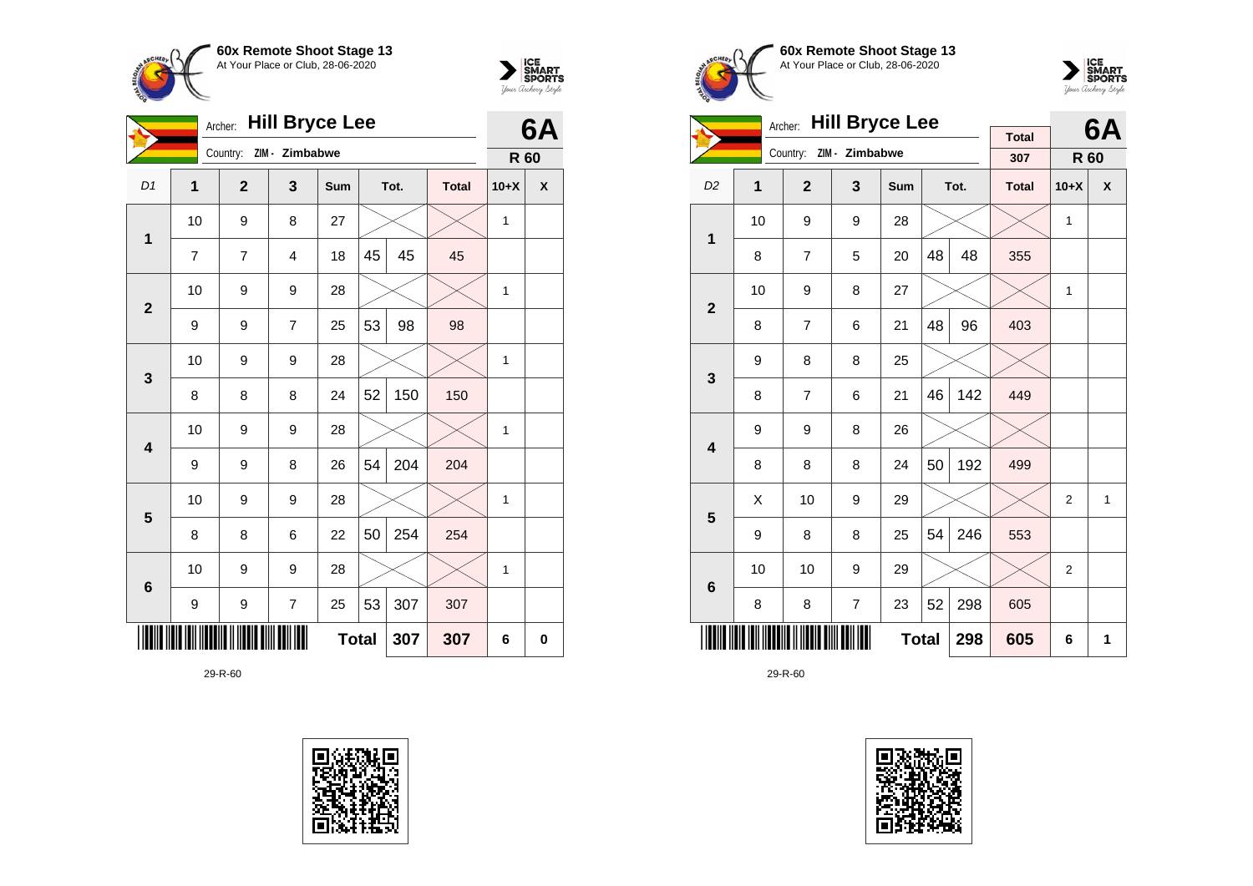



|                |              | Archer:        | <b>Hill Bryce Lee</b> |              |    |      |              |              | <b>6A</b> |
|----------------|--------------|----------------|-----------------------|--------------|----|------|--------------|--------------|-----------|
|                |              | Country:       | ZIM - Zimbabwe        |              |    |      |              | R 60         |           |
| D <sub>1</sub> | $\mathbf{1}$ | $\mathbf{2}$   | 3                     | Sum          |    | Tot. | <b>Total</b> | $10+X$       | X         |
| 1              | 10           | 9              | 8                     | 27           |    |      |              | 1            |           |
|                | 7            | $\overline{7}$ | 4                     | 18           | 45 | 45   | 45           |              |           |
| $\overline{2}$ | 10           | 9              | 9                     | 28           |    |      |              | 1            |           |
|                | 9            | 9              | $\overline{7}$        | 25           | 53 | 98   | 98           |              |           |
| 3              | 10           | 9              | 9                     | 28           |    |      |              | 1            |           |
|                | 8            | 8              | 8                     | 24           | 52 | 150  | 150          |              |           |
| 4              | 10           | 9              | 9                     | 28           |    |      |              | 1            |           |
|                | 9            | 9              | 8                     | 26           | 54 | 204  | 204          |              |           |
| 5              | 10           | 9              | 9                     | 28           |    |      |              | 1            |           |
|                | 8            | 8              | 6                     | 22           | 50 | 254  | 254          |              |           |
| $\bf 6$        | 10           | 9              | 9                     | 28           |    |      |              | $\mathbf{1}$ |           |
|                | 9            | 9              | $\overline{7}$        | 25           | 53 | 307  | 307          |              |           |
|                |              |                |                       | <b>Total</b> |    | 307  | 307          | 6            | $\bf{0}$  |







|                         |    | <b>Hill Bryce Lee</b><br>Archer: |                |              |    | 6A   |                     |                |   |
|-------------------------|----|----------------------------------|----------------|--------------|----|------|---------------------|----------------|---|
|                         |    | Country:                         | ZIM - Zimbabwe |              |    |      | <b>Total</b><br>307 | R 60           |   |
| D <sub>2</sub>          | 1  | $\overline{2}$                   | 3              | Sum          |    | Tot. | <b>Total</b>        | $10+X$         | χ |
| $\overline{1}$          | 10 | 9                                | 9              | 28           |    |      |                     | $\mathbf{1}$   |   |
|                         | 8  | $\overline{7}$                   | 5              | 20           | 48 | 48   | 355                 |                |   |
| $\overline{\mathbf{2}}$ | 10 | 9                                | 8              | 27           |    |      |                     | $\mathbf{1}$   |   |
|                         | 8  | $\overline{7}$                   | 6              | 21           | 48 | 96   | 403                 |                |   |
| 3                       | 9  | 8                                | 8              | 25           |    |      |                     |                |   |
|                         | 8  | $\overline{7}$                   | 6              | 21           | 46 | 142  | 449                 |                |   |
| $\overline{\mathbf{4}}$ | 9  | 9                                | 8              | 26           |    |      |                     |                |   |
|                         | 8  | 8                                | 8              | 24           | 50 | 192  | 499                 |                |   |
| 5                       | X  | 10                               | 9              | 29           |    |      |                     | $\overline{2}$ | 1 |
|                         | 9  | 8                                | 8              | 25           | 54 | 246  | 553                 |                |   |
| 6                       | 10 | 10                               | 9              | 29           |    |      |                     | 2              |   |
|                         | 8  | 8                                | $\overline{7}$ | 23           | 52 | 298  | 605                 |                |   |
|                         |    |                                  |                | <b>Total</b> |    | 298  | 605                 | 6              | 1 |

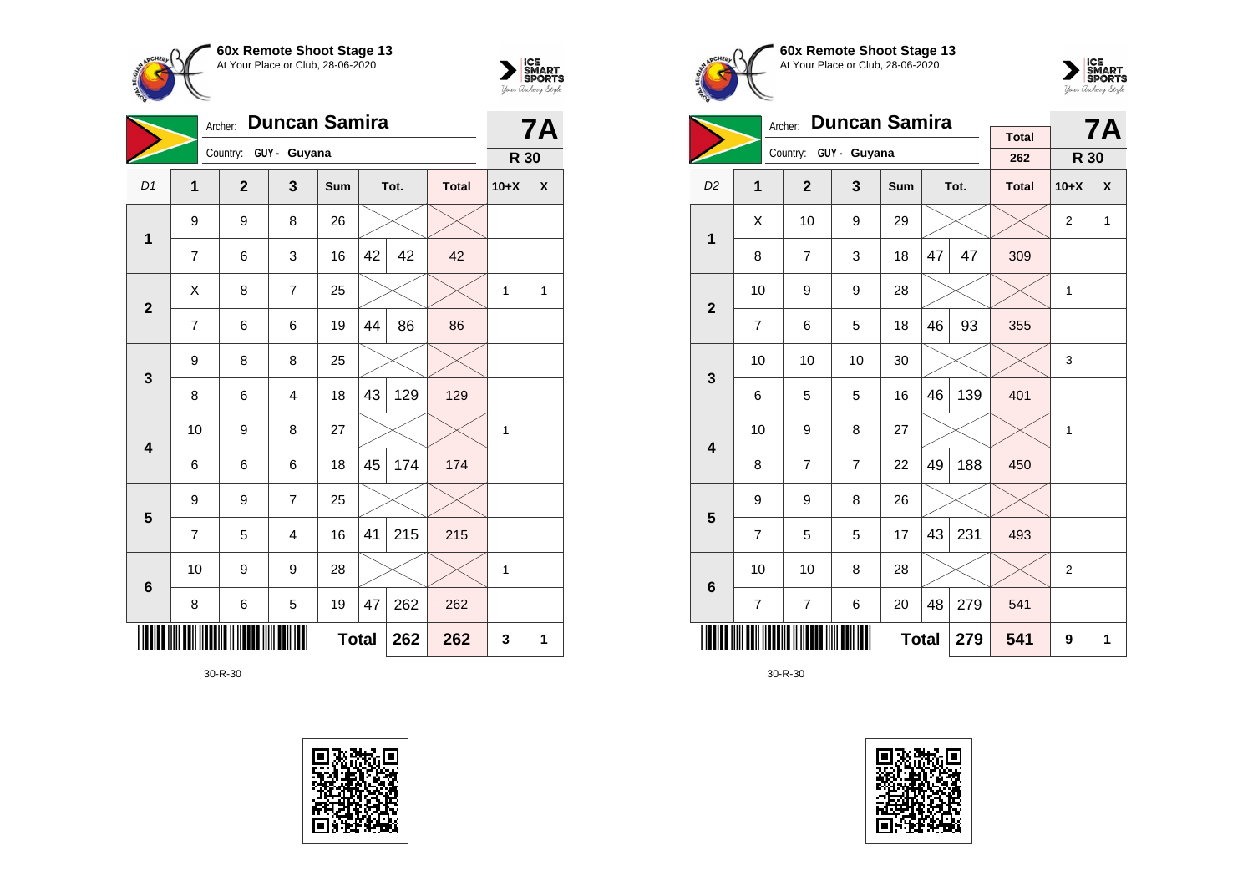



|                | <b>Duncan Samira</b><br>Archer: |                       |                |     |              |      |              |        | <b>7A</b> |
|----------------|---------------------------------|-----------------------|----------------|-----|--------------|------|--------------|--------|-----------|
|                |                                 | Country: GUY - Guyana |                |     |              |      |              | R 30   |           |
| D1             | $\mathbf{1}$                    | $\overline{2}$        | 3              | Sum |              | Tot. | <b>Total</b> | $10+X$ | X         |
| $\mathbf 1$    | 9                               | 9                     | 8              | 26  |              |      |              |        |           |
|                | $\overline{7}$                  | 6                     | 3              | 16  | 42           | 42   | 42           |        |           |
| $\overline{2}$ | X                               | 8                     | $\overline{7}$ | 25  |              |      |              | 1      | 1         |
|                | 7                               | 6                     | 6              | 19  | 44           | 86   | 86           |        |           |
| $\mathbf{3}$   | 9                               | 8                     | 8              | 25  |              |      |              |        |           |
|                | 8                               | 6                     | 4              | 18  | 43           | 129  | 129          |        |           |
| 4              | 10                              | 9                     | 8              | 27  |              |      |              | 1      |           |
|                | 6                               | 6                     | 6              | 18  | 45           | 174  | 174          |        |           |
| $5\phantom{1}$ | 9                               | 9                     | $\overline{7}$ | 25  |              |      |              |        |           |
|                | 7                               | 5                     | 4              | 16  | 41           | 215  | 215          |        |           |
| $\bf 6$        | 10                              | 9                     | 9              | 28  |              |      |              | 1      |           |
|                | 8                               | 6                     | 5              | 19  | 47           | 262  | 262          |        |           |
|                |                                 |                       |                |     | <b>Total</b> | 262  | 262          | 3      | 1         |







|                         |                | <b>Duncan Samira</b><br>Archer: |                |     |    | <b>7A</b> |                     |                |   |
|-------------------------|----------------|---------------------------------|----------------|-----|----|-----------|---------------------|----------------|---|
|                         |                | Country: GUY - Guyana           |                |     |    |           | <b>Total</b><br>262 | R 30           |   |
| D <sub>2</sub>          | 1              | $\overline{2}$                  | 3              | Sum |    | Tot.      | <b>Total</b>        | $10+X$         | X |
| 1                       | X              | 10                              | 9              | 29  |    |           |                     | $\overline{2}$ | 1 |
|                         | 8              | $\overline{7}$                  | 3              | 18  | 47 | 47        | 309                 |                |   |
| $\overline{2}$          | 10             | 9                               | 9              | 28  |    |           |                     | $\mathbf{1}$   |   |
|                         | 7              | 6                               | 5              | 18  | 46 | 93        | 355                 |                |   |
| 3                       | 10             | 10                              | 10             | 30  |    |           |                     | 3              |   |
|                         | 6              | 5                               | 5              | 16  | 46 | 139       | 401                 |                |   |
| $\overline{\mathbf{4}}$ | 10             | 9                               | 8              | 27  |    |           |                     | $\mathbf{1}$   |   |
|                         | 8              | $\overline{7}$                  | $\overline{7}$ | 22  | 49 | 188       | 450                 |                |   |
| 5                       | 9              | 9                               | 8              | 26  |    |           |                     |                |   |
|                         | $\overline{7}$ | 5                               | 5              | 17  | 43 | 231       | 493                 |                |   |
| $6\phantom{1}$          | 10             | 10                              | 8              | 28  |    |           |                     | 2              |   |
|                         | $\overline{7}$ | $\overline{7}$                  | 6              | 20  | 48 | 279       | 541                 |                |   |
|                         |                |                                 | 541            | 9   | 1  |           |                     |                |   |

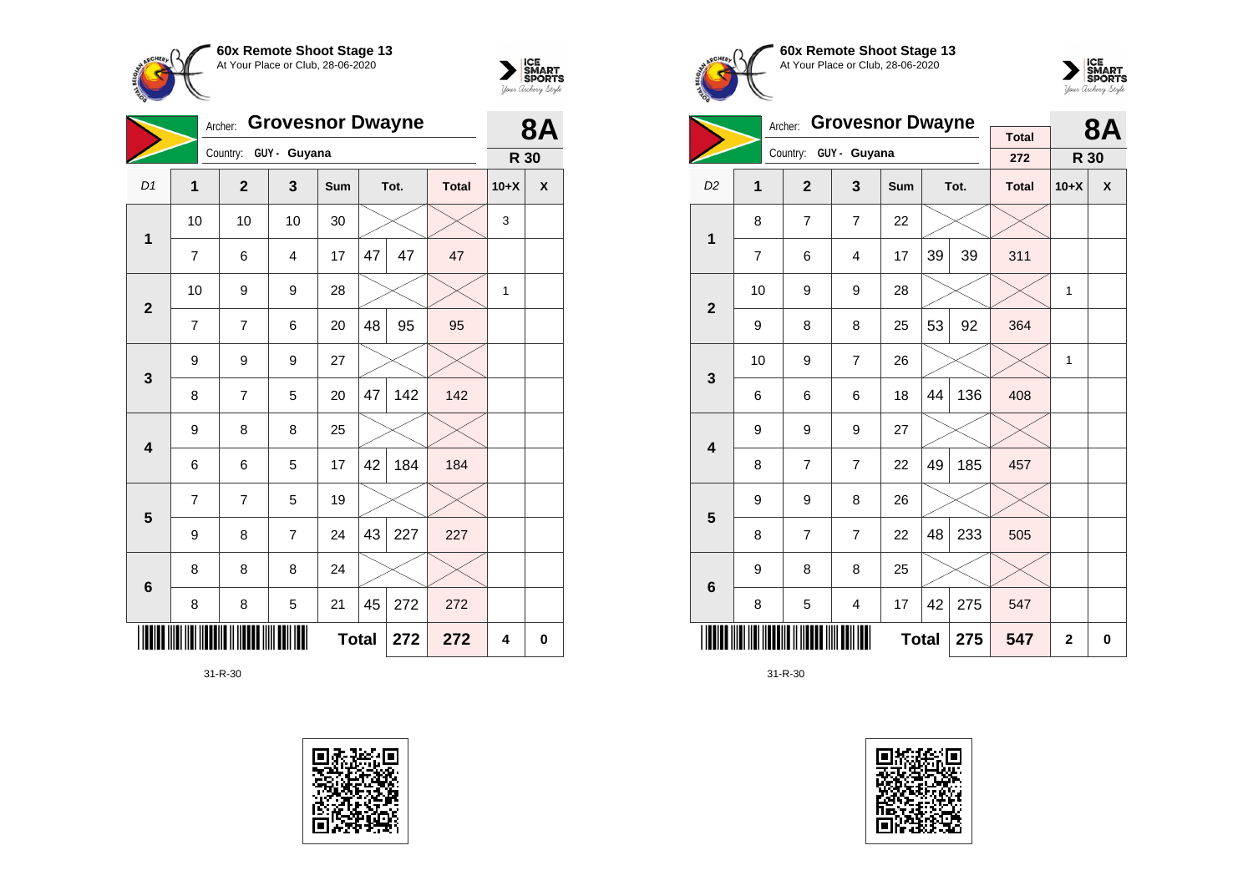



|                         | Archer:      |                       |                | <b>8A</b> |              |      |              |        |   |
|-------------------------|--------------|-----------------------|----------------|-----------|--------------|------|--------------|--------|---|
|                         |              | Country: GUY - Guyana |                |           |              |      |              | R 30   |   |
| D1                      | $\mathbf{1}$ | $\overline{2}$        | 3              | Sum       |              | Tot. | <b>Total</b> | $10+X$ | X |
| $\mathbf 1$             | 10           | 10                    | 10             | 30        |              |      |              | 3      |   |
|                         | 7            | 6                     | $\overline{4}$ | 17        | 47           | 47   | 47           |        |   |
| $\mathbf{2}$            | 10           | 9                     | 9              | 28        |              |      |              | 1      |   |
|                         | 7            | $\overline{7}$        | 6              | 20        | 48           | 95   | 95           |        |   |
| $\mathbf{3}$            | 9            | 9                     | 9              | 27        |              |      |              |        |   |
|                         | 8            | $\overline{7}$        | 5              | 20        | 47           | 142  | 142          |        |   |
| $\overline{\mathbf{4}}$ | 9            | 8                     | 8              | 25        |              |      |              |        |   |
|                         | 6            | 6                     | 5              | 17        | 42           | 184  | 184          |        |   |
| $\overline{\mathbf{5}}$ | 7            | $\overline{7}$        | 5              | 19        |              |      |              |        |   |
|                         | 9            | 8                     | $\overline{7}$ | 24        | 43           | 227  | 227          |        |   |
| $\bf 6$                 | 8            | 8                     | 8              | 24        |              |      |              |        |   |
|                         | 8            | 8                     | 5              | 21        | 45           | 272  | 272          |        |   |
|                         |              |                       |                |           | <b>Total</b> | 272  | 272          | 4      | 0 |







|                         |    | Archer:        | <b>Grovesnor Dwayne</b> | <b>Total</b> |              | <b>8A</b> |              |        |   |
|-------------------------|----|----------------|-------------------------|--------------|--------------|-----------|--------------|--------|---|
|                         |    | Country:       | GUY - Guyana            |              |              |           | 272          | R 30   |   |
| D <sub>2</sub>          | 1  | $\overline{2}$ | 3                       | <b>Sum</b>   |              | Tot.      | <b>Total</b> | $10+X$ | X |
| 1                       | 8  | $\overline{7}$ | 7                       | 22           |              |           |              |        |   |
|                         | 7  | 6              | $\overline{4}$          | 17           | 39           | 39        | 311          |        |   |
| $\overline{2}$          | 10 | 9              | 9                       | 28           |              |           |              | 1      |   |
|                         | 9  | 8              | 8                       | 25           | 53           | 92        | 364          |        |   |
| 3                       | 10 | 9              | $\overline{7}$          | 26           |              |           |              | 1      |   |
|                         | 6  | 6              | 6                       | 18           | 44           | 136       | 408          |        |   |
| $\overline{\mathbf{4}}$ | 9  | 9              | 9                       | 27           |              |           |              |        |   |
|                         | 8  | $\overline{7}$ | $\overline{7}$          | 22           | 49           | 185       | 457          |        |   |
| 5                       | 9  | 9              | 8                       | 26           |              |           |              |        |   |
|                         | 8  | $\overline{7}$ | $\overline{7}$          | 22           | 48           | 233       | 505          |        |   |
| $6\phantom{1}$          | 9  | 8              | 8                       | 25           |              |           |              |        |   |
|                         | 8  | 5              | 4                       | 17           | 42           | 275       | 547          |        |   |
|                         |    |                | 275                     | 547          | $\mathbf{2}$ | 0         |              |        |   |

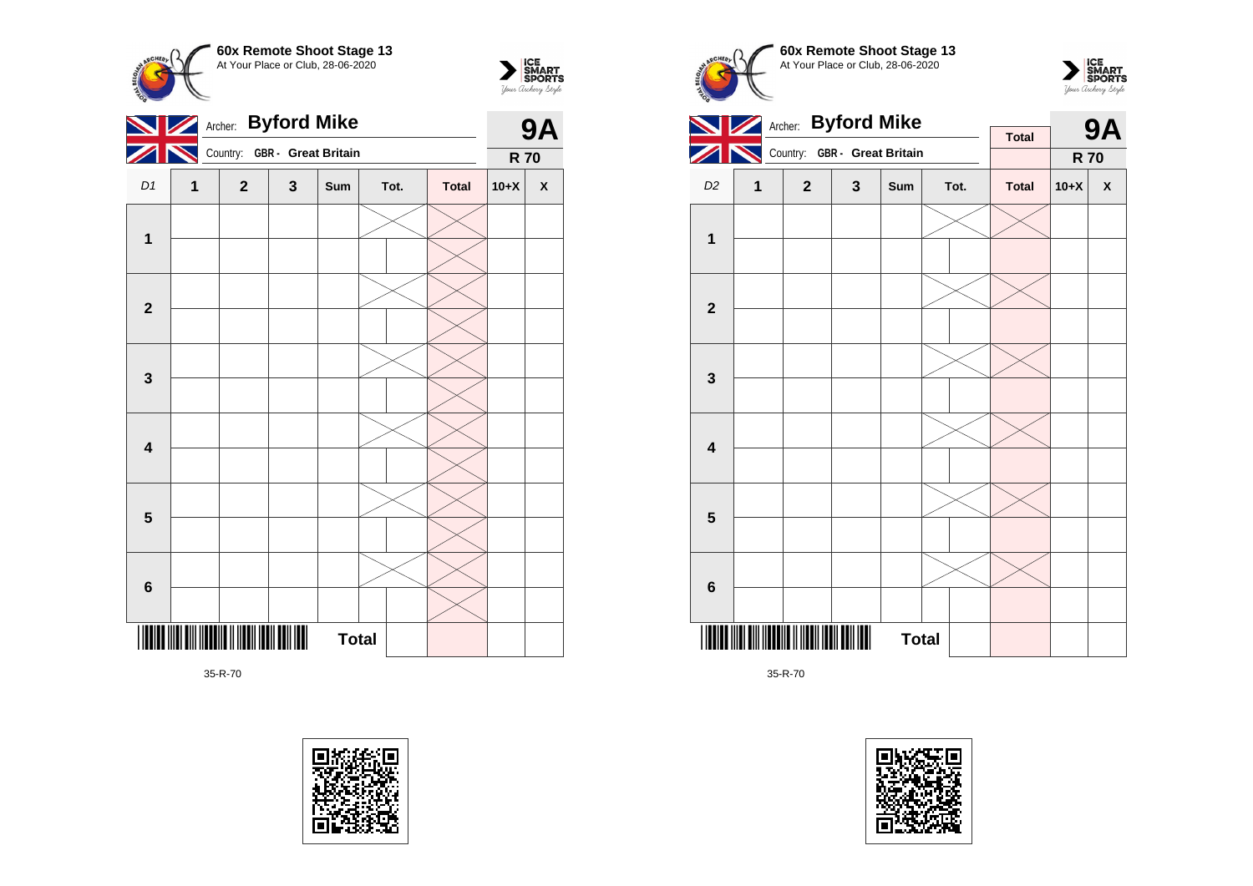



|                         |   | Archer: Byford Mike          |              | <b>9A</b>    |      |              |            |                    |
|-------------------------|---|------------------------------|--------------|--------------|------|--------------|------------|--------------------|
|                         |   | Country: GBR - Great Britain |              |              |      |              | <b>R70</b> |                    |
| D1                      | 1 | $\overline{2}$               | $\mathbf{3}$ | Sum          | Tot. | <b>Total</b> | $10+X$     | $\pmb{\mathsf{X}}$ |
| 1                       |   |                              |              |              |      |              |            |                    |
|                         |   |                              |              |              |      |              |            |                    |
|                         |   |                              |              |              |      |              |            |                    |
| $\mathbf{2}$            |   |                              |              |              |      |              |            |                    |
|                         |   |                              |              |              |      |              |            |                    |
| $\mathbf{3}$            |   |                              |              |              |      |              |            |                    |
|                         |   |                              |              |              |      |              |            |                    |
| $\overline{\mathbf{4}}$ |   |                              |              |              |      |              |            |                    |
|                         |   |                              |              |              |      |              |            |                    |
| $5\phantom{.0}$         |   |                              |              |              |      |              |            |                    |
|                         |   |                              |              |              |      |              |            |                    |
| $\bf 6$                 |   |                              |              |              |      |              |            |                    |
|                         |   |                              |              | <b>Total</b> |      |              |            |                    |





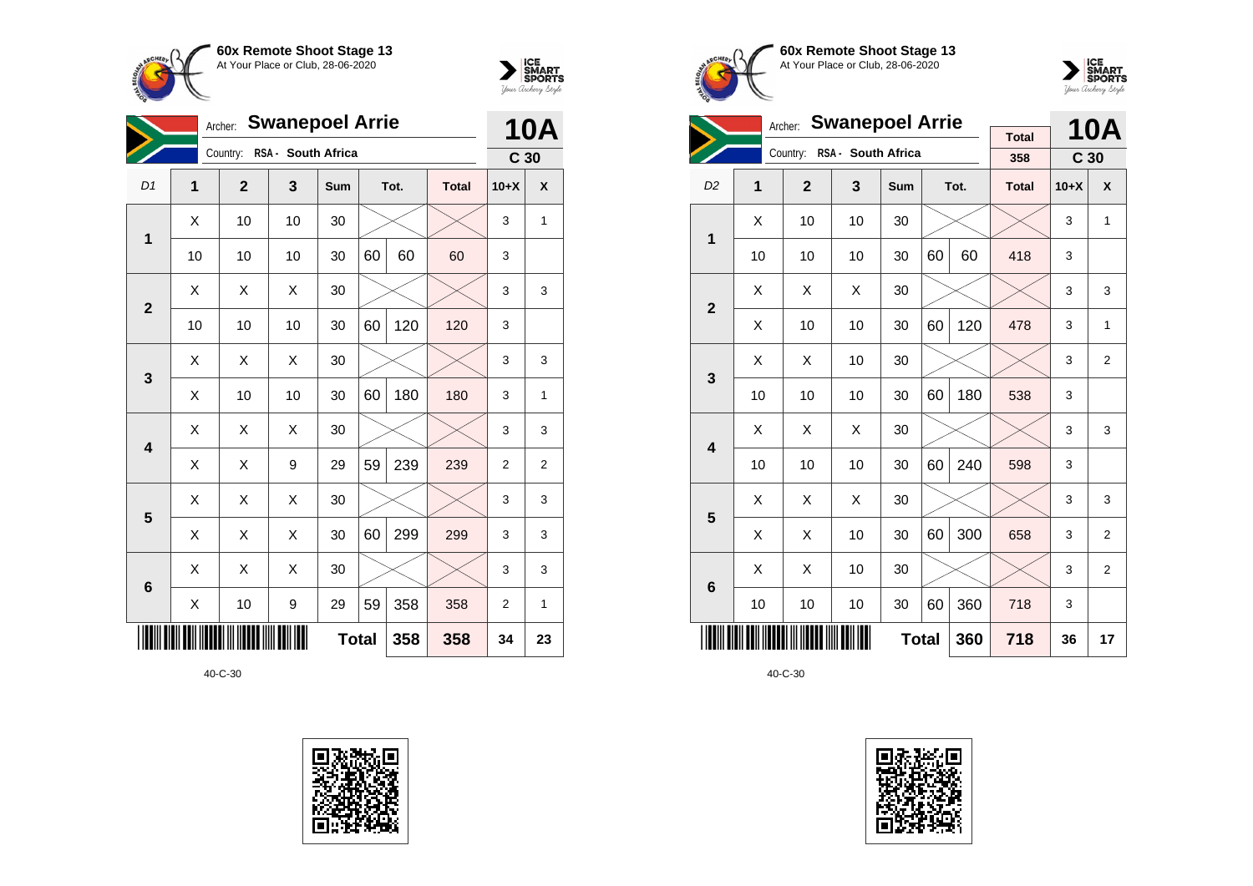



|                         | <b>Swanepoel Arrie</b><br>Archer: |                |                    |              |    |      |              | <b>10A</b>      |              |
|-------------------------|-----------------------------------|----------------|--------------------|--------------|----|------|--------------|-----------------|--------------|
|                         |                                   | Country:       | RSA - South Africa |              |    |      |              | C <sub>30</sub> |              |
| D <sub>1</sub>          | 1                                 | $\overline{2}$ | 3                  | Sum          |    | Tot. | <b>Total</b> | $10+X$          | X            |
| 1                       | X                                 | 10             | 10                 | 30           |    |      |              | 3               | $\mathbf{1}$ |
|                         | 10                                | 10             | 10                 | 30           | 60 | 60   | 60           | 3               |              |
| $\overline{2}$          | X                                 | X              | X                  | 30           |    |      |              | 3               | 3            |
|                         | 10                                | 10             | 10                 | 30           | 60 | 120  | 120          | 3               |              |
| 3                       | X                                 | X              | X                  | 30           |    |      |              | 3               | 3            |
|                         | Χ                                 | 10             | 10                 | 30           | 60 | 180  | 180          | 3               | 1            |
| $\overline{\mathbf{4}}$ | Χ                                 | X              | X                  | 30           |    |      |              | 3               | 3            |
|                         | Χ                                 | X              | 9                  | 29           | 59 | 239  | 239          | $\overline{2}$  | 2            |
| 5                       | X                                 | X              | X                  | 30           |    |      |              | 3               | 3            |
|                         | X                                 | Χ              | X                  | 30           | 60 | 299  | 299          | 3               | 3            |
| $6\phantom{1}6$         | Χ                                 | Χ              | X                  | 30           |    |      |              | 3               | 3            |
|                         | X                                 | 10             | 9                  | 29           | 59 | 358  | 358          | $\overline{2}$  | 1            |
|                         |                                   |                |                    | <b>Total</b> |    | 358  | 358          | 34              | 23           |









|                         |    | <b>Swanepoel Arrie</b><br>Archer: |                    |     |              | <b>10A</b> |                     |                 |                |
|-------------------------|----|-----------------------------------|--------------------|-----|--------------|------------|---------------------|-----------------|----------------|
|                         |    | Country:                          | RSA - South Africa |     |              |            | <b>Total</b><br>358 | C <sub>30</sub> |                |
| D <sub>2</sub>          | 1  | $\overline{2}$                    | 3                  | Sum |              | Tot.       | <b>Total</b>        | $10+X$          | X              |
| 1                       | X  | 10                                | 10                 | 30  |              |            |                     | 3               | 1              |
|                         | 10 | 10                                | 10                 | 30  | 60           | 60         | 418                 | 3               |                |
| $\overline{2}$          | X  | X                                 | X                  | 30  |              |            |                     | 3               | 3              |
|                         | X  | 10                                | 10                 | 30  | 60           | 120        | 478                 | 3               | 1              |
| 3                       | X  | X                                 | 10                 | 30  |              |            |                     | 3               | $\overline{2}$ |
|                         | 10 | 10                                | 10                 | 30  | 60           | 180        | 538                 | 3               |                |
| $\overline{\mathbf{4}}$ | Χ  | Χ                                 | X                  | 30  |              |            |                     | 3               | 3              |
|                         | 10 | 10                                | 10                 | 30  | 60           | 240        | 598                 | 3               |                |
| 5                       | X  | Χ                                 | X                  | 30  |              |            |                     | 3               | 3              |
|                         | Χ  | X                                 | 10                 | 30  | 60           | 300        | 658                 | 3               | $\overline{2}$ |
| 6                       | Χ  | X                                 | 10                 | 30  |              |            |                     | 3               | $\overline{2}$ |
|                         | 10 | 10                                | 10                 | 30  | 60           | 360        | 718                 | 3               |                |
|                         |    |                                   |                    |     | <b>Total</b> | 360        | 718                 | 36              | 17             |

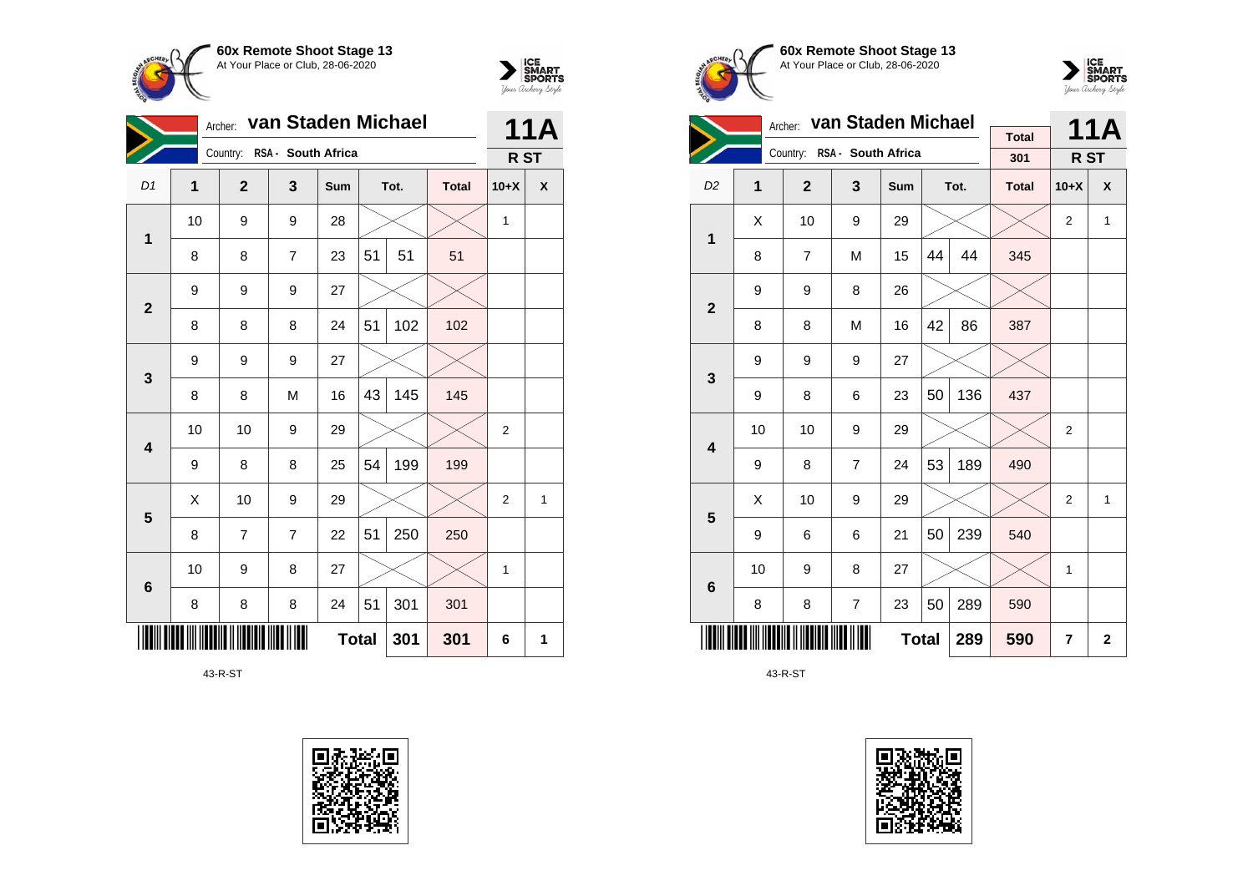



|                         | van Staden Michael<br>Archer:<br>Country: RSA - South Africa |                |                |              |    |      |              | 11A            |                    |
|-------------------------|--------------------------------------------------------------|----------------|----------------|--------------|----|------|--------------|----------------|--------------------|
|                         |                                                              |                |                |              |    |      |              | R ST           |                    |
| D1                      | $\mathbf{1}$                                                 | $\overline{2}$ | 3              | Sum          |    | Tot. | <b>Total</b> | $10+X$         | $\pmb{\mathsf{X}}$ |
| $\mathbf 1$             | 10                                                           | 9              | 9              | 28           |    |      |              | $\mathbf{1}$   |                    |
|                         | 8                                                            | 8              | $\overline{7}$ | 23           | 51 | 51   | 51           |                |                    |
| $\mathbf{2}$            | 9                                                            | 9              | 9              | 27           |    |      |              |                |                    |
|                         | 8                                                            | 8              | 8              | 24           | 51 | 102  | 102          |                |                    |
| $\mathbf{3}$            | 9                                                            | 9              | 9              | 27           |    |      |              |                |                    |
|                         | 8                                                            | 8              | M              | 16           | 43 | 145  | 145          |                |                    |
| $\overline{\mathbf{4}}$ | 10                                                           | 10             | 9              | 29           |    |      |              | $\mathbf{2}$   |                    |
|                         | 9                                                            | 8              | 8              | 25           | 54 | 199  | 199          |                |                    |
| $5\phantom{1}$          | X                                                            | 10             | 9              | 29           |    |      |              | $\overline{2}$ | 1                  |
|                         | 8                                                            | 7              | $\overline{7}$ | 22           | 51 | 250  | 250          |                |                    |
| $6\phantom{1}$          | 10                                                           | 9              | 8              | 27           |    |      |              | 1              |                    |
|                         | 8                                                            | 8              | 8              | 24           | 51 | 301  | 301          |                |                    |
|                         |                                                              |                |                | <b>Total</b> |    | 301  | 301          | 6              | 1                  |

43-R-ST









|                         |    | Archer:        | van Staden Michael          |              |    | <b>11A</b> |              |                |              |
|-------------------------|----|----------------|-----------------------------|--------------|----|------------|--------------|----------------|--------------|
|                         |    |                | Country: RSA - South Africa |              |    |            | <b>Total</b> |                |              |
|                         |    |                |                             |              |    |            | 301          | R ST           |              |
| D <sub>2</sub>          | 1  | $\overline{2}$ | 3                           | Sum          |    | Tot.       | <b>Total</b> | $10+X$         | $\mathsf{x}$ |
| 1                       | X  | 10             | 9                           | 29           |    |            |              | $\overline{2}$ | $\mathbf{1}$ |
|                         | 8  | $\overline{7}$ | M                           | 15           | 44 | 44         | 345          |                |              |
| $\overline{2}$          | 9  | 9              | 8                           | 26           |    |            |              |                |              |
|                         | 8  | 8              | M                           | 16           | 42 | 86         | 387          |                |              |
| 3                       | 9  | 9              | 9                           | 27           |    |            |              |                |              |
|                         | 9  | 8              | 6                           | 23           | 50 | 136        | 437          |                |              |
| $\overline{\mathbf{4}}$ | 10 | 10             | 9                           | 29           |    |            |              | $\overline{2}$ |              |
|                         | 9  | 8              | $\overline{7}$              | 24           | 53 | 189        | 490          |                |              |
| 5                       | Χ  | 10             | 9                           | 29           |    |            |              | $\overline{2}$ | 1            |
|                         | 9  | 6              | 6                           | 21           | 50 | 239        | 540          |                |              |
| 6                       | 10 | 9              | 8                           | 27           |    |            |              | $\mathbf{1}$   |              |
|                         | 8  | 8              | 7                           | 23           | 50 | 289        | 590          |                |              |
|                         |    |                |                             | <b>Total</b> |    | 289        | 590          | 7              | 2            |

43-R-ST

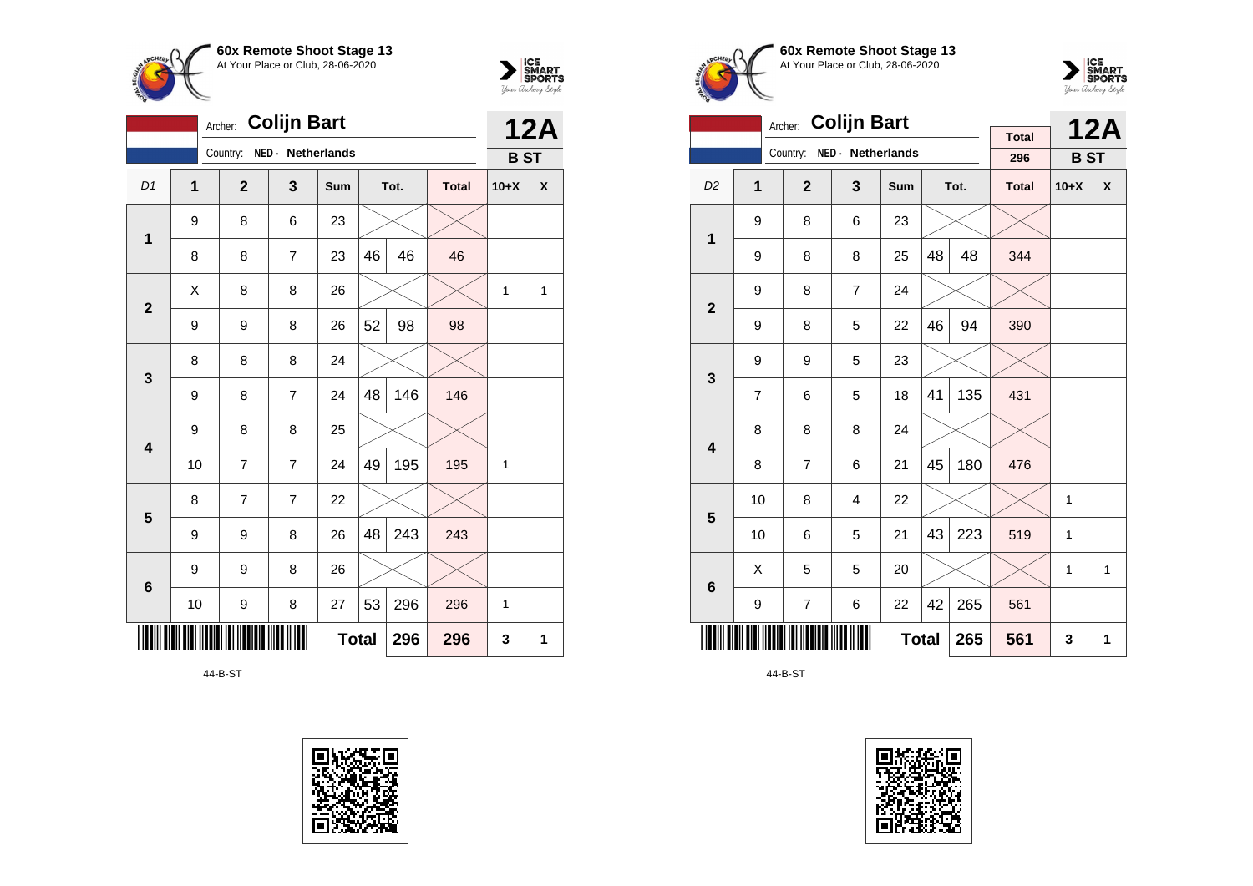



|                | <b>Colijn Bart</b><br>Archer: |              |                   |              |    |      |              |            | <b>12A</b> |  |
|----------------|-------------------------------|--------------|-------------------|--------------|----|------|--------------|------------|------------|--|
|                |                               | Country:     | NED - Netherlands |              |    |      |              | <b>BST</b> |            |  |
| D <sub>1</sub> | $\overline{\mathbf{1}}$       | $\mathbf{2}$ | 3                 | Sum          |    | Tot. | <b>Total</b> | $10+X$     | X          |  |
| 1              | 9                             | 8            | 6                 | 23           |    |      |              |            |            |  |
|                | 8                             | 8            | $\overline{7}$    | 23           | 46 | 46   | 46           |            |            |  |
| $\overline{2}$ | X                             | 8            | 8                 | 26           |    |      |              | 1          | 1          |  |
|                | 9                             | 9            | 8                 | 26           | 52 | 98   | 98           |            |            |  |
| 3              | 8                             | 8            | 8                 | 24           |    |      |              |            |            |  |
|                | 9                             | 8            | $\overline{7}$    | 24           | 48 | 146  | 146          |            |            |  |
| 4              | 9                             | 8            | 8                 | 25           |    |      |              |            |            |  |
|                | 10                            | 7            | $\overline{7}$    | 24           | 49 | 195  | 195          | 1          |            |  |
| 5              | 8                             | 7            | $\overline{7}$    | 22           |    |      |              |            |            |  |
|                | 9                             | 9            | 8                 | 26           | 48 | 243  | 243          |            |            |  |
| 6              | 9                             | 9            | 8                 | 26           |    |      |              |            |            |  |
|                | 10                            | 9            | 8                 | 27           | 53 | 296  | 296          | 1          |            |  |
|                |                               |              |                   | <b>Total</b> |    | 296  | 296          | 3          | 1          |  |

44-B-ST









|                         |    | <b>Colijn Bart</b><br>Archer: |                   |              |    | <b>12A</b> |                     |        |            |
|-------------------------|----|-------------------------------|-------------------|--------------|----|------------|---------------------|--------|------------|
|                         |    | Country:                      | NED - Netherlands |              |    |            | <b>Total</b><br>296 |        | <b>BST</b> |
|                         |    |                               |                   |              |    |            |                     |        |            |
| D <sub>2</sub>          | 1  | $\overline{2}$                | 3                 | Sum          |    | Tot.       | <b>Total</b>        | $10+X$ | X          |
| 1                       | 9  | 8                             | 6                 | 23           |    |            |                     |        |            |
|                         | 9  | 8                             | 8                 | 25           | 48 | 48         | 344                 |        |            |
| $\overline{2}$          | 9  | 8                             | $\overline{7}$    | 24           |    |            |                     |        |            |
|                         | 9  | 8                             | 5                 | 22           | 46 | 94         | 390                 |        |            |
| 3                       | 9  | 9                             | 5                 | 23           |    |            |                     |        |            |
|                         | 7  | 6                             | 5                 | 18           | 41 | 135        | 431                 |        |            |
| $\overline{\mathbf{4}}$ | 8  | 8                             | 8                 | 24           |    |            |                     |        |            |
|                         | 8  | 7                             | 6                 | 21           | 45 | 180        | 476                 |        |            |
| 5                       | 10 | 8                             | $\overline{4}$    | 22           |    |            |                     | 1      |            |
|                         | 10 | 6                             | 5                 | 21           | 43 | 223        | 519                 | 1      |            |
| 6                       | Χ  | 5                             | 5                 | 20           |    |            |                     | 1      | 1          |
|                         | 9  | 7                             | 6                 | 22           | 42 | 265        | 561                 |        |            |
|                         |    |                               |                   | <b>Total</b> |    | 265        | 561                 | 3      | 1          |

44-B-ST

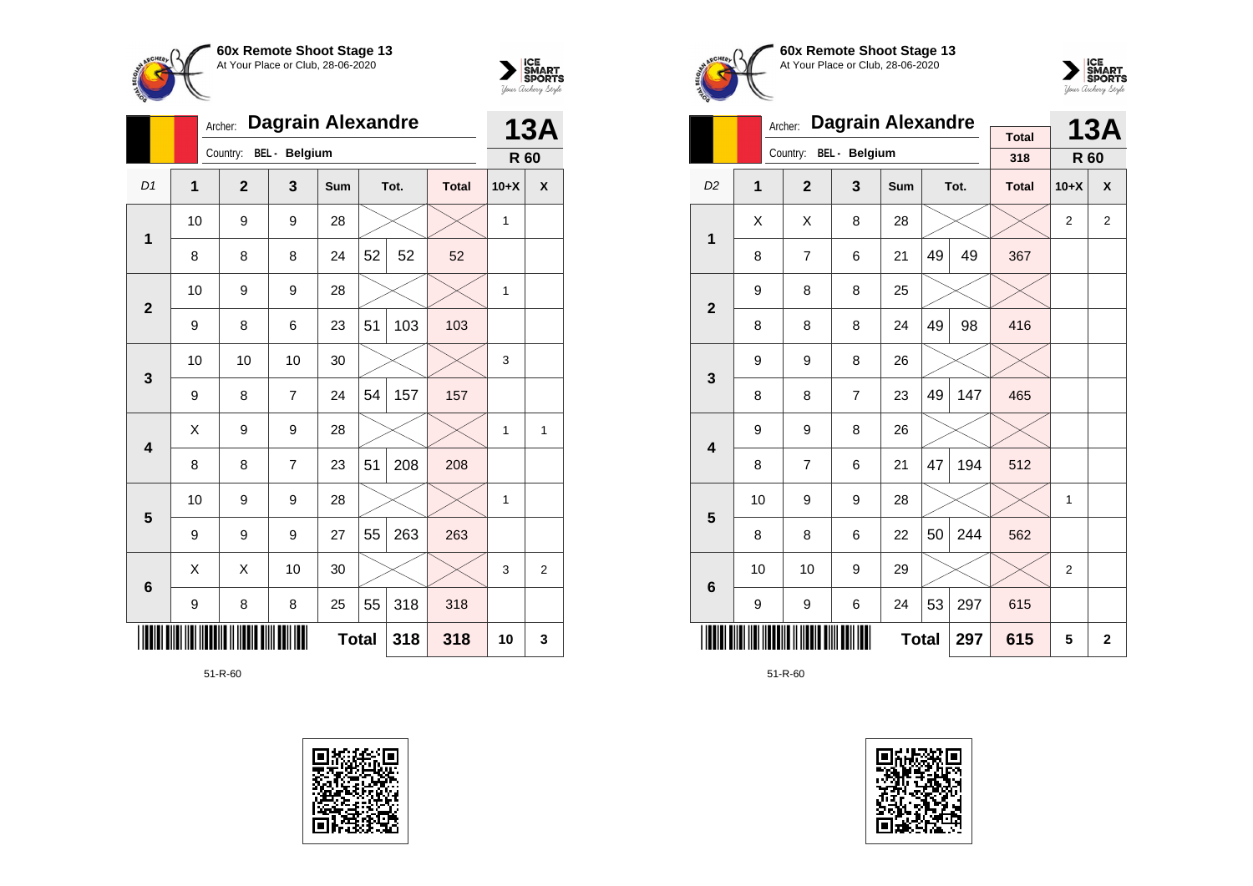



|                |                | <b>Dagrain Alexandre</b><br>Archer: |               |              | <b>13A</b> |      |              |        |   |
|----------------|----------------|-------------------------------------|---------------|--------------|------------|------|--------------|--------|---|
|                |                | Country:                            | BEL - Belgium |              |            |      |              | R 60   |   |
| D1             | $\overline{1}$ | $\overline{2}$                      | 3             | Sum          |            | Tot. | <b>Total</b> | $10+X$ | X |
| 1              | 10             | 9                                   | 9             | 28           |            |      |              | 1      |   |
|                | 8              | 8                                   | 8             | 24           | 52         | 52   | 52           |        |   |
| $\overline{2}$ | 10             | 9                                   | 9             | 28           |            |      |              | 1      |   |
|                | 9              | 8                                   | 6             | 23           | 51         | 103  | 103          |        |   |
| 3              | 10             | 10                                  | 10            | 30           |            |      |              | 3      |   |
|                | 9              | 8                                   | 7             | 24           | 54         | 157  | 157          |        |   |
| 4              | Χ              | 9                                   | 9             | 28           |            |      |              | 1      | 1 |
|                | 8              | 8                                   | 7             | 23           | 51         | 208  | 208          |        |   |
| 5              | 10             | 9                                   | 9             | 28           |            |      |              | 1      |   |
|                | 9              | 9                                   | 9             | 27           | 55         | 263  | 263          |        |   |
| 6              | X              | X                                   | 10            | 30           |            |      |              | 3      | 2 |
|                | 9              | 8                                   | 8             | 318          | 318        |      |              |        |   |
|                |                |                                     |               | <b>Total</b> |            | 318  | 318          | 10     | 3 |







|                         |                | Archer:        | <b>Dagrain Alexandre</b> |              | <b>Total</b> |      | <b>13A</b>   |        |                |
|-------------------------|----------------|----------------|--------------------------|--------------|--------------|------|--------------|--------|----------------|
|                         |                | Country:       | <b>BEL</b> - Belgium     |              |              |      | 318          | R 60   |                |
| D <sub>2</sub>          | $\overline{1}$ | $\overline{2}$ | 3                        | <b>Sum</b>   |              | Tot. | <b>Total</b> | $10+X$ | X              |
| 1                       | X              | X              | 8                        | 28           |              |      |              | 2      | $\overline{2}$ |
|                         | 8              | $\overline{7}$ | 6                        | 21           | 49           | 49   | 367          |        |                |
| $\overline{2}$          | 9              | 8              | 8                        | 25           |              |      |              |        |                |
|                         | 8              | 8              | 8                        | 24           | 49           | 98   | 416          |        |                |
| 3                       | 9              | 9              | 8                        | 26           |              |      |              |        |                |
|                         | 8              | 8              | $\overline{7}$           | 23           | 49           | 147  | 465          |        |                |
| $\overline{\mathbf{4}}$ | 9              | 9              | 8                        | 26           |              |      |              |        |                |
|                         | 8              | 7              | 6                        | 21           | 47           | 194  | 512          |        |                |
| 5                       | 10             | 9              | 9                        | 28           |              |      |              | 1      |                |
|                         | 8              | 8              | 6                        | 22           | 50           | 244  | 562          |        |                |
| 6                       | 10             | 10             | 9                        | 29           |              |      |              | 2      |                |
|                         | 9              | 9              | 6                        | 24           | 53           | 297  | 615          |        |                |
|                         |                |                |                          | <b>Total</b> |              | 297  | 615          | 5      | $\overline{2}$ |

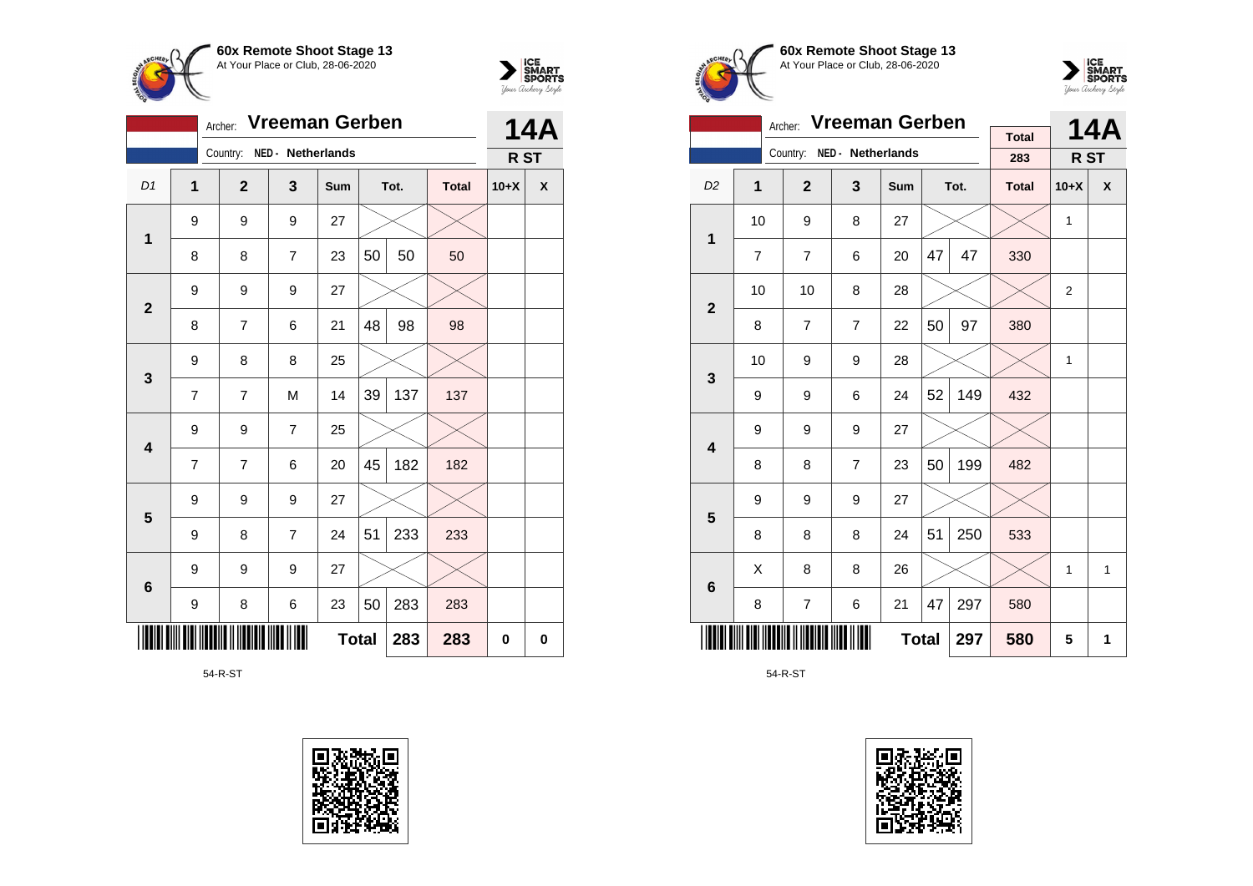



|                |                                | Archer:        | Vreeman Gerben    |     |              |      |              |        | <b>14A</b> |
|----------------|--------------------------------|----------------|-------------------|-----|--------------|------|--------------|--------|------------|
|                |                                | Country:       | NED - Netherlands |     |              |      |              | R ST   |            |
| D1             | 1                              | $\mathbf{2}$   | 3                 | Sum |              | Tot. | <b>Total</b> | $10+X$ | χ          |
| $\mathbf 1$    | 9                              | 9              | 9                 | 27  |              |      |              |        |            |
|                | 8                              | 8              | $\overline{7}$    | 23  | 50           | 50   | 50           |        |            |
| $\overline{2}$ | 9                              | 9              | 9                 | 27  |              |      |              |        |            |
|                | 8                              | $\overline{7}$ | 6                 | 21  | 48           | 98   | 98           |        |            |
| $\mathbf{3}$   | 9                              | 8              | 8                 | 25  |              |      |              |        |            |
|                | $\overline{7}$                 | $\overline{7}$ | M                 | 14  | 39           | 137  | 137          |        |            |
| 4              | 9                              | 9              | $\overline{7}$    | 25  |              |      |              |        |            |
|                | 7                              | $\overline{7}$ | 6                 | 20  | 45           | 182  | 182          |        |            |
| 5              | 9                              | 9              | 9                 | 27  |              |      |              |        |            |
|                | 9                              | 8              | $\overline{7}$    | 24  | 51           | 233  | 233          |        |            |
|                | 9                              | 9              | 9                 | 27  |              |      |              |        |            |
|                | $6\phantom{1}6$<br>8<br>6<br>9 |                |                   | 23  | 50           | 283  | 283          |        |            |
|                |                                |                |                   |     | <b>Total</b> | 283  | 283          | 0      | 0          |

54-R-ST







|                         |                                                                              | <b>Vreeman Gerben</b><br>Archer: |                   |              |    | <b>14A</b> |              |                |              |
|-------------------------|------------------------------------------------------------------------------|----------------------------------|-------------------|--------------|----|------------|--------------|----------------|--------------|
|                         |                                                                              | Country:                         | NED - Netherlands |              |    |            | <b>Total</b> |                |              |
|                         |                                                                              |                                  |                   |              |    |            | 283          | R ST           |              |
| D <sub>2</sub>          | 1                                                                            | $\overline{2}$                   | 3                 | Sum          |    | Tot.       | <b>Total</b> | $10+X$         | $\mathsf{x}$ |
| 1                       | 10                                                                           | 9                                | 8                 | 27           |    |            |              | 1              |              |
|                         | $\overline{7}$                                                               | $\overline{7}$                   | 6                 | 20           | 47 | 47         | 330          |                |              |
|                         | 10<br>10<br>8<br>28                                                          |                                  |                   |              |    |            |              | $\overline{2}$ |              |
|                         | $\overline{\mathbf{2}}$<br>50<br>8<br>$\overline{7}$<br>$\overline{7}$<br>22 |                                  |                   |              |    |            | 380          |                |              |
| 3                       | 10                                                                           | 9                                | 9                 | 28           |    |            |              | 1              |              |
|                         | 9                                                                            | 9                                | 6                 | 24           | 52 | 149        | 432          |                |              |
| $\overline{\mathbf{4}}$ | 9                                                                            | 9                                | 9                 | 27           |    |            |              |                |              |
|                         | 8                                                                            | 8                                | $\overline{7}$    | 23           | 50 | 199        | 482          |                |              |
| 5                       | 9                                                                            | 9                                | 9                 | 27           |    |            |              |                |              |
|                         | 8                                                                            | 8                                | 8                 | 24           | 51 | 250        | 533          |                |              |
| 6                       | X                                                                            | 8                                | 8                 | 26           |    |            |              | 1              | $\mathbf{1}$ |
|                         | 8                                                                            | $\overline{7}$                   | 6                 | 21           | 47 | 297        | 580          |                |              |
|                         |                                                                              |                                  |                   | <b>Total</b> |    | 297        | 580          | 5              | 1            |

54-R-ST

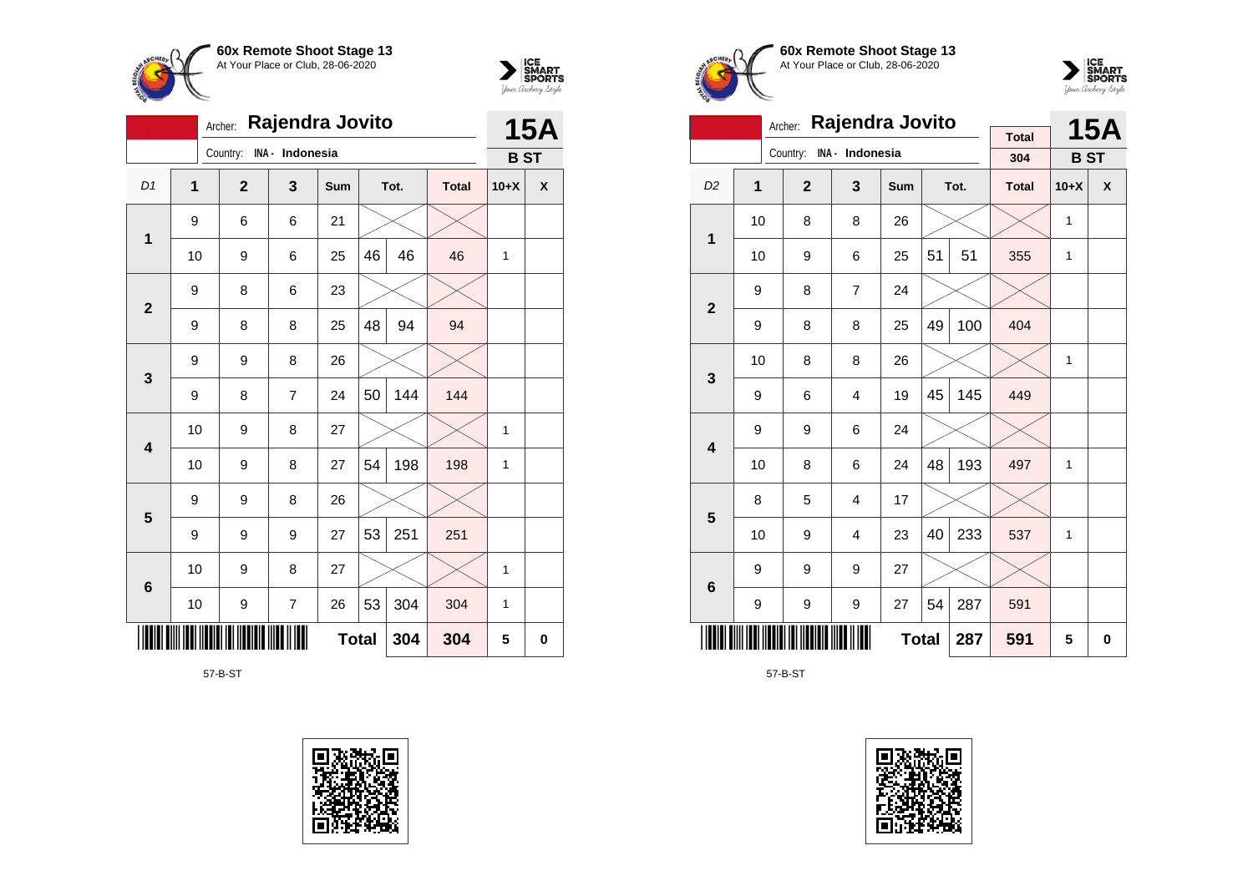



|                |              | Archer:        | Rajendra Jovito |              |    |      |              |            | <b>15A</b> |
|----------------|--------------|----------------|-----------------|--------------|----|------|--------------|------------|------------|
|                |              | Country:       | INA - Indonesia |              |    |      |              | <b>BST</b> |            |
| D1             | $\mathbf{1}$ | $\overline{2}$ | 3               | Sum          |    | Tot. | <b>Total</b> | $10+X$     | X          |
| $\mathbf{1}$   | 9            | 6              | 6               | 21           |    |      |              |            |            |
|                | 10           | 9              | 6               | 25           | 46 | 46   | 46           | 1          |            |
| $\overline{2}$ | 9            | 8              | 6               | 23           |    |      |              |            |            |
|                | 9            | 8              | 8               | 25           | 48 | 94   | 94           |            |            |
| 3              | 9            | 9              | 8               | 26           |    |      |              |            |            |
|                | 9            | 8              | 7               | 24           | 50 | 144  | 144          |            |            |
| 4              | 10           | 9              | 8               | 27           |    |      |              | 1          |            |
|                | 10           | 9              | 8               | 27           | 54 | 198  | 198          | 1          |            |
| 5              | 9            | 9              | 8               | 26           |    |      |              |            |            |
|                | 9            | 9              | 9               | 27           | 53 | 251  | 251          |            |            |
| 6              | 10           | 9              | 8               | 27           |    |      |              | 1          |            |
|                | 10           | 9              | $\overline{7}$  | 26           | 53 | 304  | 304          | 1          |            |
|                |              |                |                 | <b>Total</b> |    | 304  | 304          | 5          | 0          |

57-B-ST









|                         |                | Rajendra Jovito<br>Archer: |                 |              |    | <b>15A</b> |                     |            |   |
|-------------------------|----------------|----------------------------|-----------------|--------------|----|------------|---------------------|------------|---|
|                         |                | Country:                   | INA - Indonesia |              |    |            | <b>Total</b><br>304 | <b>BST</b> |   |
|                         |                |                            |                 |              |    |            |                     |            |   |
| D <sub>2</sub>          | $\overline{1}$ | $\overline{2}$             | 3               | Sum          |    | Tot.       | <b>Total</b>        | $10+X$     | X |
| 1                       | 10             | 8                          | 8               | 26           |    |            |                     | 1          |   |
|                         | 10             | 9                          | 6               | 25           | 51 | 51         | 355                 | 1          |   |
| $\overline{2}$          | 9              | 8                          | $\overline{7}$  | 24           |    |            |                     |            |   |
|                         | 9              | 8                          | 8               | 25           | 49 | 100        | 404                 |            |   |
| 3                       | 10             | 8                          | 8               | 26           |    |            |                     | 1          |   |
|                         | 9              | 6                          | $\overline{4}$  | 19           | 45 | 145        | 449                 |            |   |
| $\overline{\mathbf{4}}$ | 9              | 9                          | 6               | 24           |    |            |                     |            |   |
|                         | 10             | 8                          | 6               | 24           | 48 | 193        | 497                 | 1          |   |
| 5                       | 8              | 5                          | $\overline{4}$  | 17           |    |            |                     |            |   |
|                         | 10             | 9                          | 4               | 23           | 40 | 233        | 537                 | 1          |   |
| $6\phantom{1}6$         | 9              | 9                          | 9               | 27           |    |            |                     |            |   |
|                         | 9              | 9                          | 9               | 27           | 54 | 287        | 591                 |            |   |
|                         |                |                            |                 | <b>Total</b> |    | 287        | 591                 | 5          | 0 |

57-B-ST

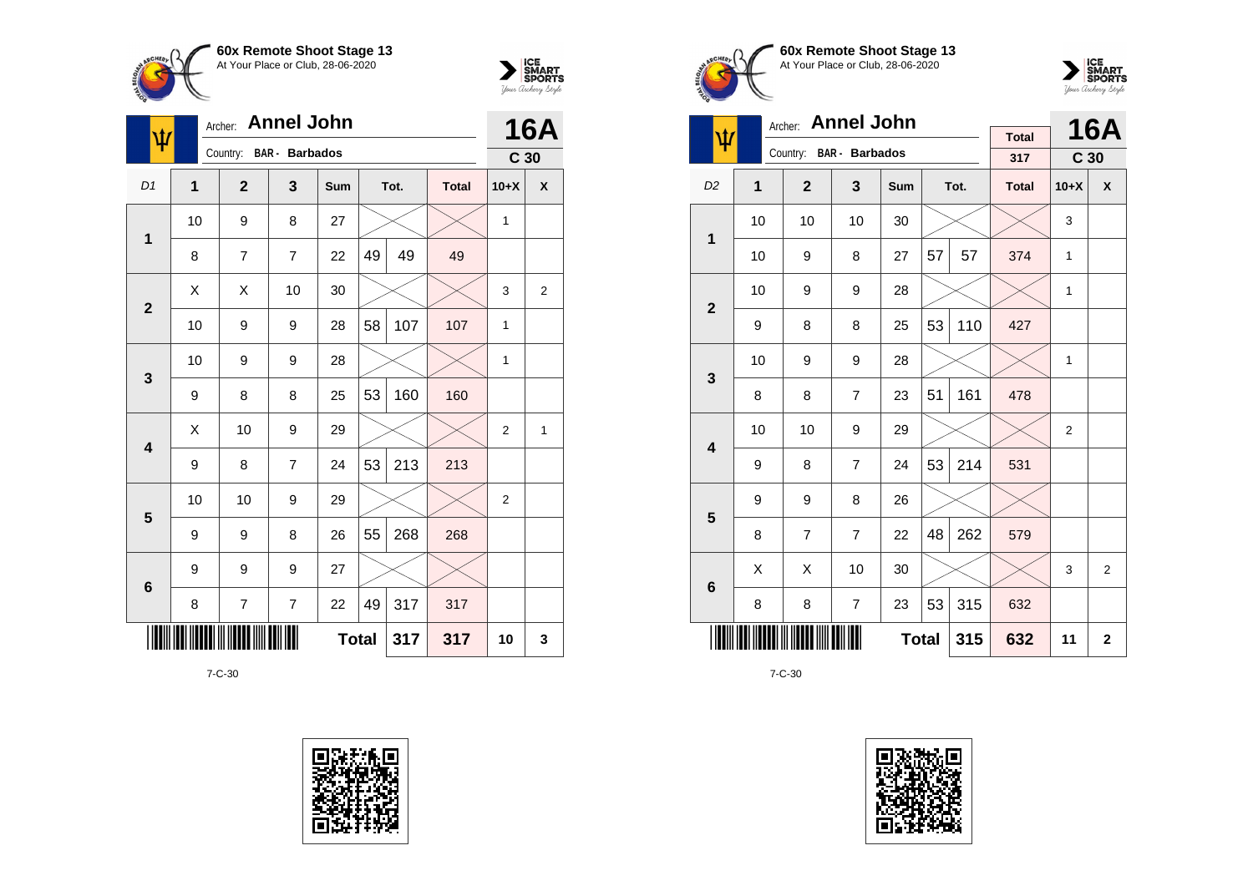



| $\overline{\Psi}$ |             | <b>Annel John</b><br>Archer: |                       | <b>16A</b>   |    |      |              |                 |                         |
|-------------------|-------------|------------------------------|-----------------------|--------------|----|------|--------------|-----------------|-------------------------|
|                   |             | Country:                     | <b>BAR</b> - Barbados |              |    |      |              | C <sub>30</sub> |                         |
| D1                | $\mathbf 1$ | $\mathbf{2}$                 | 3                     | Sum          |    | Tot. | <b>Total</b> | $10+X$          | X                       |
| $\mathbf 1$       | 10          | 9                            | 8                     | 27           |    |      |              | $\mathbf{1}$    |                         |
|                   | 8           | $\overline{7}$               | 7                     | 22           | 49 | 49   | 49           |                 |                         |
| $\overline{2}$    | X           | Χ                            | 10                    | 30           |    |      |              | 3               | $\overline{\mathbf{c}}$ |
|                   | 10          | 9                            | 9                     | 28           | 58 | 107  | 107          | 1               |                         |
| $\mathbf{3}$      | 10          | 9                            | 9                     | 28           |    |      |              | 1               |                         |
|                   | 9           | 8                            | 8                     | 25           | 53 | 160  | 160          |                 |                         |
| 4                 | Χ           | 10                           | 9                     | 29           |    |      |              | 2               | $\mathbf{1}$            |
|                   | 9           | 8                            | $\overline{7}$        | 24           | 53 | 213  | 213          |                 |                         |
| 5                 | 10          | 10                           | 9                     | 29           |    |      |              | 2               |                         |
|                   | 9           | 9                            | 8                     | 26           | 55 | 268  | 268          |                 |                         |
| $\bf 6$           | 9           | 9                            | 9                     | 27           |    |      |              |                 |                         |
|                   | 8           | 7                            | $\overline{7}$        | 22           | 49 | 317  | 317          |                 |                         |
|                   |             |                              |                       | <b>Total</b> |    | 317  | 317          | 10              | 3                       |









| <b>Annel John</b><br>Archer: |                     |                |                |     |    |      |                     |                 | <b>16A</b>     |
|------------------------------|---------------------|----------------|----------------|-----|----|------|---------------------|-----------------|----------------|
| ψ                            |                     | Country:       | BAR - Barbados |     |    |      | <b>Total</b><br>317 | C <sub>30</sub> |                |
| D <sub>2</sub>               | $\overline{1}$      | $\overline{2}$ | 3              | Sum |    | Tot. | <b>Total</b>        | $10+X$          | $\mathsf{x}$   |
| 1                            | 10                  | 10             | 10             | 30  |    |      |                     | 3               |                |
|                              | 10                  | 9              | 8              | 27  | 57 | 57   | 374                 | 1               |                |
| $\overline{2}$               | 10                  | 9              | 9              | 28  |    |      |                     | $\mathbf{1}$    |                |
|                              | 9                   | 8              | 8              | 25  | 53 | 110  | 427                 |                 |                |
| 3                            | 10                  | 9              | 9              | 28  |    |      |                     | 1               |                |
|                              | 8                   | 8              | $\overline{7}$ | 23  | 51 | 161  | 478                 |                 |                |
| $\overline{\mathbf{4}}$      | 10                  | 10             | 9              | 29  |    |      |                     | 2               |                |
|                              | 9                   | 8              | $\overline{7}$ | 24  | 53 | 214  | 531                 |                 |                |
| 5                            | 9                   | 9              | 8              | 26  |    |      |                     |                 |                |
|                              | 8                   | $\overline{7}$ | $\overline{7}$ | 22  | 48 | 262  | 579                 |                 |                |
| 6                            | X                   | Χ              | 10             | 30  |    |      |                     | 3               | $\overline{2}$ |
|                              | 8                   | 8              | $\overline{7}$ | 23  | 53 | 315  | 632                 |                 |                |
|                              | <b>Total</b><br>315 |                |                |     |    |      |                     | 11              | $\mathbf{2}$   |

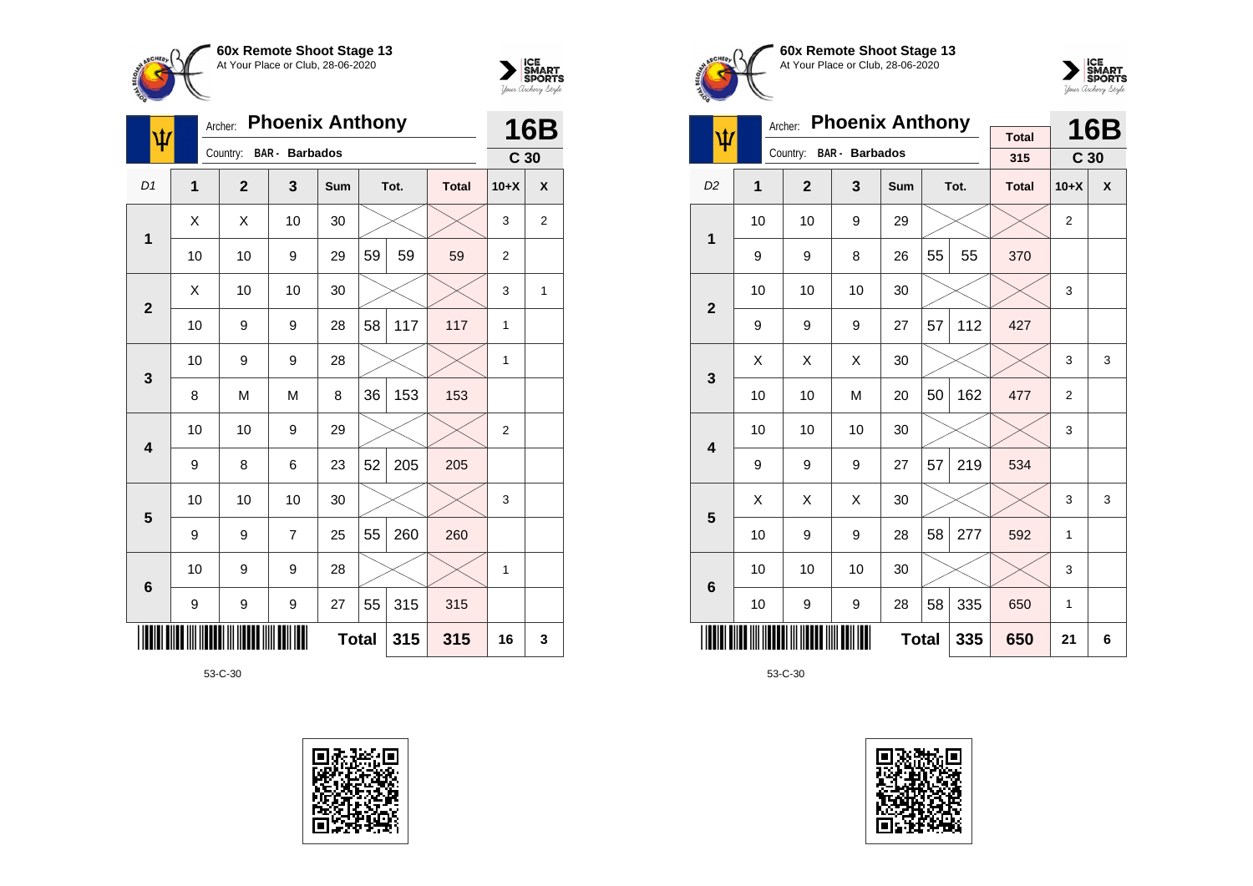



|                         | <b>Phoenix Anthony</b><br>Archer:<br>ψ |                |                       |              |    |      |              |                 |            |
|-------------------------|----------------------------------------|----------------|-----------------------|--------------|----|------|--------------|-----------------|------------|
|                         |                                        | Country:       | <b>BAR</b> - Barbados |              |    |      |              | C <sub>30</sub> | <b>16B</b> |
| D <sub>1</sub>          | 1                                      | $\overline{2}$ | 3                     | <b>Sum</b>   |    | Tot. | <b>Total</b> | $10+X$          | X          |
| 1                       | Χ                                      | X              | 10                    | 30           |    |      |              | 3               | 2          |
|                         | 10                                     | 10             | 9                     | 29           | 59 | 59   | 59           | $\overline{c}$  |            |
| $\overline{2}$          | Χ                                      | 10             | 10                    | 30           |    |      |              | 3               | 1          |
|                         | 10                                     | 9              | 9                     | 28           | 58 | 117  | 117          | 1               |            |
| 3                       | 10                                     | 9              | 9                     | 28           |    |      |              | 1               |            |
|                         | 8                                      | M              | M                     | 8            | 36 | 153  | 153          |                 |            |
| $\overline{\mathbf{4}}$ | 10                                     | 10             | 9                     | 29           |    |      |              | $\overline{2}$  |            |
|                         | 9                                      | 8              | 6                     | 23           | 52 | 205  | 205          |                 |            |
|                         | 10                                     | 10             | 10                    | 30           |    |      |              | 3               |            |
| 5                       | 9                                      | 9              | $\overline{7}$        | 25           | 55 | 260  | 260          |                 |            |
| $6\phantom{1}6$         | 10                                     | 9              | 9                     | 28           |    |      |              | 1               |            |
|                         | 9                                      | 9              | 9                     | 27           | 55 | 315  | 315          |                 |            |
|                         |                                        |                |                       | <b>Total</b> |    | 315  | 315          | 16              | 3          |







|                         |                     | Archer:        | <b>Phoenix Anthony</b> |     |    | <b>16B</b> |                     |                 |   |
|-------------------------|---------------------|----------------|------------------------|-----|----|------------|---------------------|-----------------|---|
| ψ                       |                     | Country:       | <b>BAR</b> - Barbados  |     |    |            | <b>Total</b><br>315 | C <sub>30</sub> |   |
|                         |                     |                |                        |     |    |            |                     |                 |   |
| D <sub>2</sub>          | 1                   | $\overline{2}$ | 3                      | Sum |    | Tot.       | <b>Total</b>        | $10+X$          | X |
| 1                       | 10                  | 10             | 9                      | 29  |    |            |                     | $\overline{2}$  |   |
|                         | 9                   | 9              | 8                      | 26  | 55 | 55         | 370                 |                 |   |
| $\overline{2}$          | 10                  | 10             | 10                     | 30  |    |            |                     | 3               |   |
|                         | 9                   | 9              | 9                      | 27  | 57 | 112        | 427                 |                 |   |
| 3                       | X                   | X              | X                      | 30  |    |            |                     | 3               | 3 |
|                         | 10                  | 10             | M                      | 20  | 50 | 162        | 477                 | $\overline{2}$  |   |
| $\overline{\mathbf{4}}$ | 10                  | 10             | 10                     | 30  |    |            |                     | 3               |   |
|                         | 9                   | 9              | 9                      | 27  | 57 | 219        | 534                 |                 |   |
| 5                       | X                   | X              | X                      | 30  |    |            |                     | 3               | 3 |
|                         | 10                  | 9              | 9                      | 28  | 58 | 277        | 592                 | 1               |   |
| 6                       | 10                  | 10             | 10                     | 30  |    |            |                     | 3               |   |
|                         | 10                  | 9              | 9                      | 28  | 58 | 335        | 650                 | 1               |   |
|                         | <b>Total</b><br>335 |                |                        |     |    |            |                     | 21              | 6 |

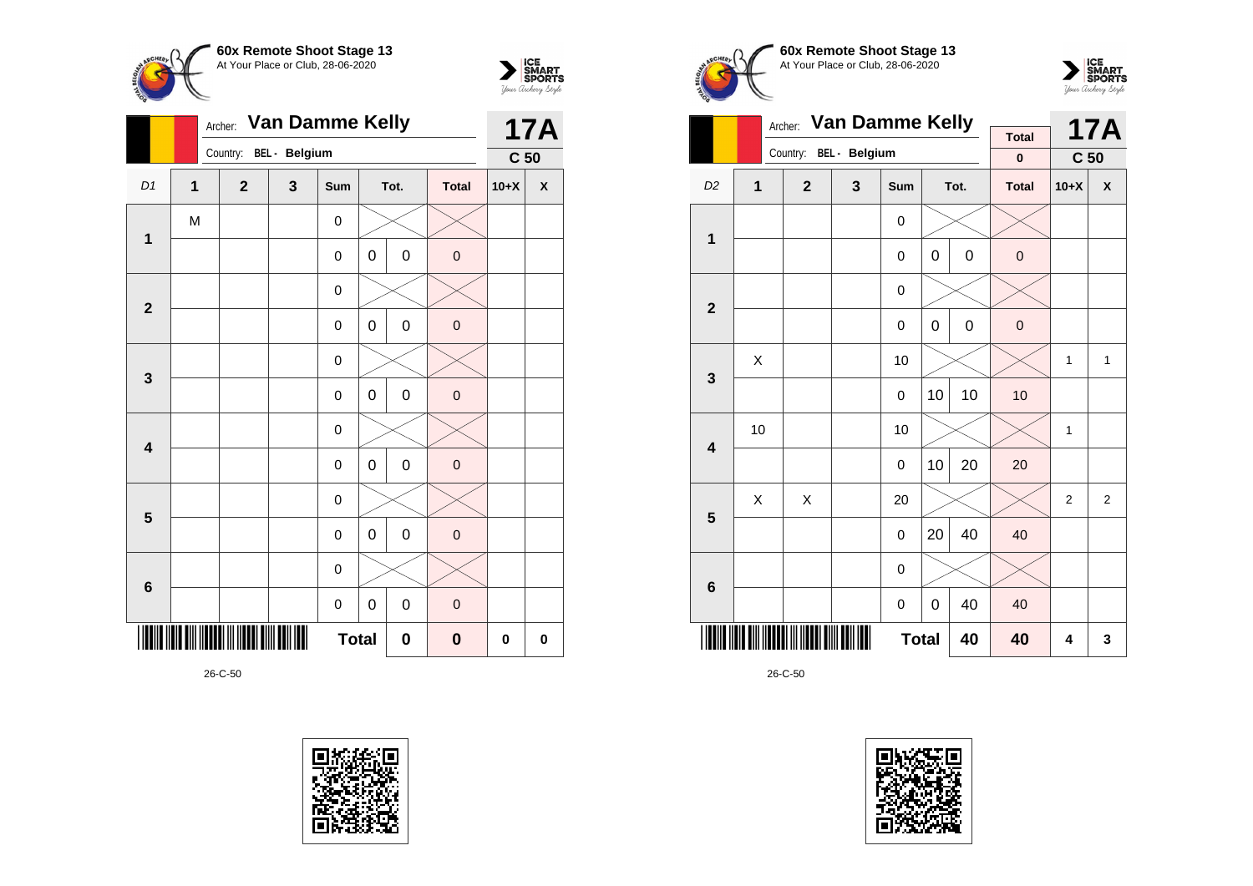



|                         |                | Archer:               |                        | <b>17A</b>   |              |   |      |              |                 |   |
|-------------------------|----------------|-----------------------|------------------------|--------------|--------------|---|------|--------------|-----------------|---|
|                         |                |                       | Country: BEL - Belgium |              |              |   |      |              | C <sub>50</sub> |   |
| D1                      | $\overline{1}$ |                       | $\overline{2}$         | $\mathbf{3}$ | Sum          |   | Tot. | <b>Total</b> | $10+X$          | X |
| $\mathbf{1}$            | M              |                       |                        |              | 0            |   |      |              |                 |   |
|                         |                |                       |                        |              | 0            | 0 | 0    | $\pmb{0}$    |                 |   |
|                         |                |                       |                        |              | 0            |   |      |              |                 |   |
| $\mathbf{2}$            |                |                       |                        |              | $\mathsf 0$  | 0 | 0    | $\pmb{0}$    |                 |   |
| $\mathbf{3}$            |                |                       |                        |              | $\mathsf 0$  |   |      |              |                 |   |
|                         |                |                       |                        |              | 0            | 0 | 0    | $\pmb{0}$    |                 |   |
| $\overline{\mathbf{4}}$ |                |                       |                        |              | 0            |   |      |              |                 |   |
|                         |                |                       |                        |              | $\mathsf 0$  | 0 | 0    | $\pmb{0}$    |                 |   |
| 5                       |                |                       |                        |              | 0            |   |      |              |                 |   |
|                         |                |                       |                        |              | $\mathsf 0$  | 0 | 0    | $\pmb{0}$    |                 |   |
| $\bf 6$                 |                |                       |                        |              | 0            |   |      |              |                 |   |
|                         |                | 0<br>0<br>$\mathsf 0$ |                        |              |              |   |      |              |                 |   |
|                         |                |                       |                        |              | <b>Total</b> |   | 0    | $\bf{0}$     | 0               | 0 |







| <b>Van Damme Kelly</b><br>Archer: |                    |                |               |             |             |             | <b>Total</b> |                 | <b>17A</b> |
|-----------------------------------|--------------------|----------------|---------------|-------------|-------------|-------------|--------------|-----------------|------------|
|                                   |                    | Country:       | BEL - Belgium |             |             |             | $\bf{0}$     | C <sub>50</sub> |            |
| D <sub>2</sub>                    | $\overline{1}$     | $\overline{2}$ | 3             | Sum         |             | Tot.        | <b>Total</b> | $10+X$          | X          |
| 1                                 |                    |                |               | 0           |             |             |              |                 |            |
|                                   |                    |                |               | 0           | $\mathbf 0$ | $\mathbf 0$ | $\mathbf 0$  |                 |            |
| $\overline{\mathbf{2}}$           |                    |                |               | 0           |             |             |              |                 |            |
|                                   |                    |                |               | $\mathbf 0$ | $\mathbf 0$ | $\mathbf 0$ |              |                 |            |
| 3                                 | X                  |                |               | 10          |             |             |              | 1               | 1          |
|                                   |                    |                |               | 0           | 10          | 10          | 10           |                 |            |
| $\overline{\mathbf{4}}$           | 10                 |                |               | 10          |             |             |              | 1               |            |
|                                   |                    |                |               | 0           | 10          | 20          | 20           |                 |            |
| 5                                 | Χ                  | X              |               | 20          |             |             |              | $\overline{2}$  | 2          |
|                                   |                    |                |               | 0           | 20          | 40          | 40           |                 |            |
| $6\phantom{1}6$                   |                    |                |               | $\mathbf 0$ |             |             |              |                 |            |
|                                   |                    |                |               | 0           | 0           | 40          | 40           |                 |            |
|                                   | <b>Total</b><br>40 |                |               |             |             |             |              | 4               | 3          |

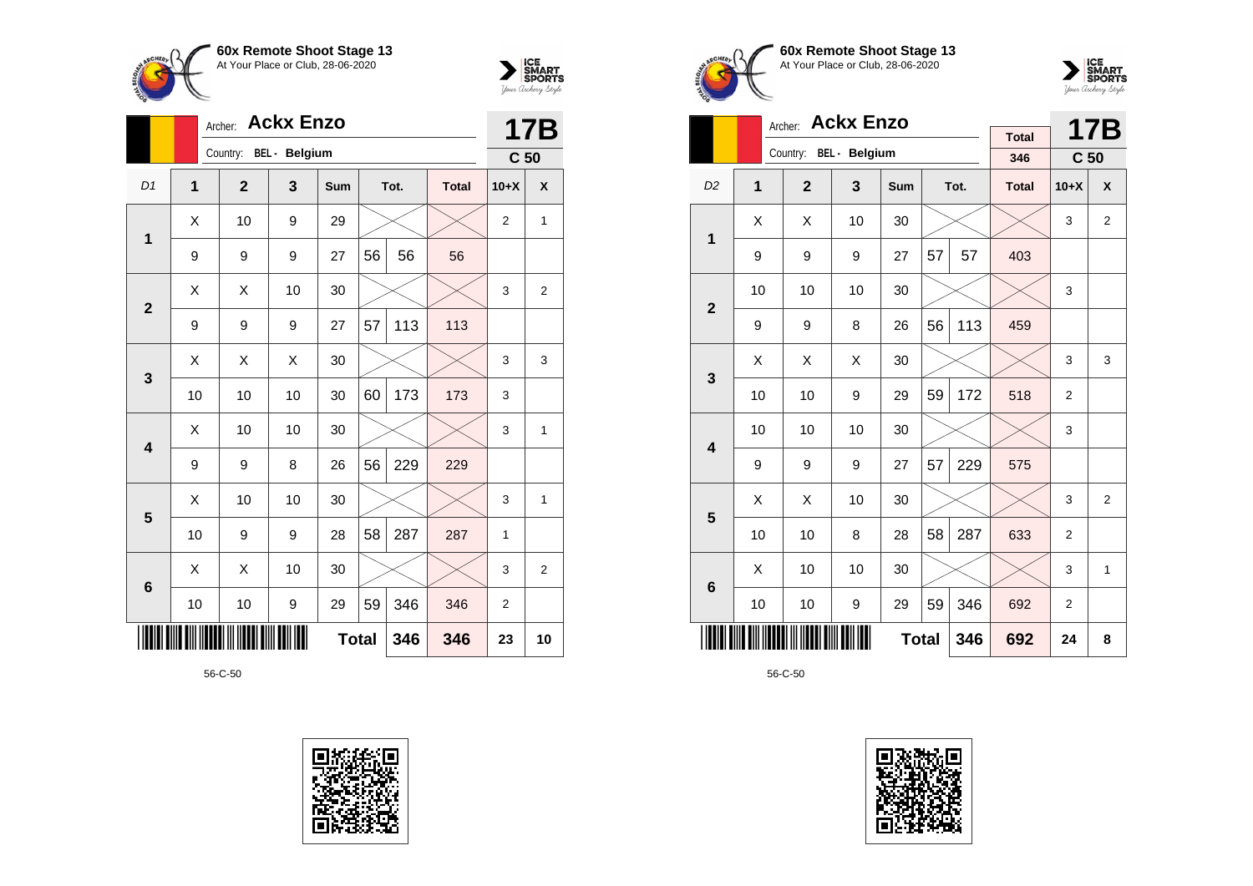



|                | Archer: |                |                      | <b>17B</b>   |    |      |              |                 |                |
|----------------|---------|----------------|----------------------|--------------|----|------|--------------|-----------------|----------------|
|                |         | Country:       | <b>BEL</b> - Belgium |              |    |      |              | C <sub>50</sub> |                |
| D <sub>1</sub> | 1       | $\overline{2}$ | 3                    | <b>Sum</b>   |    | Tot. | <b>Total</b> | $10+X$          | X              |
| 1              | X       | 10             | 9                    | 29           |    |      |              | $\overline{2}$  | 1              |
|                | 9       | 9              | 9                    | 27           | 56 | 56   | 56           |                 |                |
| $\overline{2}$ | X       | X              | 10                   | 30           |    |      |              | 3               | $\overline{2}$ |
|                | 9       | 9              | 9                    | 27           | 57 | 113  | 113          |                 |                |
| 3              | X       | X              | X                    | 30           |    |      |              | 3               | 3              |
|                | 10      | 10             | 10                   | 30           | 60 | 173  | 173          | 3               |                |
| 4              | X       | 10             | 10                   | 30           |    |      |              | 3               | 1              |
|                | 9       | 9              | 8                    | 26           | 56 | 229  | 229          |                 |                |
| 5              | X       | 10             | 10                   | 30           |    |      |              | 3               | 1              |
|                | 10      | 9              | 9                    | 28           | 58 | 287  | 287          | 1               |                |
| 6              | X       | X              | 10                   | 30           |    |      |              | 3               | $\overline{2}$ |
|                | 10      | 10             | 9                    | 29           | 59 | 346  | 346          | $\overline{2}$  |                |
|                |         |                |                      | <b>Total</b> |    | 346  | 346          | 23              | 10             |









|                                  |    | <b>Ackx Enzo</b><br>Archer: |    |            |    | <b>17B</b> |              |                 |                |
|----------------------------------|----|-----------------------------|----|------------|----|------------|--------------|-----------------|----------------|
|                                  |    | Country: BEL - Belgium      |    |            |    |            | <b>Total</b> |                 |                |
|                                  |    |                             |    |            |    |            | 346          | C <sub>50</sub> |                |
| D <sub>2</sub>                   | 1  | $\overline{2}$              | 3  | <b>Sum</b> |    | Tot.       | <b>Total</b> | $10+X$          | X              |
| 1                                | X  | X                           | 10 | 30         |    |            |              | 3               | $\overline{2}$ |
|                                  | 9  | 9                           | 9  | 27         | 57 | 57         | 403          |                 |                |
| $\overline{2}$                   | 10 | 10                          | 10 | 30         |    |            |              | 3               |                |
|                                  | 9  | 9                           | 8  | 26         | 56 | 113        | 459          |                 |                |
| 3                                | X  | X                           | X  | 30         |    |            |              | 3               | 3              |
|                                  | 10 | 10                          | 9  | 29         | 59 | 172        | 518          | $\overline{2}$  |                |
| $\overline{\mathbf{4}}$          | 10 | 10                          | 10 | 30         |    |            |              | 3               |                |
|                                  | 9  | 9                           | 9  | 27         | 57 | 229        | 575          |                 |                |
| 5                                | Χ  | Χ                           | 10 | 30         |    |            |              | 3               | $\overline{2}$ |
|                                  | 10 | 10                          | 8  | 28         | 58 | 287        | 633          | $\overline{2}$  |                |
| 6                                | X  | 10                          | 10 | 30         |    |            |              | 3               | 1              |
| 59<br>346<br>10<br>10<br>9<br>29 |    |                             |    |            |    |            | 692          | $\overline{2}$  |                |
|                                  |    | 692                         | 24 | 8          |    |            |              |                 |                |

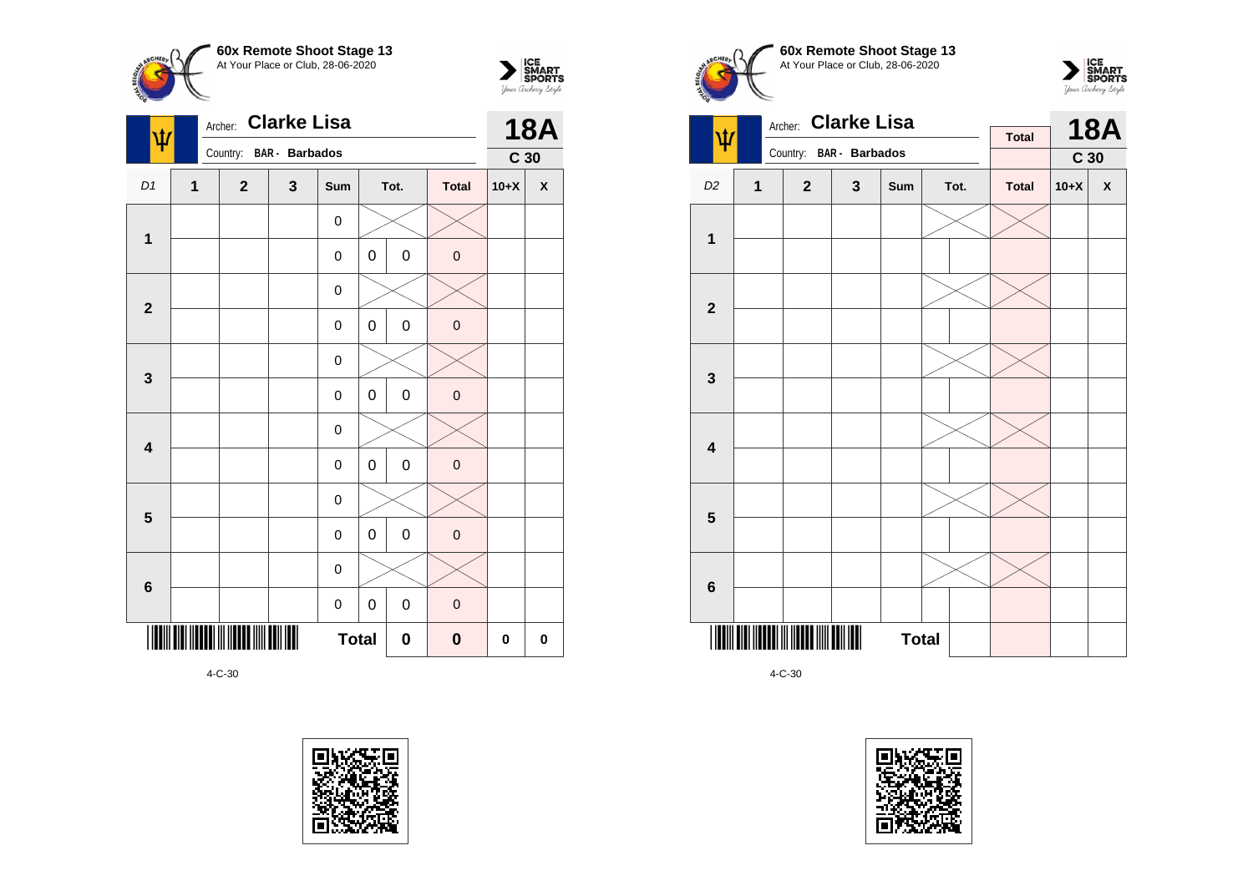



| ۱Ù                      |                | <b>Clarke Lisa</b><br>Archer: |                       | <b>18A</b>  |             |             |                     |                 |                    |
|-------------------------|----------------|-------------------------------|-----------------------|-------------|-------------|-------------|---------------------|-----------------|--------------------|
|                         |                | Country:                      | <b>BAR</b> - Barbados |             |             |             |                     | C <sub>30</sub> |                    |
| D1                      | $\overline{1}$ | $\overline{2}$                | $\mathbf{3}$          | Sum         |             | Tot.        | <b>Total</b>        | $10+X$          | $\pmb{\mathsf{X}}$ |
|                         |                |                               |                       | 0           |             |             |                     |                 |                    |
| $\mathbf 1$             |                |                               |                       | $\mathsf 0$ | $\mathbf 0$ | $\mathsf 0$ | $\mathbf 0$         |                 |                    |
|                         |                |                               |                       | 0           |             |             |                     |                 |                    |
| $\mathbf{2}$            |                |                               |                       | 0           | 0           | 0           | $\mathbf 0$         |                 |                    |
|                         |                |                               |                       | $\mathsf 0$ |             |             |                     |                 |                    |
| 3                       |                |                               |                       | $\mathbf 0$ | 0           | 0           | $\pmb{0}$           |                 |                    |
|                         |                |                               |                       | $\mathsf 0$ |             |             |                     |                 |                    |
| $\overline{\mathbf{4}}$ |                |                               |                       | 0           | 0           | 0           | $\mathsf{O}\xspace$ |                 |                    |
|                         |                |                               |                       | 0           |             |             |                     |                 |                    |
| $\overline{\mathbf{5}}$ |                |                               |                       | $\mathsf 0$ | $\mathbf 0$ | 0           | $\mathsf{O}\xspace$ |                 |                    |
|                         |                |                               |                       | 0           |             |             |                     |                 |                    |
| $6\phantom{1}$          |                |                               |                       | 0           | 0           | 0           | $\mathbf 0$         |                 |                    |
|                         |                | $\boldsymbol{0}$              | $\bf{0}$              | 0           |             |             |                     |                 |                    |









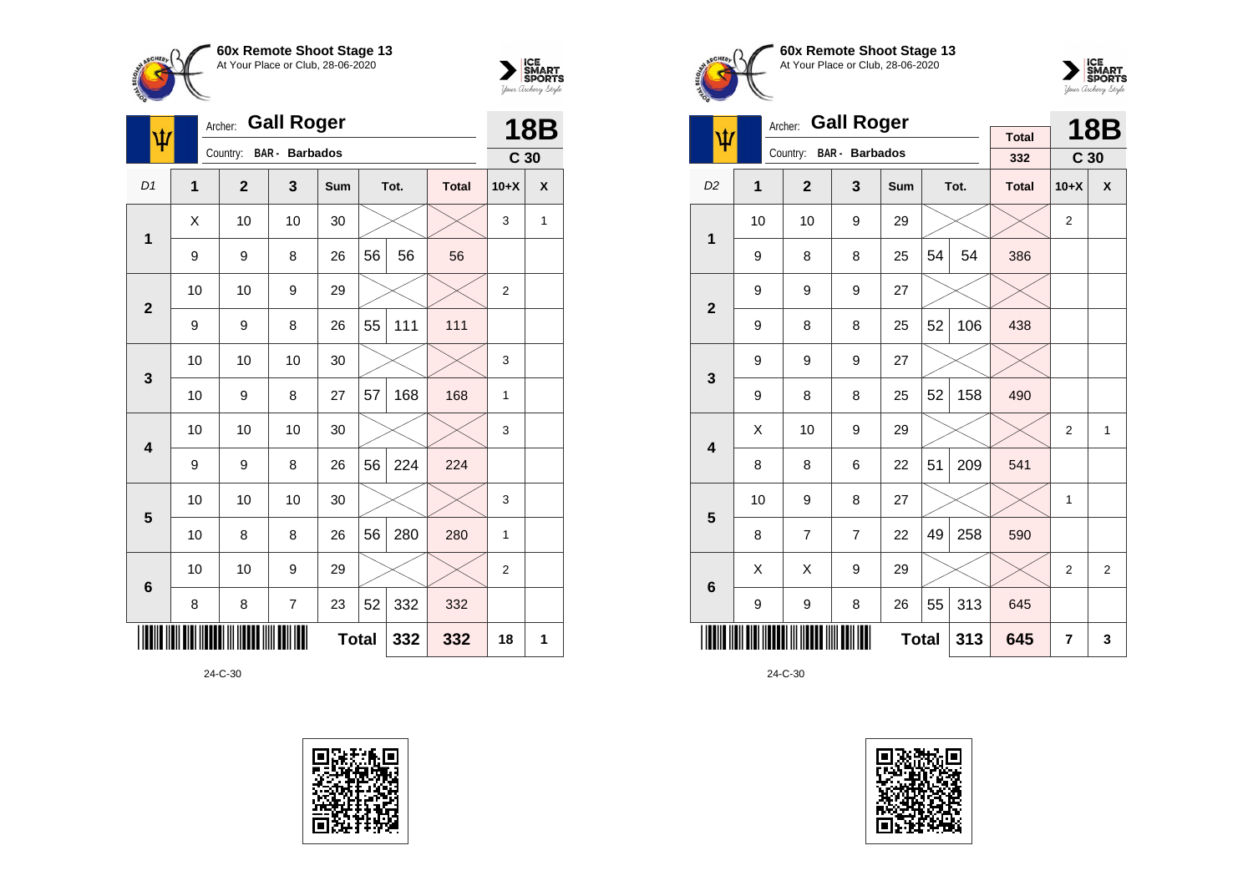



| Ф              |                | <b>Gall Roger</b><br>Archer: |                          | <b>18B</b> |              |      |              |                 |   |
|----------------|----------------|------------------------------|--------------------------|------------|--------------|------|--------------|-----------------|---|
|                |                | Country:                     | <b>BAR</b> - Barbados    |            |              |      |              | C <sub>30</sub> |   |
| D <sub>1</sub> | $\overline{1}$ | $\mathbf{2}$                 | 3                        | Sum        |              | Tot. | <b>Total</b> | $10+X$          | X |
| 1              | X              | 10                           | 10                       | 30         |              |      |              | 3               | 1 |
|                | 9              | 9                            | 8                        | 26         | 56           | 56   | 56           |                 |   |
| $\overline{2}$ | 10             | 10                           | 9                        | 29         |              |      |              | $\overline{2}$  |   |
|                | 9              | 9                            | 8                        | 26         | 55           | 111  | 111          |                 |   |
| 3              | 10             | 10                           | 10                       | 30         |              |      |              | 3               |   |
|                | 10             | 9                            | 8                        | 27         | 57           | 168  | 168          | 1               |   |
| 4              | 10             | 10                           | 10                       | 30         |              |      |              | 3               |   |
|                | 9              | 9                            | 8                        | 26         | 56           | 224  | 224          |                 |   |
| 5              | 10             | 10                           | 10                       | 30         |              |      |              | 3               |   |
|                | 10             | 8                            | 8                        | 26         | 56           | 280  | 280          | $\mathbf{1}$    |   |
| $\bf 6$        | 10             | 10                           | 9                        | 29         |              |      |              | $\overline{2}$  |   |
|                | 8              | 8                            | $\overline{\mathcal{I}}$ | 23         | 52           | 332  | 332          |                 |   |
|                |                |                              |                          |            | <b>Total</b> | 332  | 332          | 18              | 1 |







| <b>Gall Roger</b><br>Archer: |                     |                |                       |     |    |      |                     |                 | <b>18B</b> |
|------------------------------|---------------------|----------------|-----------------------|-----|----|------|---------------------|-----------------|------------|
| ψ                            |                     | Country:       | <b>BAR</b> - Barbados |     |    |      | <b>Total</b><br>332 | C <sub>30</sub> |            |
| D <sub>2</sub>               | 1                   | $\mathbf{2}$   | 3                     | Sum |    | Tot. | <b>Total</b>        | $10+X$          | X          |
| 1                            | 10                  | 10             | 9                     | 29  |    |      |                     | $\overline{2}$  |            |
|                              | 9                   | 8              | 8                     | 25  | 54 | 54   | 386                 |                 |            |
| $\overline{2}$               | 9                   | 9              | 9                     | 27  |    |      |                     |                 |            |
|                              | 9                   | 8              | 8                     | 25  | 52 | 106  | 438                 |                 |            |
| 3                            | 9                   | 9              | 9                     | 27  |    |      |                     |                 |            |
|                              | 9                   | 8              | 8                     | 25  | 52 | 158  | 490                 |                 |            |
| $\overline{\mathbf{4}}$      | Χ                   | 10             | 9                     | 29  |    |      |                     | 2               | 1          |
|                              | 8                   | 8              | 6                     | 22  | 51 | 209  | 541                 |                 |            |
| 5                            | 10                  | 9              | 8                     | 27  |    |      |                     | 1               |            |
|                              | 8                   | $\overline{7}$ | $\overline{7}$        | 22  | 49 | 258  | 590                 |                 |            |
| $6\phantom{1}6$              | Χ                   | X              | 9                     | 29  |    |      |                     | $\overline{2}$  | 2          |
|                              | 9                   | 9              | 8                     | 26  | 55 | 313  | 645                 |                 |            |
|                              | <b>Total</b><br>313 |                |                       |     |    |      |                     | 7               | 3          |

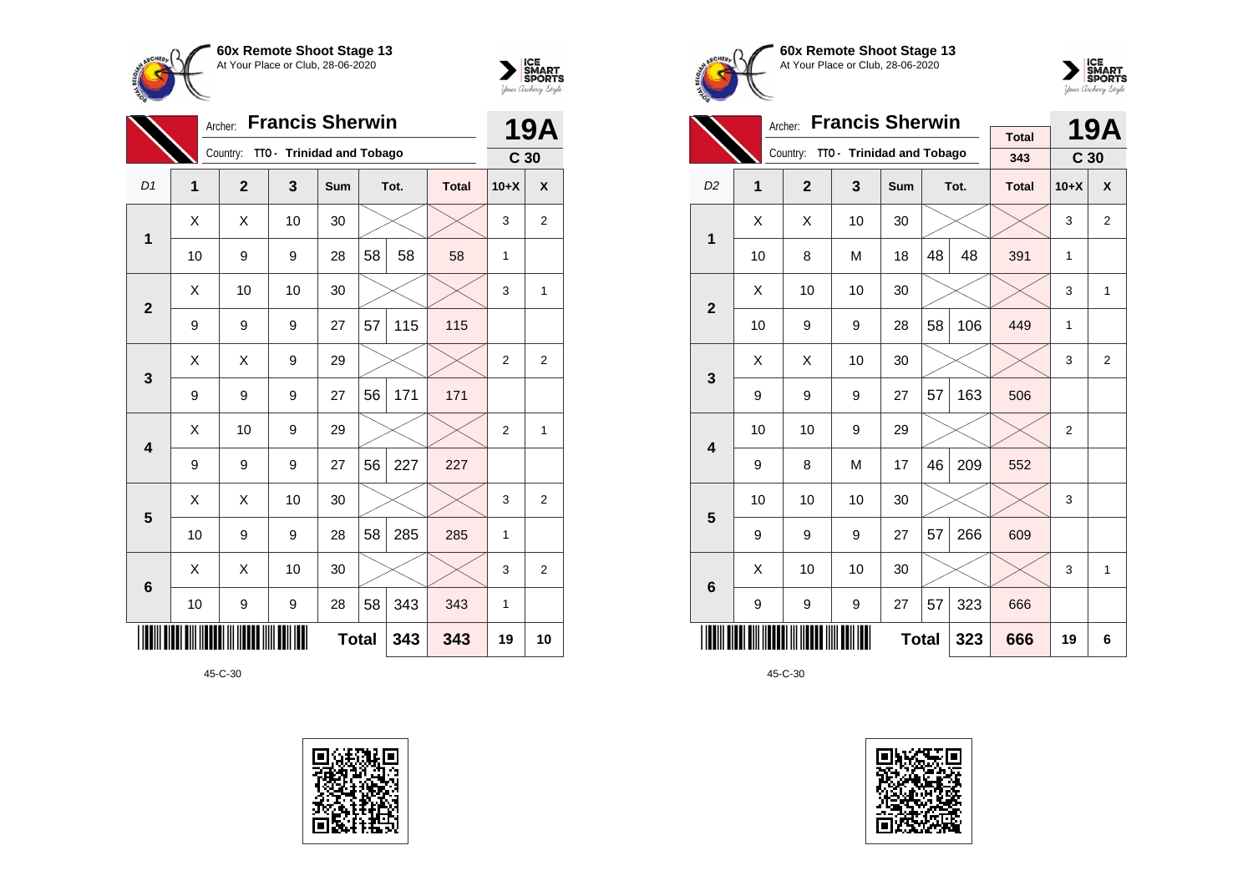



|                 | <b>Francis Sherwin</b><br>Archer: |              |                           |                            |     |      |              |                 |                |
|-----------------|-----------------------------------|--------------|---------------------------|----------------------------|-----|------|--------------|-----------------|----------------|
|                 |                                   | Country:     | TTO - Trinidad and Tobago |                            |     |      |              | C <sub>30</sub> |                |
| D <sub>1</sub>  | 1                                 | $\mathbf{2}$ | 3                         | Sum                        |     | Tot. | <b>Total</b> | $10+X$          | X              |
| $\mathbf 1$     | X                                 | Χ            | 10                        | 30                         |     |      |              | 3               | $\overline{2}$ |
|                 | 10                                | 9            | 9                         | 28                         | 58  | 58   | 58           | 1               |                |
| $\overline{2}$  | X                                 | 10           | 10                        | 30                         |     |      |              | 3               | 1              |
|                 | 9                                 | 9            | 9                         | 27                         | 57  | 115  | 115          |                 |                |
| 3               | X                                 | Χ            | 9                         | 29                         |     |      |              | $\overline{2}$  | $\overline{2}$ |
|                 | 9                                 | 9            | 9                         | 27                         | 56  | 171  | 171          |                 |                |
| 4               | X                                 | 10           | 9                         | 29                         |     |      |              | $\overline{2}$  | 1              |
|                 | 9                                 | 9            | 9                         | 27                         | 56  | 227  | 227          |                 |                |
| 5               | Χ                                 | Χ            | 10                        | 30                         |     |      |              | 3               | $\overline{2}$ |
|                 | 10                                | 9            | 9                         | 28                         | 58  | 285  | 285          | $\mathbf{1}$    |                |
| $6\phantom{1}6$ | X                                 | Χ            | 10                        | 30                         |     |      |              | 3               | $\overline{2}$ |
|                 | 10                                | 9            | 28                        | 58                         | 343 | 343  | 1            |                 |                |
|                 |                                   |              |                           | <b>Total</b><br>343<br>343 |     |      |              | 19              | 10             |







|                         |    |                | <b>19A</b>                         |     |    |      |              |                 |                |
|-------------------------|----|----------------|------------------------------------|-----|----|------|--------------|-----------------|----------------|
|                         |    |                | Country: TTO - Trinidad and Tobago |     |    |      | <b>Total</b> |                 |                |
|                         |    |                |                                    |     |    |      | 343          | C <sub>30</sub> |                |
| D <sub>2</sub>          | 1  | $\overline{2}$ | 3                                  | Sum |    | Tot. | <b>Total</b> | $10+X$          | $\pmb{\chi}$   |
| 1                       | X  | X              | 10                                 | 30  |    |      |              | 3               | $\overline{2}$ |
|                         | 10 | 8              | M                                  | 18  | 48 | 48   | 391          | $\mathbf{1}$    |                |
| $\overline{\mathbf{2}}$ | X  | 10             | 10                                 | 30  |    |      |              | 3               | 1              |
|                         | 10 | 9              | 106                                | 449 | 1  |      |              |                 |                |
| 3                       | X  | X              | 10                                 | 30  |    |      |              | 3               | 2              |
|                         | 9  | 9              | 9                                  | 27  | 57 | 163  | 506          |                 |                |
| $\overline{\mathbf{4}}$ | 10 | 10             | 9                                  | 29  |    |      |              | $\overline{2}$  |                |
|                         | 9  | 8              | M                                  | 17  | 46 | 209  | 552          |                 |                |
| 5                       | 10 | 10             | 10                                 | 30  |    |      |              | 3               |                |
|                         | 9  | 9              | 9                                  | 27  | 57 | 266  | 609          |                 |                |
| $6\phantom{1}$          | X  | 10             | 10                                 | 30  |    |      |              | 3               | 1              |
|                         | 9  | 9              | 9                                  | 27  | 57 | 323  | 666          |                 |                |
|                         |    |                | 323                                | 666 | 19 | 6    |              |                 |                |

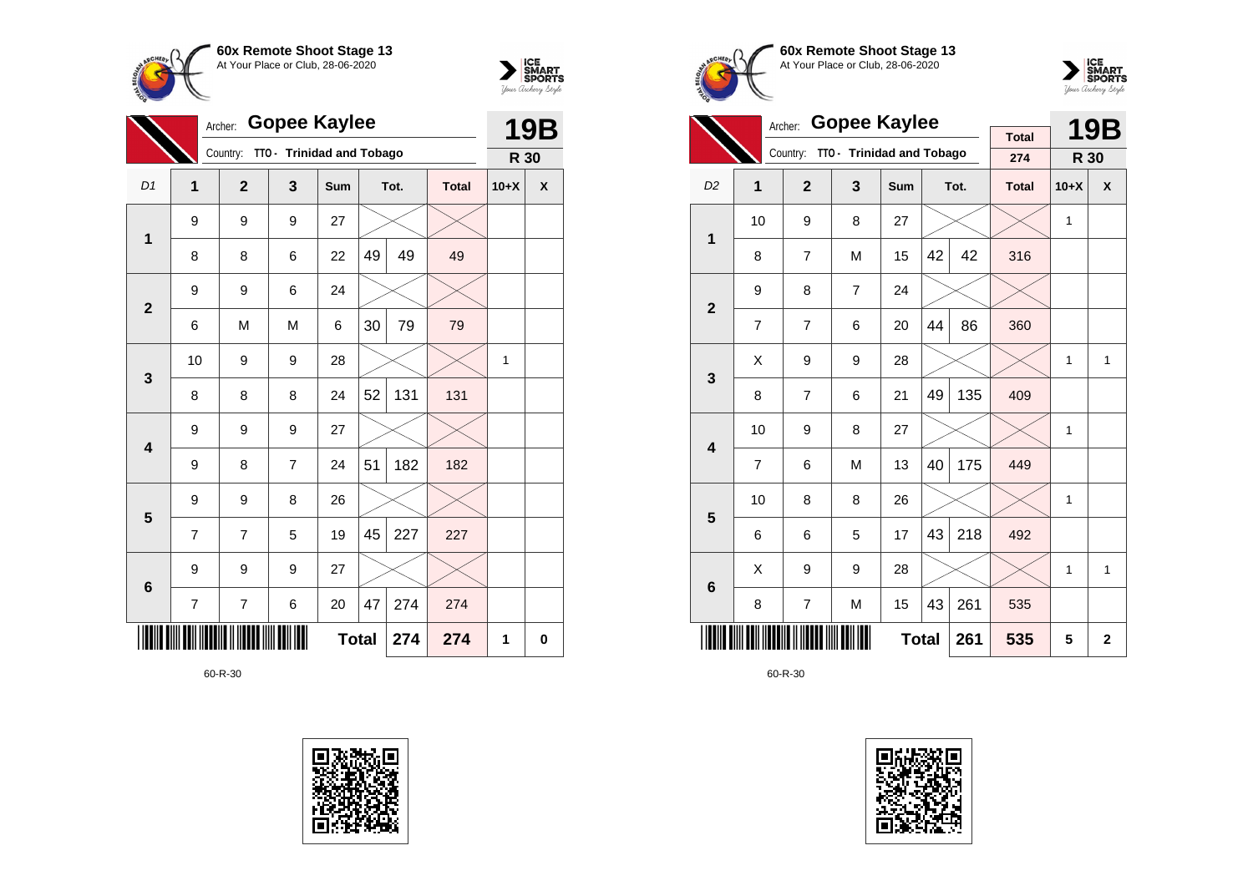



|                 | <b>Gopee Kaylee</b><br>Archer: |                                    |                |              |    |      |              |              |   |
|-----------------|--------------------------------|------------------------------------|----------------|--------------|----|------|--------------|--------------|---|
|                 |                                | Country: TTO - Trinidad and Tobago |                |              |    |      |              | R 30         |   |
| D <sub>1</sub>  | $\mathbf{1}$                   | $\overline{2}$                     | 3              | <b>Sum</b>   |    | Tot. | <b>Total</b> | $10+X$       | X |
| 1               | 9                              | 9                                  | 9              | 27           |    |      |              |              |   |
|                 | 8                              | 8                                  | 6              | 22           | 49 | 49   | 49           |              |   |
| $\overline{2}$  | 9                              | 9                                  | 6              | 24           |    |      |              |              |   |
|                 | 6                              | M                                  | M              | 6            | 30 | 79   | 79           |              |   |
| $\mathbf{3}$    | 10                             | 9                                  | 9              | 28           |    |      |              | $\mathbf{1}$ |   |
|                 | 8                              | 8                                  | 8              | 24           | 52 | 131  | 131          |              |   |
| 4               | 9                              | 9                                  | 9              | 27           |    |      |              |              |   |
|                 | 9                              | 8                                  | $\overline{7}$ | 24           | 51 | 182  | 182          |              |   |
| 5               | 9                              | 9                                  | 8              | 26           |    |      |              |              |   |
|                 | $\overline{7}$                 | 7                                  | 5              | 19           | 45 | 227  | 227          |              |   |
| $6\phantom{1}6$ | 9                              | 9                                  | 9              | 27           |    |      |              |              |   |
|                 | 7                              | 7                                  | 6              | 20           | 47 | 274  | 274          |              |   |
|                 |                                |                                    |                | <b>Total</b> |    | 274  | 274          | 1            | 0 |







|                         |                | <b>Gopee Kaylee</b><br>Archer: |                           |     |    | <b>19B</b>   |                     |        |              |
|-------------------------|----------------|--------------------------------|---------------------------|-----|----|--------------|---------------------|--------|--------------|
|                         |                | Country:                       | TTO - Trinidad and Tobago |     |    |              | <b>Total</b><br>274 | R 30   |              |
|                         |                |                                |                           |     |    |              |                     |        |              |
| D <sub>2</sub>          | 1              | $\mathbf{2}$                   | 3                         | Sum |    | Tot.         | <b>Total</b>        | $10+X$ | X            |
| 1                       | 10             | 9                              | 8                         | 27  |    |              |                     | 1      |              |
|                         | 8              | $\overline{7}$                 | M                         | 15  | 42 | 42           | 316                 |        |              |
| $\overline{2}$          | 9              | 8                              | $\overline{7}$            | 24  |    |              |                     |        |              |
|                         | $\overline{7}$ | $\overline{7}$                 | 6                         | 20  | 44 | 86           | 360                 |        |              |
| 3                       | X              | 9                              | 9                         | 28  |    |              |                     | 1      | $\mathbf{1}$ |
|                         | 8              | $\overline{7}$                 | 6                         | 21  | 49 | 135          | 409                 |        |              |
| $\overline{\mathbf{4}}$ | 10             | 9                              | 8                         | 27  |    |              |                     | 1      |              |
|                         | $\overline{7}$ | 6                              | M                         | 13  | 40 | 175          | 449                 |        |              |
| 5                       | 10             | 8                              | 8                         | 26  |    |              |                     | 1      |              |
|                         | 6              | 6                              | 5                         | 17  | 43 | 218          | 492                 |        |              |
| 6                       | Χ              | 9                              | 9                         | 28  |    |              |                     | 1      | 1            |
|                         | 8              | $\overline{7}$                 | M                         | 15  | 43 | 261          | 535                 |        |              |
|                         |                |                                | 261                       | 535 | 5  | $\mathbf{2}$ |                     |        |              |

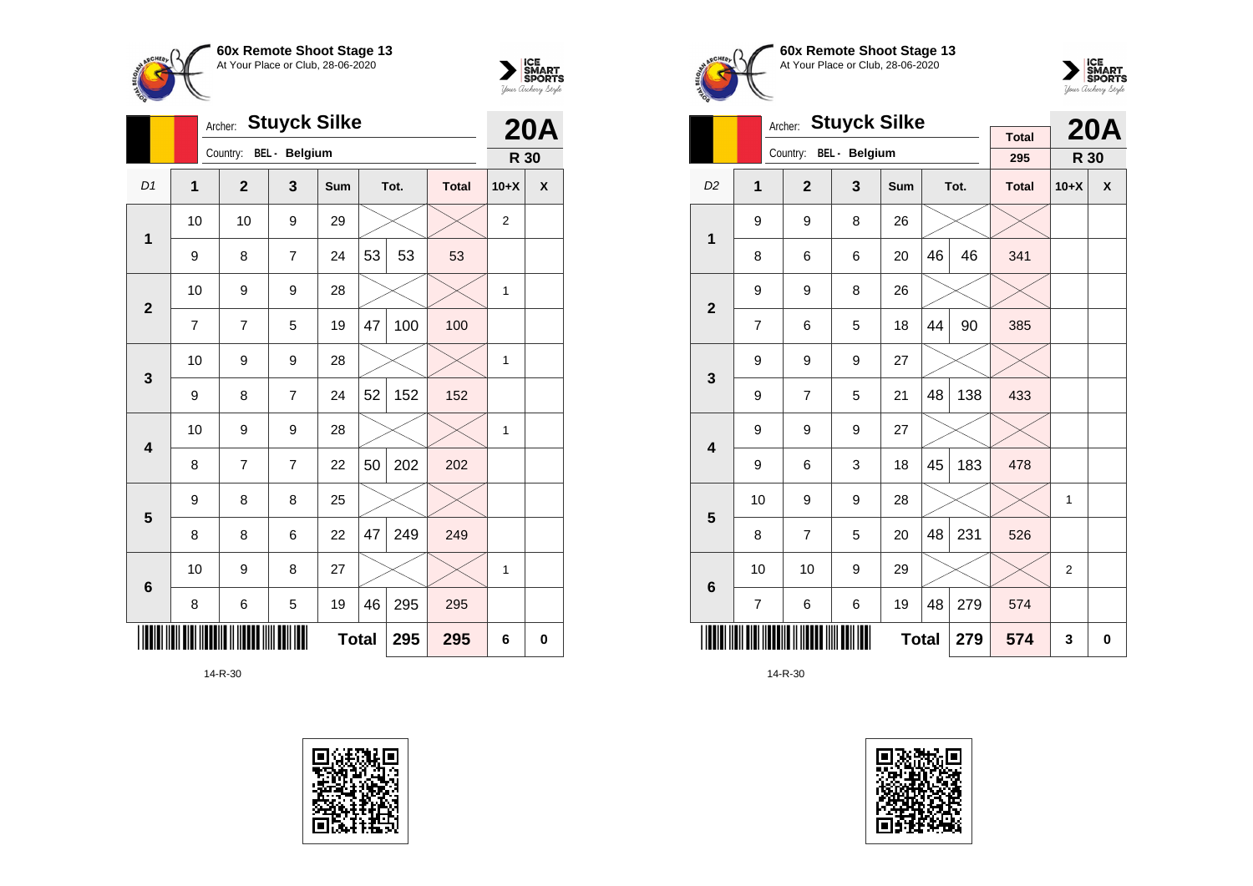



|                 |                         | <b>Stuyck Silke</b><br>Archer: |                | <b>20A</b> |     |      |              |                |   |
|-----------------|-------------------------|--------------------------------|----------------|------------|-----|------|--------------|----------------|---|
|                 |                         | Country:                       | BEL - Belgium  |            |     |      |              | R 30           |   |
| D <sub>1</sub>  | $\overline{\mathbf{1}}$ | $\overline{2}$                 | 3              | Sum        |     | Tot. | <b>Total</b> | $10+X$         | X |
| 1               | 10                      | 10                             | 9              | 29         |     |      |              | $\overline{2}$ |   |
|                 | 9                       | 8                              | $\overline{7}$ | 24         | 53  | 53   | 53           |                |   |
| $\overline{2}$  | 10                      | 9                              | 9              | 28         |     |      |              | $\mathbf{1}$   |   |
|                 | $\overline{7}$          | 7                              | 5              | 19         | 47  | 100  | 100          |                |   |
| 3               | 10                      | 9                              | 9              | 28         |     |      |              | $\mathbf{1}$   |   |
|                 | 9                       | 8                              | 7              | 24         | 52  | 152  | 152          |                |   |
| 4               | 10                      | 9                              | 9              | 28         |     |      |              | 1              |   |
|                 | 8                       | 7                              | 7              | 22         | 50  | 202  | 202          |                |   |
| 5               | 9                       | 8                              | 8              | 25         |     |      |              |                |   |
|                 | 8                       | 8                              | 6              | 22         | 47  | 249  | 249          |                |   |
| $6\phantom{1}6$ | 10                      | 9                              | 8              | 27         |     |      |              | 1              |   |
|                 | 8                       | 6                              | 5              | 19         | 46  | 295  | 295          |                |   |
|                 |                         |                                |                | 295        | 295 | 6    | 0            |                |   |









|                         |                                | <b>Stuyck Silke</b><br>Archer: |               |            |    | <b>20A</b> |                     |                |   |
|-------------------------|--------------------------------|--------------------------------|---------------|------------|----|------------|---------------------|----------------|---|
|                         |                                | Country:                       | BEL - Belgium |            |    |            | <b>Total</b><br>295 | R 30           |   |
| D <sub>2</sub>          | 1                              | $\overline{2}$                 | 3             | <b>Sum</b> |    | Tot.       | <b>Total</b>        | $10+X$         | X |
| 1                       | 9                              | 9                              | 8             | 26         |    |            |                     |                |   |
|                         | 8                              | 6                              | 6             | 20         | 46 | 46         | 341                 |                |   |
| $\overline{2}$          | 9                              | 9                              | 8             | 26         |    |            |                     |                |   |
|                         | 7                              | 6                              | 5             | 18         | 44 | 90         | 385                 |                |   |
| 3                       | 9                              | 9                              | 9             | 27         |    |            |                     |                |   |
|                         | 9                              | $\overline{7}$                 | 5             | 21         | 48 | 138        | 433                 |                |   |
| $\overline{\mathbf{4}}$ | 9                              | 9                              | 9             | 27         |    |            |                     |                |   |
|                         | 9                              | 6                              | 3             | 18         | 45 | 183        | 478                 |                |   |
| 5                       | 10                             | 9                              | 9             | 28         |    |            |                     | 1              |   |
|                         | 8                              | $\overline{7}$                 | 5             | 20         | 48 | 231        | 526                 |                |   |
| 6                       | 10                             | 10                             | 9             | 29         |    |            |                     | $\overline{2}$ |   |
|                         | 48<br>279<br>6<br>6<br>19<br>7 |                                |               |            |    |            |                     |                |   |
|                         | <b>Total</b><br>279            |                                |               |            |    |            |                     | 3              | 0 |

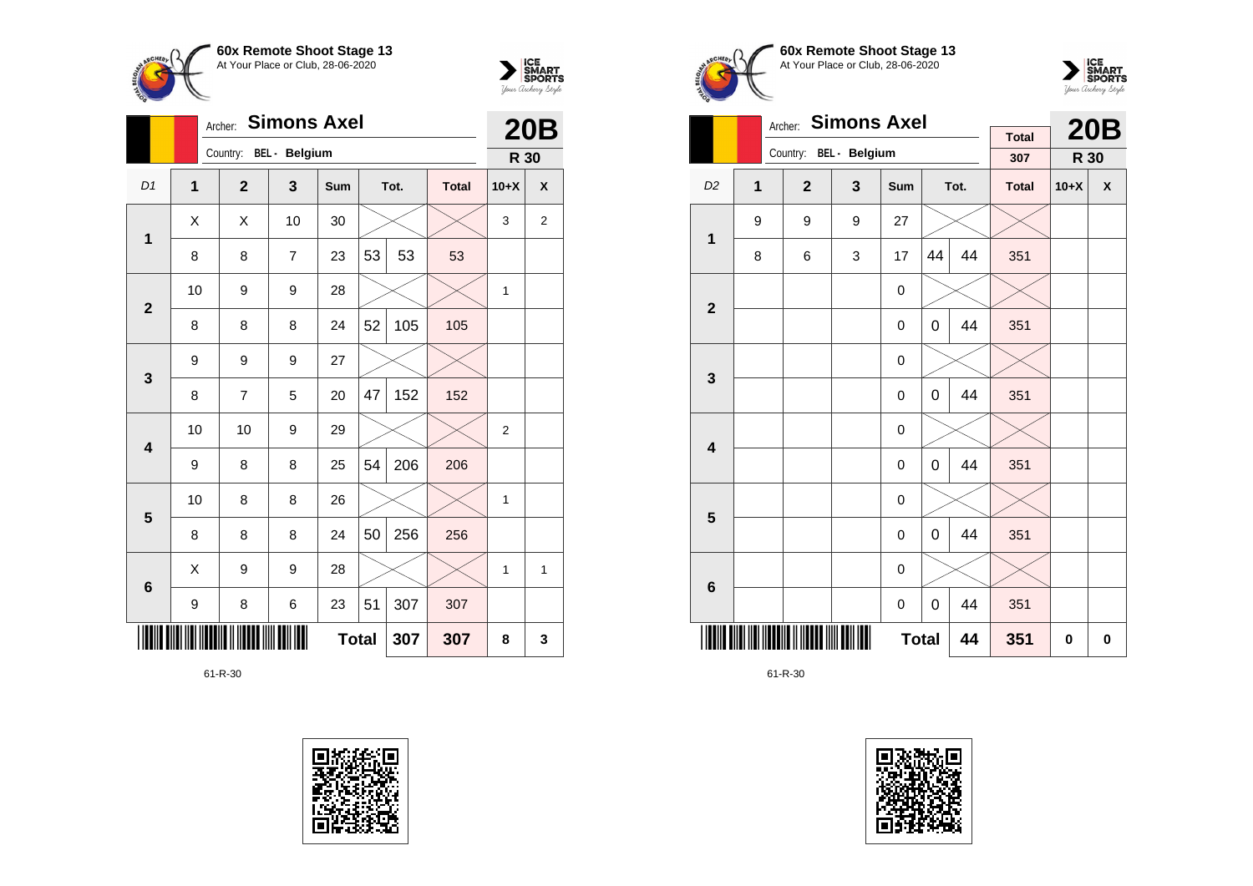



|                |                | <b>Simons Axel</b><br>Archer: |    |              |    |      |              |        |                |  |  |  |
|----------------|----------------|-------------------------------|----|--------------|----|------|--------------|--------|----------------|--|--|--|
|                |                | Country: BEL - Belgium        |    |              |    |      |              | R 30   |                |  |  |  |
| D1             | $\overline{1}$ | $\overline{2}$                | 3  | Sum          |    | Tot. | <b>Total</b> | $10+X$ | X              |  |  |  |
| 1              | X              | X                             | 10 | 30           |    |      |              | 3      | $\overline{2}$ |  |  |  |
|                | 8              | 8                             | 7  | 23           | 53 | 53   | 53           |        |                |  |  |  |
| $\overline{2}$ | 10             | 9                             | 9  | 28           |    |      |              | 1      |                |  |  |  |
|                | 8              | 8                             | 8  | 24           | 52 | 105  | 105          |        |                |  |  |  |
| 3              | 9              | 9                             | 9  | 27           |    |      |              |        |                |  |  |  |
|                | 8              | 7                             | 5  | 20           | 47 | 152  | 152          |        |                |  |  |  |
| 4              | 10             | 10                            | 9  | 29           |    |      |              | 2      |                |  |  |  |
|                | 9              | 8                             | 8  | 25           | 54 | 206  | 206          |        |                |  |  |  |
| 5              | 10             | 8                             | 8  | 26           |    |      |              | 1      |                |  |  |  |
|                | 8              | 8                             | 8  | 24           | 50 | 256  | 256          |        |                |  |  |  |
| 6              | X              | 9                             | 9  | 28           |    |      |              | 1      | 1              |  |  |  |
|                | 9              | 307                           |    |              |    |      |              |        |                |  |  |  |
|                |                |                               |    | <b>Total</b> |    | 307  | 307          | 8      | 3              |  |  |  |







|                         | <b>Simons Axel</b><br>Archer: |                |               |             |    |      |                     |        | <b>20B</b> |
|-------------------------|-------------------------------|----------------|---------------|-------------|----|------|---------------------|--------|------------|
|                         |                               | Country:       | BEL - Belgium |             |    |      | <b>Total</b><br>307 | R 30   |            |
| D <sub>2</sub>          | 1                             | $\overline{2}$ | $\mathbf{3}$  | <b>Sum</b>  |    | Tot. | <b>Total</b>        | $10+X$ | X          |
| 1                       | 9                             | 9              | 9             | 27          |    |      |                     |        |            |
|                         | 8                             | 6              | 3             | 17          | 44 | 44   | 351                 |        |            |
| $\overline{\mathbf{2}}$ |                               |                |               | 0           |    |      |                     |        |            |
|                         |                               |                |               | 0           | 0  | 44   | 351                 |        |            |
| 3                       |                               |                |               | $\mathbf 0$ |    |      |                     |        |            |
|                         |                               |                |               | 0           | 0  | 44   | 351                 |        |            |
| $\overline{\mathbf{4}}$ |                               |                |               | $\mathbf 0$ |    |      |                     |        |            |
|                         |                               |                |               | $\mathbf 0$ | 0  | 44   | 351                 |        |            |
| 5                       |                               |                |               | 0           |    |      |                     |        |            |
|                         |                               |                |               | $\mathbf 0$ | 0  | 44   | 351                 |        |            |
| $\bf 6$                 |                               |                |               | 0           |    |      |                     |        |            |
|                         |                               |                |               | 0           | 0  | 44   | 351                 |        |            |
|                         | Ш<br><b>Total</b>             |                |               |             |    |      | 351                 | 0      | 0          |

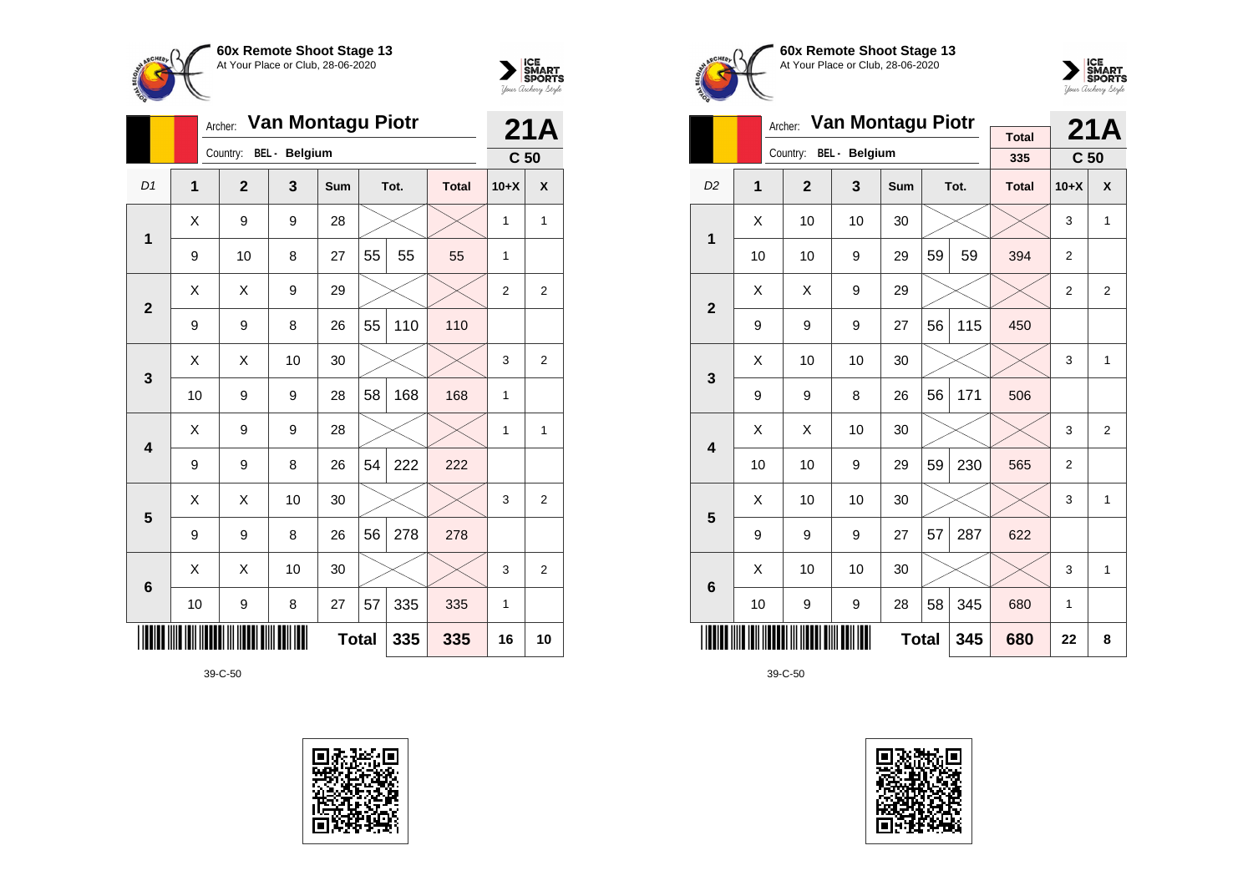



|                         |              |  | Van Montagu Piotr<br>Archer: |               |     | 21A |      |              |                 |                  |
|-------------------------|--------------|--|------------------------------|---------------|-----|-----|------|--------------|-----------------|------------------|
|                         |              |  | Country:                     | BEL - Belgium |     |     |      |              | C <sub>50</sub> |                  |
| D <sub>1</sub>          | $\mathbf{1}$ |  | $\mathbf{2}$                 | 3             | Sum |     | Tot. | <b>Total</b> | $10+X$          | $\boldsymbol{x}$ |
| 1                       | Χ            |  | 9                            | 9             | 28  |     |      |              | 1               | $\mathbf{1}$     |
|                         | 9            |  | 10                           | 8             | 27  | 55  | 55   | 55           | 1               |                  |
| $\overline{2}$          | X            |  | X                            | 9             | 29  |     |      |              | $\overline{2}$  | 2                |
|                         | 9            |  | 9                            | 8             | 26  | 55  | 110  | 110          |                 |                  |
| 3                       | Χ            |  | Χ                            | 10            | 30  |     |      |              | 3               | $\overline{2}$   |
|                         | 10           |  | 9                            | 9             | 28  | 58  | 168  | 168          | 1               |                  |
| $\overline{\mathbf{4}}$ | X            |  | 9                            | 9             | 28  |     |      |              | 1               | $\mathbf{1}$     |
|                         | 9            |  | 9                            | 8             | 26  | 54  | 222  | 222          |                 |                  |
| 5                       | Χ            |  | Χ                            | 10            | 30  |     |      |              | 3               | 2                |
|                         | 9            |  | 9                            | 8             | 26  | 56  | 278  | 278          |                 |                  |
| $6\phantom{1}6$         | X            |  | X                            | 10            | 30  |     |      |              | 3               | $\overline{2}$   |
|                         | 10           |  | 335                          | 1             |     |     |      |              |                 |                  |
|                         |              |  |                              | 335           | 16  | 10  |      |              |                 |                  |









|                         |                | Archer:                | Van Montagu Piotr |              |    |      |                     | 21A             |                |
|-------------------------|----------------|------------------------|-------------------|--------------|----|------|---------------------|-----------------|----------------|
|                         |                | Country: BEL - Belgium |                   |              |    |      | <b>Total</b><br>335 | C <sub>50</sub> |                |
|                         |                |                        |                   |              |    |      |                     |                 |                |
| D <sub>2</sub>          | $\overline{1}$ | $\mathbf{2}$           | 3                 | <b>Sum</b>   |    | Tot. | <b>Total</b>        | $10+X$          | X              |
| 1                       | Χ              | 10                     | 10                | 30           |    |      |                     | 3               | $\mathbf{1}$   |
|                         | 10             | 10                     | 9                 | 29           | 59 | 59   | 394                 | $\overline{2}$  |                |
| $\overline{2}$          | X              | X                      | 9                 | 29           |    |      |                     | $\overline{2}$  | $\overline{2}$ |
|                         | 9              | 9                      | 9                 | 27           | 56 | 115  | 450                 |                 |                |
| 3                       | Χ              | 10                     | 10                | 30           |    |      |                     | 3               | 1              |
|                         | 9              | 9                      | 8                 | 26           | 56 | 171  | 506                 |                 |                |
| $\overline{\mathbf{4}}$ | Χ              | Χ                      | 10                | 30           |    |      |                     | 3               | $\overline{2}$ |
|                         | 10             | 10                     | 9                 | 29           | 59 | 230  | 565                 | 2               |                |
| 5                       | X              | 10                     | 10                | 30           |    |      |                     | 3               | 1              |
|                         | 9              | 9                      | 9                 | 27           | 57 | 287  | 622                 |                 |                |
| 6                       | X              | 10                     | 10                | 30           |    |      |                     | 3               | $\mathbf{1}$   |
|                         | 10             | 9                      | 9                 | 28           | 58 | 345  | 680                 | 1               |                |
|                         |                |                        | Ш                 | <b>Total</b> |    | 345  | 680                 | 22              | 8              |

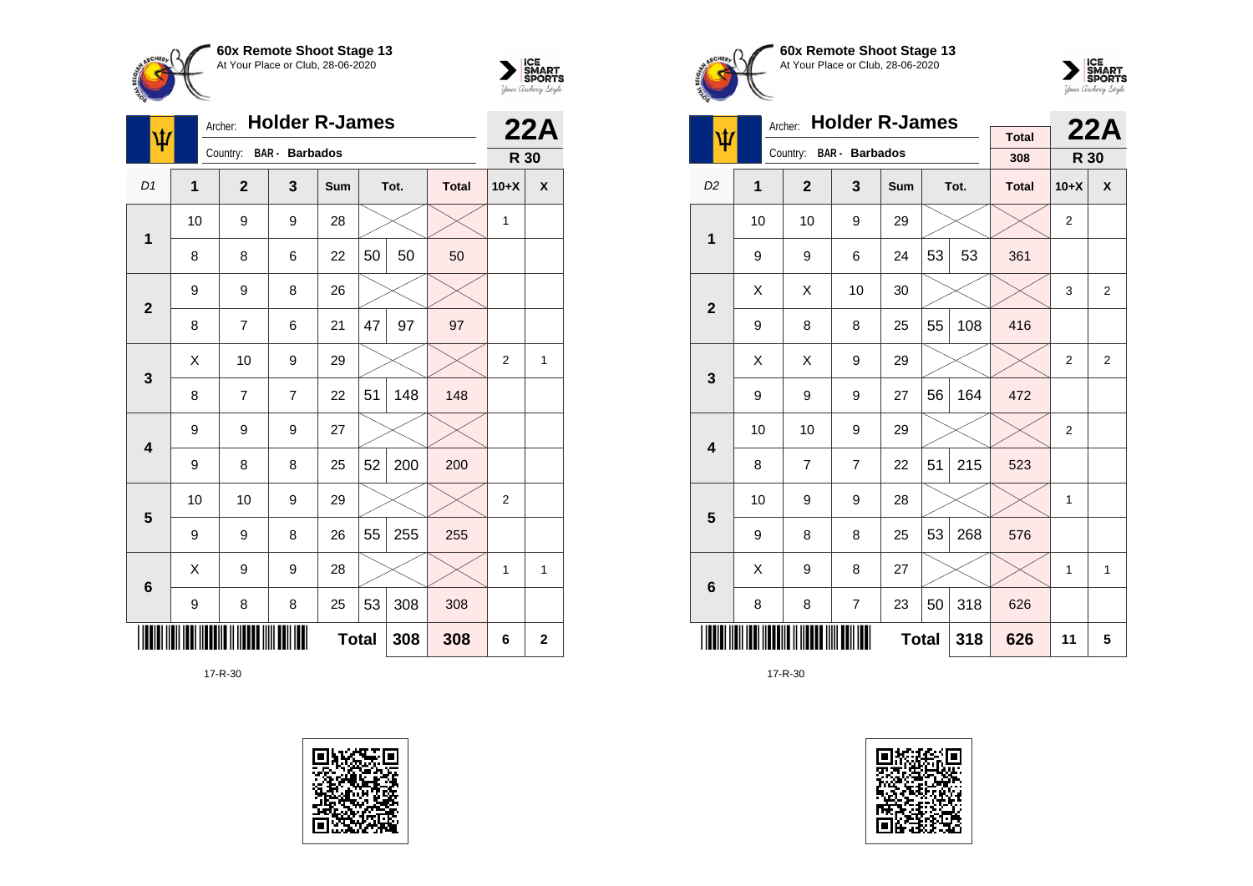



| $\pmb{\psi}$   |             | Archer:      | <b>Holder R-James</b> |              |    |      | 22A          |                |                |
|----------------|-------------|--------------|-----------------------|--------------|----|------|--------------|----------------|----------------|
|                |             | Country:     | <b>BAR</b> - Barbados |              |    |      |              | R 30           |                |
| D <sub>1</sub> | $\mathbf 1$ | $\mathbf{2}$ | 3                     | Sum          |    | Tot. | <b>Total</b> | $10+X$         | X              |
| $\mathbf 1$    | 10          | 9            | 9                     | 28           |    |      |              | 1              |                |
|                | 8           | 8            | 6                     | 22           | 50 | 50   | 50           |                |                |
| $\overline{2}$ | 9           | 9            | 8                     | 26           |    |      |              |                |                |
|                | 8           | 7            | 6                     | 21           | 47 | 97   | 97           |                |                |
| 3              | X           | 10           | 9                     | 29           |    |      |              | $\overline{2}$ | 1              |
|                | 8           | 7            | 7                     | 22           | 51 | 148  | 148          |                |                |
| 4              | 9           | 9            | 9                     | 27           |    |      |              |                |                |
|                | 9           | 8            | 8                     | 25           | 52 | 200  | 200          |                |                |
| 5              | 10          | 10           | 9                     | 29           |    |      |              | $\overline{2}$ |                |
|                | 9           | 9            | 8                     | 26           | 55 | 255  | 255          |                |                |
| 6              | X           | 9            | 9                     | 28           |    |      |              | 1              | 1              |
|                | 9           | 8            | 8                     | 25           | 53 | 308  | 308          |                |                |
|                |             |              |                       | <b>Total</b> |    | 308  | 308          | 6              | $\overline{2}$ |







|                | <b>Holder R-James</b><br>Archer: |                         |                |              |    |      |                     |                | 22A |
|----------------|----------------------------------|-------------------------|----------------|--------------|----|------|---------------------|----------------|-----|
| ψ              |                                  | Country: BAR - Barbados |                |              |    |      | <b>Total</b><br>308 | R 30           |     |
| D <sub>2</sub> | 1                                | $\overline{2}$          | 3              | Sum          |    | Tot. | <b>Total</b>        | $10+X$         | X   |
| 1              | 10                               | 10                      | 9              | 29           |    |      |                     | $\overline{2}$ |     |
|                | 9                                | 9                       | 6              | 24           | 53 | 53   | 361                 |                |     |
| $\overline{2}$ | Χ                                | X                       | 10             | 30           |    |      |                     | 3              | 2   |
|                | 9                                | 8                       | 8              | 25           | 55 | 108  | 416                 |                |     |
| 3              | X                                | X                       | 9              | 29           |    |      |                     | $\overline{2}$ | 2   |
|                | 9                                | 9                       | 9              | 27           | 56 | 164  | 472                 |                |     |
| 4              | 10                               | 10                      | 9              | 29           |    |      |                     | $\overline{2}$ |     |
|                | 8                                | $\overline{7}$          | $\overline{7}$ | 22           | 51 | 215  | 523                 |                |     |
| 5              | 10                               | 9                       | 9              | 28           |    |      |                     | $\mathbf{1}$   |     |
|                | 9                                | 8                       | 8              | 25           | 53 | 268  | 576                 |                |     |
| 6              | Χ                                | 9                       | 8              | 27           |    |      |                     | 1              | 1   |
|                | 8                                | 8                       | $\overline{7}$ | 23           | 50 | 318  | 626                 |                |     |
|                |                                  |                         |                | <b>Total</b> |    | 318  | 626                 | 11             | 5   |

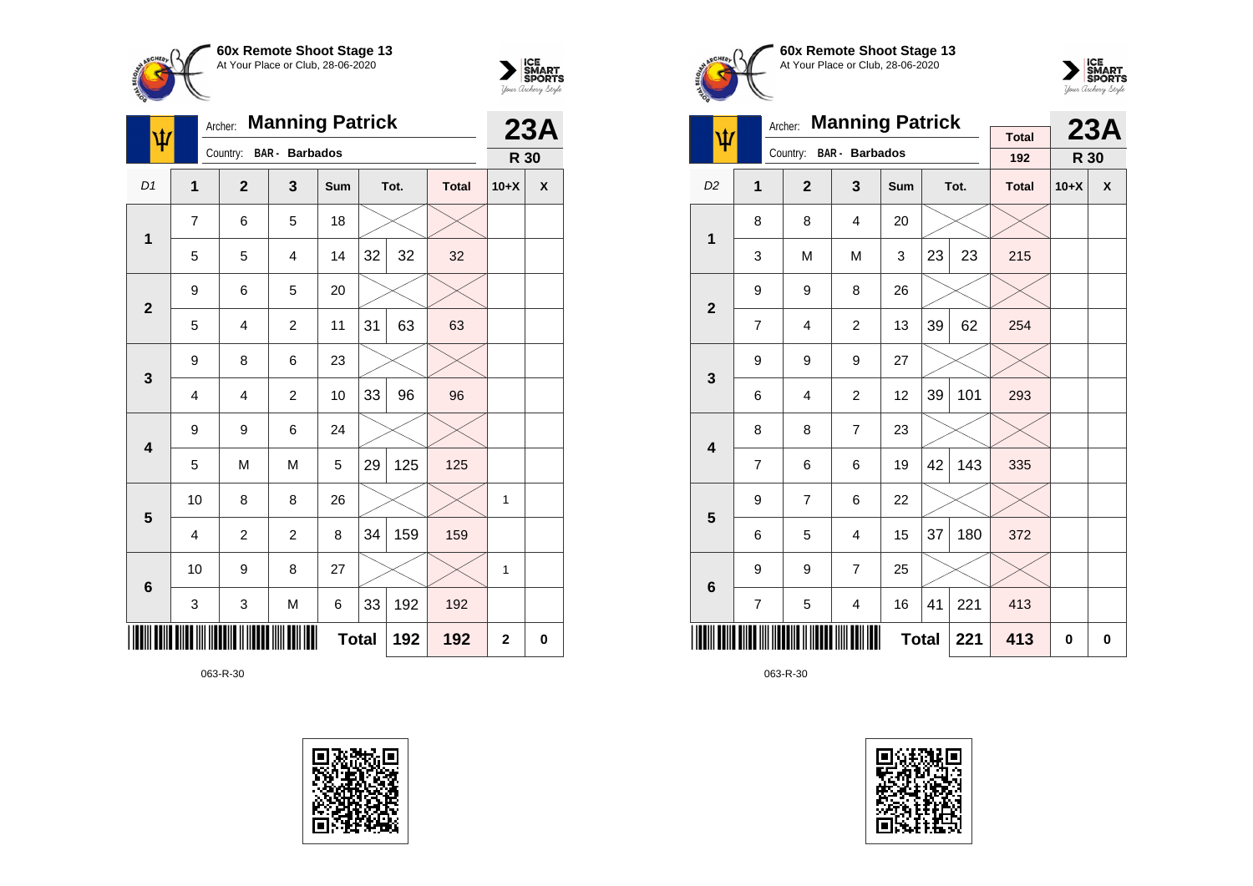



| $\pmb{\psi}$            |                | Archer:        | <b>Manning Patrick</b> |              |    |      |              | 23A         |                    |
|-------------------------|----------------|----------------|------------------------|--------------|----|------|--------------|-------------|--------------------|
|                         |                | Country:       | <b>BAR</b> - Barbados  |              |    |      |              | R 30        |                    |
| D1                      | $\mathbf{1}$   | $\overline{2}$ | 3                      | Sum          |    | Tot. | <b>Total</b> | $10+X$      | $\pmb{\mathsf{X}}$ |
| $\mathbf{1}$            | $\overline{7}$ | 6              | 5                      | 18           |    |      |              |             |                    |
|                         | 5              | 5              | $\overline{4}$         | 14           | 32 | 32   | 32           |             |                    |
| $\mathbf{2}$            | 9              | 6              | 5                      | 20           |    |      |              |             |                    |
|                         | 5              | 4              | $\overline{c}$         | 11           | 31 | 63   | 63           |             |                    |
| $\mathbf{3}$            | 9              | 8              | 6                      | 23           |    |      |              |             |                    |
|                         | 4              | 4              | $\overline{c}$         | 10           | 33 | 96   | 96           |             |                    |
| $\overline{\mathbf{4}}$ | 9              | 9              | 6                      | 24           |    |      |              |             |                    |
|                         | 5              | M              | M                      | 5            | 29 | 125  | 125          |             |                    |
| 5                       | 10             | 8              | 8                      | 26           |    |      |              | 1           |                    |
|                         | 4              | $\overline{c}$ | $\overline{c}$         | 8            | 34 | 159  | 159          |             |                    |
| $6\phantom{1}6$         | 10             | 9              | 8                      | 27           |    |      |              | 1           |                    |
|                         | 3              | 3              | M                      | 6            | 33 | 192  | 192          |             |                    |
|                         |                |                |                        | <b>Total</b> |    | 192  | 192          | $\mathbf 2$ | 0                  |







|                         | <b>Manning Patrick</b><br>Archer: |                |                         |              |    |      |              |        | 23A |
|-------------------------|-----------------------------------|----------------|-------------------------|--------------|----|------|--------------|--------|-----|
| ψ                       |                                   |                | Country: BAR - Barbados |              |    |      | <b>Total</b> |        |     |
|                         |                                   |                |                         |              |    |      | 192          | R 30   |     |
| D <sub>2</sub>          | 1                                 | $\overline{2}$ | 3                       | Sum          |    | Tot. | <b>Total</b> | $10+X$ | X   |
| 1                       | 8                                 | 8              | 4                       | 20           |    |      |              |        |     |
|                         | 3                                 | M              | M                       | 3            | 23 | 23   | 215          |        |     |
| $\mathbf 2$             | 9                                 | 9              | 8                       | 26           |    |      |              |        |     |
|                         | 7                                 | 4              | 2                       | 13           | 39 | 62   | 254          |        |     |
| 3                       | 9                                 | 9              | 9                       | 27           |    |      |              |        |     |
|                         | 6                                 | 4              | $\overline{c}$          | 12           | 39 | 101  | 293          |        |     |
| $\overline{\mathbf{4}}$ | 8                                 | 8              | $\overline{7}$          | 23           |    |      |              |        |     |
|                         | 7                                 | 6              | 6                       | 19           | 42 | 143  | 335          |        |     |
| 5                       | 9                                 | $\overline{7}$ | 6                       | 22           |    |      |              |        |     |
|                         | 6                                 | 5              | 4                       | 15           | 37 | 180  | 372          |        |     |
| 6                       | 9                                 | 9              | $\overline{7}$          | 25           |    |      |              |        |     |
|                         | 7                                 | 5              | 4                       | 16           | 41 | 221  | 413          |        |     |
|                         |                                   |                |                         | <b>Total</b> |    | 221  | 413          | 0      | 0   |

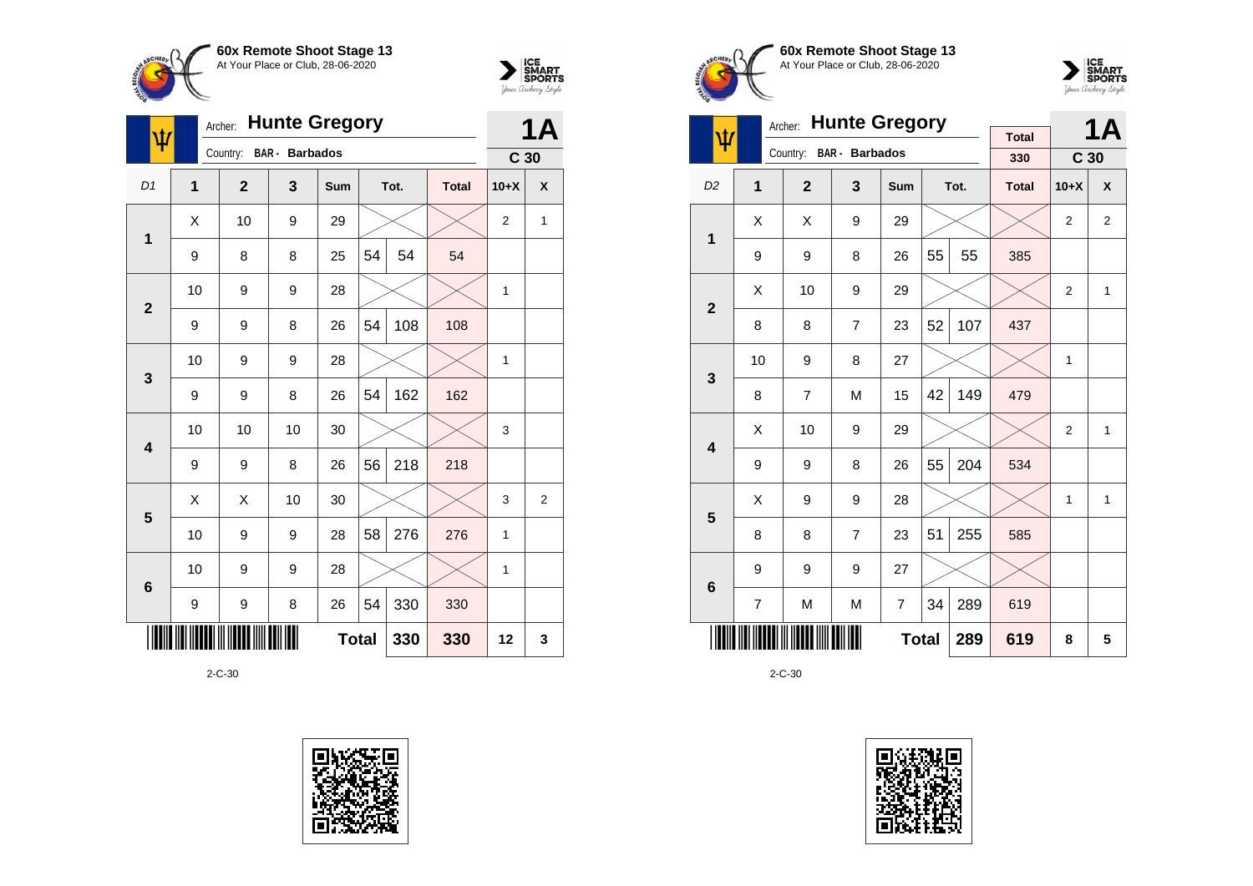



| $\overline{\Psi}$ |    | Archer:        | <b>Hunte Gregory</b>  |              |    |      |              | 1Α              |                |
|-------------------|----|----------------|-----------------------|--------------|----|------|--------------|-----------------|----------------|
|                   |    | Country:       | <b>BAR</b> - Barbados |              |    |      |              | C <sub>30</sub> |                |
| D1                | 1  | $\overline{2}$ | 3                     | Sum          |    | Tot. | <b>Total</b> | $10+X$          | X              |
| $\mathbf{1}$      | X  | 10             | 9                     | 29           |    |      |              | 2               | 1              |
|                   | 9  | 8              | 8                     | 25           | 54 | 54   | 54           |                 |                |
| $\mathbf{2}$      | 10 | 9              | 9                     | 28           |    |      |              | $\mathbf{1}$    |                |
|                   | 9  | 9              | 8                     | 26           | 54 | 108  | 108          |                 |                |
| $\mathbf{3}$      | 10 | 9              | 9                     | 28           |    |      |              | 1               |                |
|                   | 9  | 9              | 8                     | 26           | 54 | 162  | 162          |                 |                |
| 4                 | 10 | 10             | 10                    | 30           |    |      |              | 3               |                |
|                   | 9  | 9              | 8                     | 26           | 56 | 218  | 218          |                 |                |
| 5                 | Χ  | Χ              | 10                    | 30           |    |      |              | 3               | $\overline{2}$ |
|                   | 10 | 9              | 9                     | 28           | 58 | 276  | 276          | 1               |                |
| $6\phantom{1}6$   | 10 | 9              | 9                     | 28           |    |      |              | 1               |                |
|                   | 9  | 9              | 8                     | 26           | 54 | 330  | 330          |                 |                |
|                   |    |                |                       | <b>Total</b> |    | 330  | 330          | 12              | 3              |







|                         |    | Archer:        | <b>Hunte Gregory</b>  |              |    |      |                     |                 | <b>1A</b>    |
|-------------------------|----|----------------|-----------------------|--------------|----|------|---------------------|-----------------|--------------|
| Ψ                       |    | Country:       | <b>BAR</b> - Barbados |              |    |      | <b>Total</b><br>330 | C <sub>30</sub> |              |
| D <sub>2</sub>          | 1  | $\overline{2}$ | 3                     | Sum          |    | Tot. | <b>Total</b>        | $10+X$          | X            |
| 1                       | X  | X              | 9                     | 29           |    |      |                     | $\overline{2}$  | 2            |
|                         | 9  | 9              | 8                     | 26           | 55 | 55   | 385                 |                 |              |
| $\overline{2}$          | X  | 10             | 9                     | 29           |    |      |                     | 2               | $\mathbf{1}$ |
|                         | 8  | 8              | $\overline{7}$        | 23           | 52 | 107  | 437                 |                 |              |
| 3                       | 10 | 9              | 8                     | 27           |    |      |                     | 1               |              |
|                         | 8  | $\overline{7}$ | M                     | 15           | 42 | 149  | 479                 |                 |              |
| $\overline{\mathbf{4}}$ | X  | 10             | 9                     | 29           |    |      |                     | 2               | 1            |
|                         | 9  | 9              | 8                     | 26           | 55 | 204  | 534                 |                 |              |
| 5                       | X  | 9              | 9                     | 28           |    |      |                     | 1               | 1            |
|                         | 8  | 8              | $\overline{7}$        | 23           | 51 | 255  | 585                 |                 |              |
| $6\phantom{1}6$         | 9  | 9              | 9                     | 27           |    |      |                     |                 |              |
|                         | 7  | M              | M                     | 7            | 34 | 289  | 619                 |                 |              |
|                         |    |                |                       | <b>Total</b> |    | 289  | 619                 | 8               | 5            |

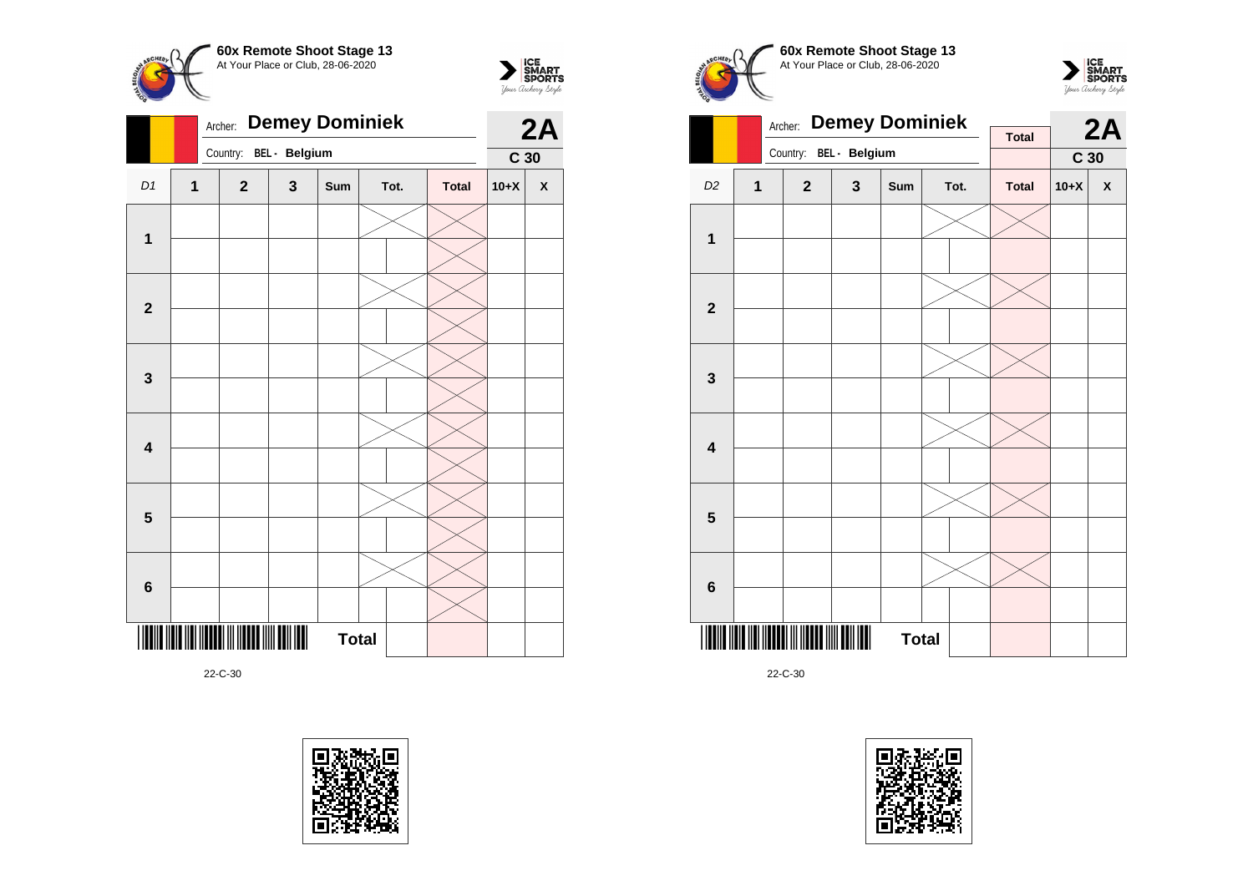



|                         |   | <b>Demey Dominiek</b><br>Archer: |   |     | 2A           |              |                 |              |
|-------------------------|---|----------------------------------|---|-----|--------------|--------------|-----------------|--------------|
|                         |   | Country: BEL - Belgium           |   |     |              |              | C <sub>30</sub> |              |
| D1                      | 1 | $\mathbf{2}$                     | 3 | Sum | Tot.         | <b>Total</b> | $10+X$          | $\pmb{\chi}$ |
|                         |   |                                  |   |     |              |              |                 |              |
| $\mathbf 1$             |   |                                  |   |     |              |              |                 |              |
|                         |   |                                  |   |     |              |              |                 |              |
| $\mathbf{2}$            |   |                                  |   |     |              |              |                 |              |
|                         |   |                                  |   |     |              |              |                 |              |
| $\mathbf 3$             |   |                                  |   |     |              |              |                 |              |
|                         |   |                                  |   |     |              |              |                 |              |
| $\overline{\mathbf{4}}$ |   |                                  |   |     |              |              |                 |              |
|                         |   |                                  |   |     |              |              |                 |              |
| $\overline{\mathbf{5}}$ |   |                                  |   |     |              |              |                 |              |
|                         |   |                                  |   |     |              |              |                 |              |
|                         |   |                                  |   |     |              |              |                 |              |
| $\bf 6$                 |   |                                  |   |     |              |              |                 |              |
|                         |   |                                  |   |     | <b>Total</b> |              |                 |              |









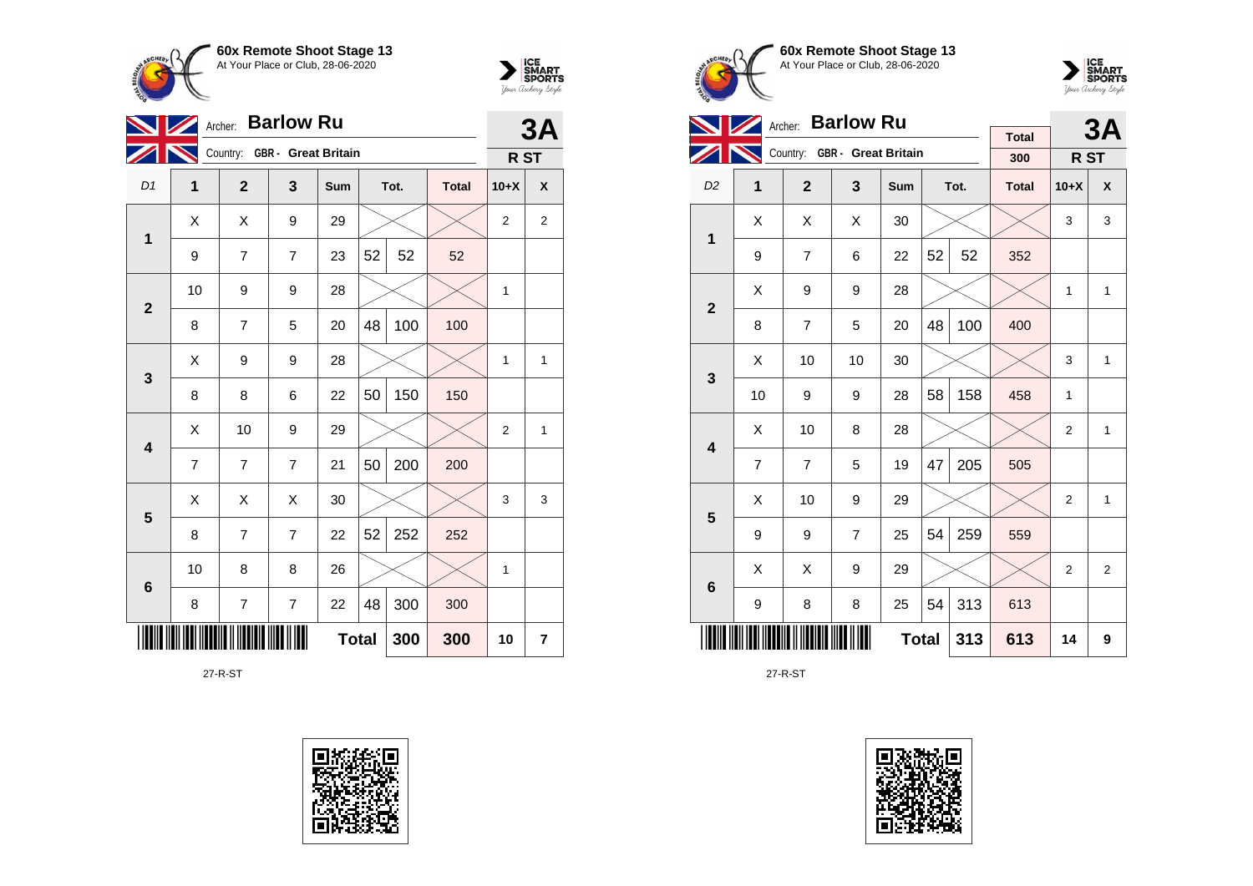



|                         |              | <b>Barlow Ru</b><br>Archer:  |                          |              |    |      |              |                 |                |  |
|-------------------------|--------------|------------------------------|--------------------------|--------------|----|------|--------------|-----------------|----------------|--|
|                         |              | Country: GBR - Great Britain |                          |              |    |      |              | R <sub>ST</sub> | <b>3A</b>      |  |
| D <sub>1</sub>          | $\mathbf{1}$ | $\overline{2}$               | 3                        | Sum          |    | Tot. | <b>Total</b> | $10+X$          | X              |  |
| $\mathbf 1$             | Χ            | Χ                            | 9                        | 29           |    |      |              | 2               | $\overline{2}$ |  |
|                         | 9            | 7                            | $\overline{7}$           | 23           | 52 | 52   | 52           |                 |                |  |
| $\mathbf{2}$            | 10           | 9                            | 9                        | 28           |    |      |              | 1               |                |  |
|                         | 8            | $\overline{7}$               | 5                        | 20           | 48 | 100  | 100          |                 |                |  |
| 3                       | X            | 9                            | 9                        | 28           |    |      |              | 1               | 1              |  |
|                         | 8            | 8                            | 6                        | 22           | 50 | 150  | 150          |                 |                |  |
| $\overline{\mathbf{4}}$ | X            | 10                           | 9                        | 29           |    |      |              | $\overline{2}$  | 1              |  |
|                         | 7            | 7                            | $\overline{7}$           | 21           | 50 | 200  | 200          |                 |                |  |
| $\overline{\mathbf{5}}$ | X            | X                            | X                        | 30           |    |      |              | 3               | 3              |  |
|                         | 8            | 7                            | $\overline{7}$           | 22           | 52 | 252  | 252          |                 |                |  |
| $6\phantom{1}6$         | 10           | 8                            | 8                        | 26           |    |      |              | 1               |                |  |
|                         | 8            | $\overline{7}$               | $\overline{\mathcal{I}}$ | 22           | 48 | 300  | 300          |                 |                |  |
|                         |              |                              |                          | <b>Total</b> |    | 300  | 300          | 10              | 7              |  |

27-R-ST







|                         |                | <b>Barlow Ru</b><br>Archer:  |                |              |    | 3A   |                     |                |   |
|-------------------------|----------------|------------------------------|----------------|--------------|----|------|---------------------|----------------|---|
|                         |                | Country: GBR - Great Britain |                |              |    |      | <b>Total</b><br>300 | R ST           |   |
|                         |                |                              |                |              |    |      |                     |                |   |
| D <sub>2</sub>          | 1              | $\mathbf{2}$                 | $\overline{3}$ | Sum          |    | Tot. | <b>Total</b>        | $10+X$         | X |
| $\overline{1}$          | Χ              | X                            | X              | 30           |    |      |                     | 3              | 3 |
|                         | 9              | $\overline{7}$               | 6              | 22           | 52 | 52   | 352                 |                |   |
| $\overline{2}$          | X              | 9                            | 9              | 28           |    |      |                     | $\mathbf{1}$   | 1 |
|                         | 8              | $\overline{7}$               | 5              | 20           | 48 | 100  | 400                 |                |   |
| 3                       | X              | 10                           | 10             | 30           |    |      |                     | 3              | 1 |
|                         | 10             | 9                            | 9              | 28           | 58 | 158  | 458                 | 1              |   |
| $\overline{\mathbf{4}}$ | X              | 10                           | 8              | 28           |    |      |                     | $\overline{2}$ | 1 |
|                         | $\overline{7}$ | $\overline{7}$               | 5              | 19           | 47 | 205  | 505                 |                |   |
| 5                       | Χ              | 10                           | 9              | 29           |    |      |                     | 2              | 1 |
|                         | 9              | 9                            | $\overline{7}$ | 25           | 54 | 259  | 559                 |                |   |
| 6                       | X              | X                            | 9              | 29           |    |      |                     | $\overline{2}$ | 2 |
|                         | 9              | 8                            | 8              | 25           | 54 | 313  | 613                 |                |   |
|                         |                |                              |                | <b>Total</b> |    | 313  | 613                 | 14             | 9 |

27-R-ST

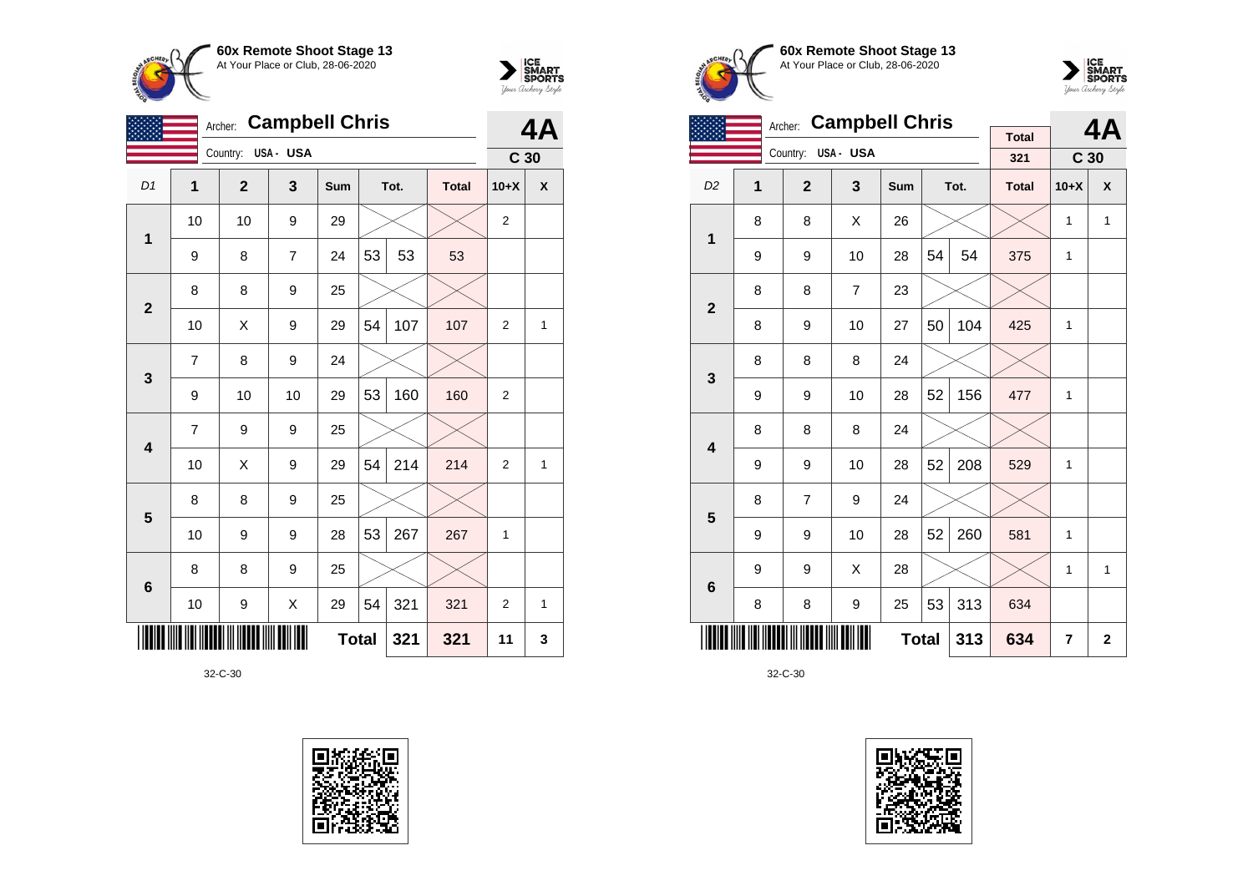



|                         | <b>Campbell Chris</b><br>Archer: |              |          |              |    |      |              |                 |              |
|-------------------------|----------------------------------|--------------|----------|--------------|----|------|--------------|-----------------|--------------|
|                         |                                  | Country:     | USA- USA |              |    |      |              | C <sub>30</sub> |              |
| D1                      | 1                                | $\mathbf{2}$ | 3        | Sum          |    | Tot. | <b>Total</b> | $10+X$          | X            |
| $\mathbf{1}$            | 10                               | 10           | 9        | 29           |    |      |              | $\overline{2}$  |              |
|                         | 9                                | 8            | 7        | 24           | 53 | 53   | 53           |                 |              |
| $\overline{2}$          | 8                                | 8            | 9        | 25           |    |      |              |                 |              |
|                         | 10                               | X            | 9        | 29           | 54 | 107  | 107          | $\overline{2}$  | $\mathbf{1}$ |
| $\mathbf{3}$            | 7                                | 8            | 9        | 24           |    |      |              |                 |              |
|                         | 9                                | 10           | 10       | 29           | 53 | 160  | 160          | $\overline{2}$  |              |
| $\overline{\mathbf{4}}$ | 7                                | 9            | 9        | 25           |    |      |              |                 |              |
|                         | 10                               | Χ            | 9        | 29           | 54 | 214  | 214          | 2               | $\mathbf{1}$ |
| 5                       | 8                                | 8            | 9        | 25           |    |      |              |                 |              |
|                         | 10                               | 9            | 9        | 28           | 53 | 267  | 267          | 1               |              |
| $6\phantom{1}6$         | 8                                | 8            | 9        | 25           |    |      |              |                 |              |
|                         | 10                               | 9            | Χ        | 29           | 54 | 321  | 321          | 2               | $\mathbf{1}$ |
|                         |                                  |              |          | <b>Total</b> |    | 321  | 321          | 11              | 3            |







|                         |   | Archer:        | <b>Campbell Chris</b> |              |    |      |                     |                 | 4A           |
|-------------------------|---|----------------|-----------------------|--------------|----|------|---------------------|-----------------|--------------|
|                         |   | Country:       | USA- USA              |              |    |      | <b>Total</b><br>321 | C <sub>30</sub> |              |
| D <sub>2</sub>          | 1 | $\overline{2}$ | 3                     | Sum          |    | Tot. | <b>Total</b>        | $10+X$          | X            |
| 1                       | 8 | 8              | X                     | 26           |    |      |                     | 1               | $\mathbf{1}$ |
|                         | 9 | 9              | 10                    | 28           | 54 | 54   | 375                 | 1               |              |
| $\overline{\mathbf{2}}$ | 8 | 8              | $\overline{7}$        | 23           |    |      |                     |                 |              |
|                         | 8 | 9              | 10                    | 27           | 50 | 104  | 425                 | 1               |              |
| 3                       | 8 | 8              | 8                     | 24           |    |      |                     |                 |              |
|                         | 9 | 9              | 10                    | 28           | 52 | 156  | 477                 | 1               |              |
| $\overline{\mathbf{4}}$ | 8 | 8              | 8                     | 24           |    |      |                     |                 |              |
|                         | 9 | 9              | 10                    | 28           | 52 | 208  | 529                 | 1               |              |
| 5                       | 8 | $\overline{7}$ | 9                     | 24           |    |      |                     |                 |              |
|                         | 9 | 9              | 10                    | 28           | 52 | 260  | 581                 | 1               |              |
| $6\phantom{1}6$         | 9 | 9              | X                     | 28           |    |      |                     | 1               | 1            |
|                         | 8 | 8              | 9                     | 25           | 53 | 313  | 634                 |                 |              |
|                         |   |                |                       | <b>Total</b> |    | 313  | 634                 | 7               | $\mathbf{2}$ |

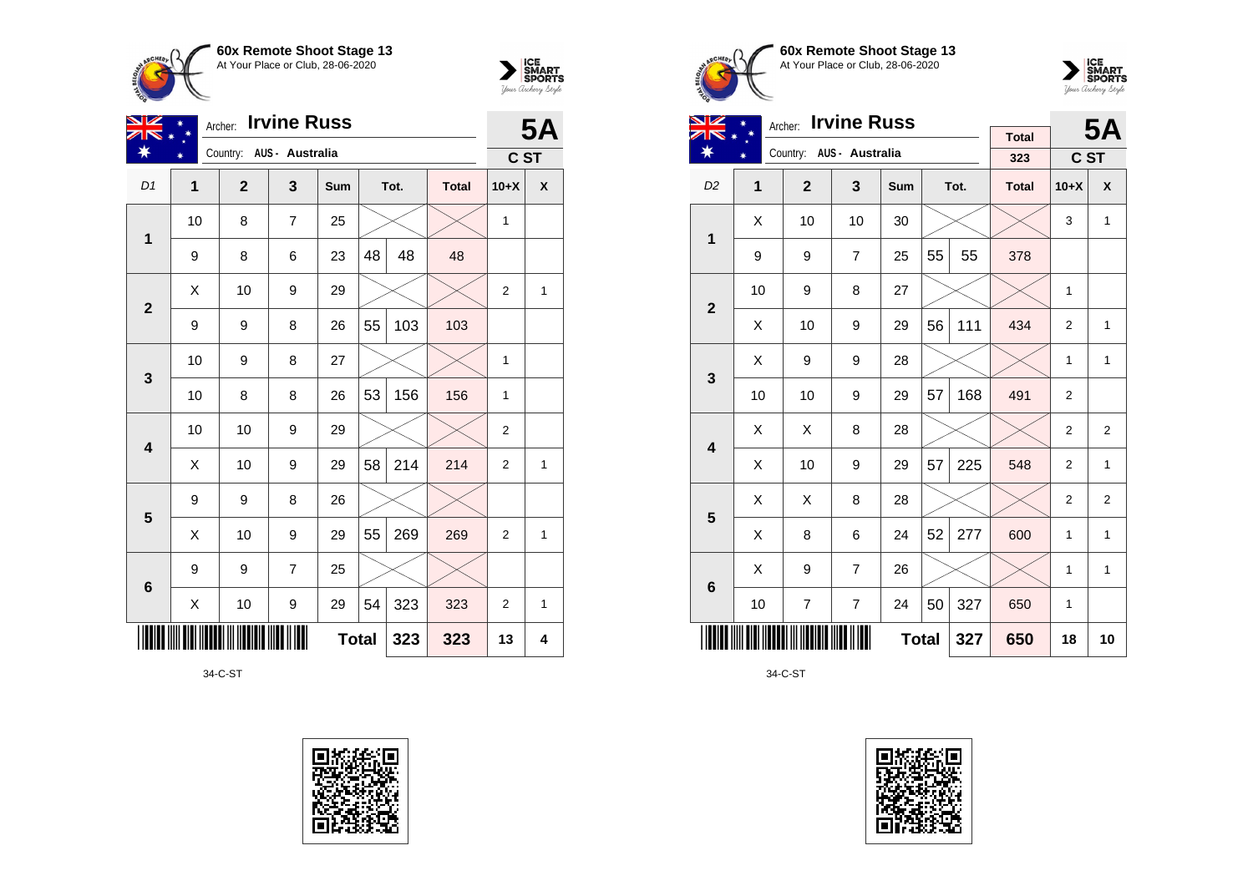



| NZ                      | Archer:<br>$\ast$ |              | <b>5A</b>                |              |    |      |              |                  |              |
|-------------------------|-------------------|--------------|--------------------------|--------------|----|------|--------------|------------------|--------------|
|                         |                   |              | Country: AUS - Australia |              |    |      |              | C ST             |              |
| D1                      | 1                 | $\mathbf{2}$ | 3                        | Sum          |    | Tot. | <b>Total</b> | $10+X$           | X            |
| 1                       | 10                | 8            | 7                        | 25           |    |      |              | $\mathbf{1}$     |              |
|                         | 9                 | 8            | 6                        | 23           | 48 | 48   | 48           |                  |              |
| $\mathbf{2}$            | Χ                 | 10           | 9                        | 29           |    |      |              | $\boldsymbol{2}$ | $\mathbf{1}$ |
|                         | 9                 | 9            | 8                        | 26           | 55 | 103  | 103          |                  |              |
| $\mathbf{3}$            | 10                | 9            | 8                        | 27           |    |      |              | 1                |              |
|                         | 10                | 8            | 8                        | 26           | 53 | 156  | 156          | 1                |              |
| $\overline{\mathbf{4}}$ | 10                | 10           | 9                        | 29           |    |      |              | 2                |              |
|                         | Χ                 | 10           | 9                        | 29           | 58 | 214  | 214          | $\overline{2}$   | 1            |
| 5                       | 9                 | 9            | 8                        | 26           |    |      |              |                  |              |
|                         | Χ                 | 10           | 9                        | 29           | 55 | 269  | 269          | 2                | $\mathbf{1}$ |
| $\bf 6$                 | 9                 | 9            | $\overline{7}$           | 25           |    |      |              |                  |              |
|                         | Χ                 | 10           | 9                        | 29           | 54 | 323  | 323          | $\overline{2}$   | 1            |
|                         |                   |              |                          | <b>Total</b> |    | 323  | 323          | 13               | 4            |

34-C-ST







| <b>NIZ</b>              |    | <b>Irvine Russ</b><br>Archer: |                         |     |    | <b>5A</b> |                     |                |                |
|-------------------------|----|-------------------------------|-------------------------|-----|----|-----------|---------------------|----------------|----------------|
| ∗                       |    | Country: AUS - Australia      |                         |     |    |           | <b>Total</b><br>323 | C ST           |                |
| D <sub>2</sub>          | 1  | $\overline{2}$                | $\overline{\mathbf{3}}$ | Sum |    | Tot.      | <b>Total</b>        | $10+X$         | X              |
|                         |    |                               |                         |     |    |           |                     |                |                |
| 1                       | X  | 10                            | 10                      | 30  |    |           |                     | 3              | $\mathbf{1}$   |
|                         | 9  | 9                             | $\overline{7}$          | 25  | 55 | 55        | 378                 |                |                |
| $\overline{2}$          | 10 | 9                             | 8                       | 27  |    |           |                     | $\mathbf{1}$   |                |
|                         | X  | 10                            | 9                       | 29  | 56 | 111       | 434                 | $\overline{2}$ | 1              |
| 3                       | X  | 9                             | 9                       | 28  |    |           |                     | 1              | $\mathbf{1}$   |
|                         | 10 | 10                            | 9                       | 29  | 57 | 168       | 491                 | 2              |                |
| $\overline{\mathbf{4}}$ | X  | X                             | 8                       | 28  |    |           |                     | $\overline{2}$ | $\overline{2}$ |
|                         | X  | 10                            | 9                       | 29  | 57 | 225       | 548                 | $\overline{2}$ | $\mathbf{1}$   |
| 5                       | X  | X                             | 8                       | 28  |    |           |                     | $\overline{2}$ | $\overline{2}$ |
|                         | X  | 8                             | 6                       | 24  | 52 | 277       | 600                 | $\mathbf{1}$   | 1              |
| $6\phantom{1}6$         | X  | 9                             | $\overline{7}$          | 26  |    |           |                     | 1              | $\mathbf{1}$   |
|                         | 10 | $\overline{7}$                | $\overline{7}$          | 24  | 50 | 327       | 650                 | $\mathbf{1}$   |                |
|                         |    |                               | 327                     | 650 | 18 | 10        |                     |                |                |

34-C-ST

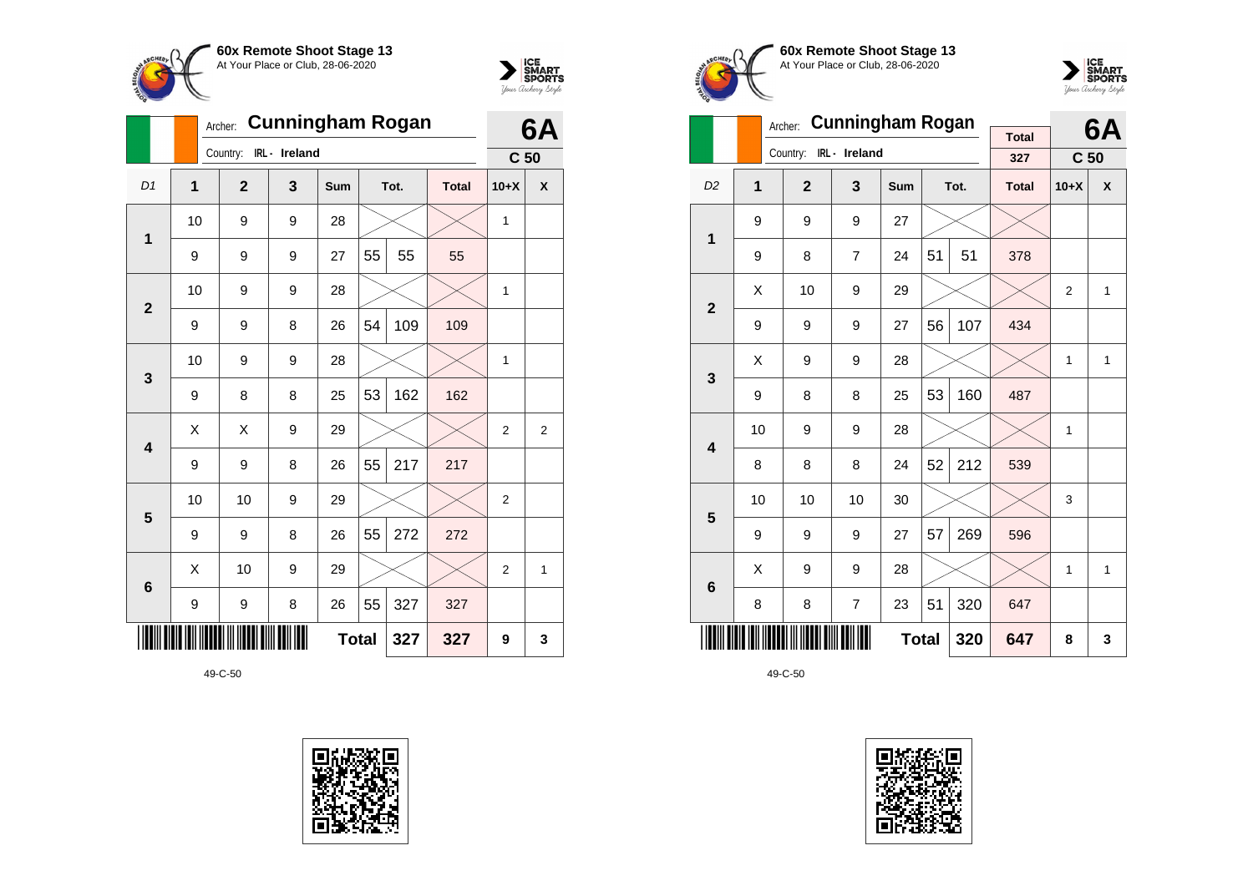



|                         |                | <b>Cunningham Rogan</b><br>Archer: |               |     | 6A           |      |              |                 |   |
|-------------------------|----------------|------------------------------------|---------------|-----|--------------|------|--------------|-----------------|---|
|                         |                | Country:                           | IRL - Ireland |     |              |      |              | C <sub>50</sub> |   |
| D1                      | $\overline{1}$ | $\overline{2}$                     | 3             | Sum |              | Tot. | <b>Total</b> | $10+X$          | X |
| $\mathbf 1$             | 10             | 9                                  | 9             | 28  |              |      |              | 1               |   |
|                         | 9              | 9                                  | 9             | 27  | 55           | 55   | 55           |                 |   |
| $\overline{2}$          | 10             | 9                                  | 9             | 28  |              |      |              | $\mathbf{1}$    |   |
|                         | 9              | 9                                  | 8             | 26  | 54           | 109  | 109          |                 |   |
| 3                       | 10             | 9                                  | 9             | 28  |              |      |              | 1               |   |
|                         | 9              | 8                                  | 8             | 25  | 53           | 162  | 162          |                 |   |
| $\overline{\mathbf{4}}$ | Χ              | Χ                                  | 9             | 29  |              |      |              | 2               | 2 |
|                         | 9              | 9                                  | 8             | 26  | 55           | 217  | 217          |                 |   |
| 5                       | 10             | 10                                 | 9             | 29  |              |      |              | $\overline{2}$  |   |
|                         | 9              | 9                                  | 8             | 26  | 55           | 272  | 272          |                 |   |
| $6\phantom{1}6$         | X              | 10                                 | 9             | 29  |              |      |              | $\overline{2}$  | 1 |
|                         | 9              | 9                                  | 327           |     |              |      |              |                 |   |
|                         |                |                                    |               |     | <b>Total</b> | 327  | 327          | 9               | 3 |







|                         |    | Archer:        | <b>Cunningham Rogan</b> |     |    |      | 6A                  |                 |                    |
|-------------------------|----|----------------|-------------------------|-----|----|------|---------------------|-----------------|--------------------|
|                         |    | Country:       | IRL- Ireland            |     |    |      | <b>Total</b><br>327 | C <sub>50</sub> |                    |
| D <sub>2</sub>          | 1  | $\overline{2}$ | 3                       | Sum |    | Tot. | <b>Total</b>        | $10+X$          | $\pmb{\mathsf{X}}$ |
| 1                       | 9  | 9              | 9                       | 27  |    |      |                     |                 |                    |
|                         | 9  | 8              | $\overline{7}$          | 24  | 51 | 51   | 378                 |                 |                    |
| $\overline{2}$          | X  | 10             | 9                       | 29  |    |      |                     | $\overline{2}$  | $\mathbf{1}$       |
|                         | 9  | 9              | 9                       | 27  | 56 | 107  | 434                 |                 |                    |
| 3                       | X  | 9              | 9                       | 28  |    |      |                     | 1               | 1                  |
|                         | 9  | 8              | 8                       | 25  | 53 | 160  | 487                 |                 |                    |
| $\overline{\mathbf{4}}$ | 10 | 9              | 9                       | 28  |    |      |                     | 1               |                    |
|                         | 8  | 8              | 8                       | 24  | 52 | 212  | 539                 |                 |                    |
| 5                       | 10 | 10             | 10                      | 30  |    |      |                     | 3               |                    |
|                         | 9  | 9              | 9                       | 27  | 57 | 269  | 596                 |                 |                    |
| $6\phantom{1}6$         | X  | 9              | 9                       | 28  |    |      |                     | 1               | 1                  |
|                         | 8  | 8              | 320                     | 647 |    |      |                     |                 |                    |
|                         |    |                | 320                     | 647 | 8  | 3    |                     |                 |                    |

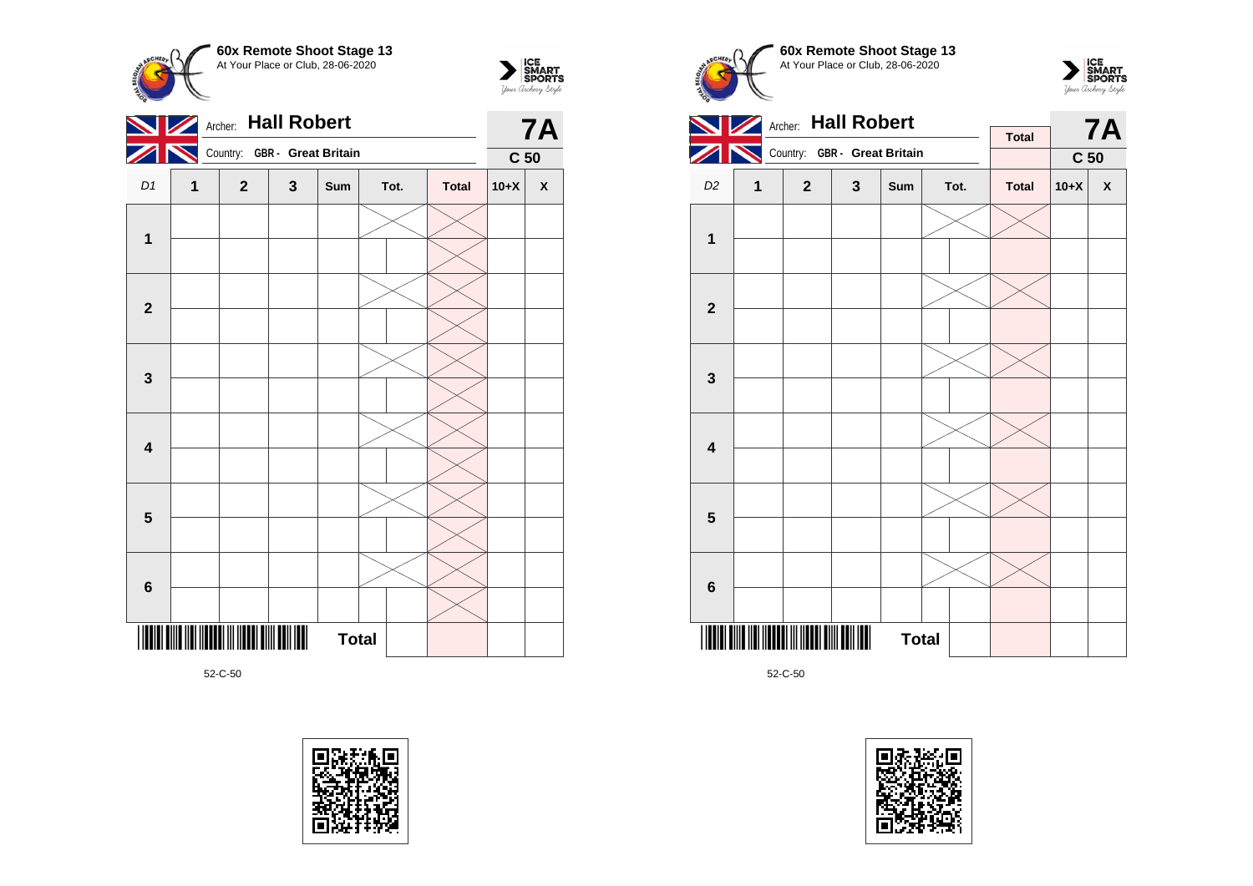



|                         | Archer: Hall Robert |                              |              | <b>7A</b>    |      |              |                 |                    |
|-------------------------|---------------------|------------------------------|--------------|--------------|------|--------------|-----------------|--------------------|
|                         |                     | Country: GBR - Great Britain |              |              |      |              | C <sub>50</sub> |                    |
| D <sub>1</sub>          | 1                   | $\mathbf{2}$                 | $\mathbf{3}$ | Sum          | Tot. | <b>Total</b> | $10+X$          | $\pmb{\mathsf{X}}$ |
|                         |                     |                              |              |              |      |              |                 |                    |
| $\mathbf 1$             |                     |                              |              |              |      |              |                 |                    |
|                         |                     |                              |              |              |      |              |                 |                    |
| $\mathbf{2}$            |                     |                              |              |              |      |              |                 |                    |
|                         |                     |                              |              |              |      |              |                 |                    |
| $\mathbf 3$             |                     |                              |              |              |      |              |                 |                    |
|                         |                     |                              |              |              |      |              |                 |                    |
| $\overline{\mathbf{4}}$ |                     |                              |              |              |      |              |                 |                    |
|                         |                     |                              |              |              |      |              |                 |                    |
| $\overline{\mathbf{5}}$ |                     |                              |              |              |      |              |                 |                    |
|                         |                     |                              |              |              |      |              |                 |                    |
| $\bf 6$                 |                     |                              |              |              |      |              |                 |                    |
|                         |                     |                              |              | <b>Total</b> |      |              |                 |                    |





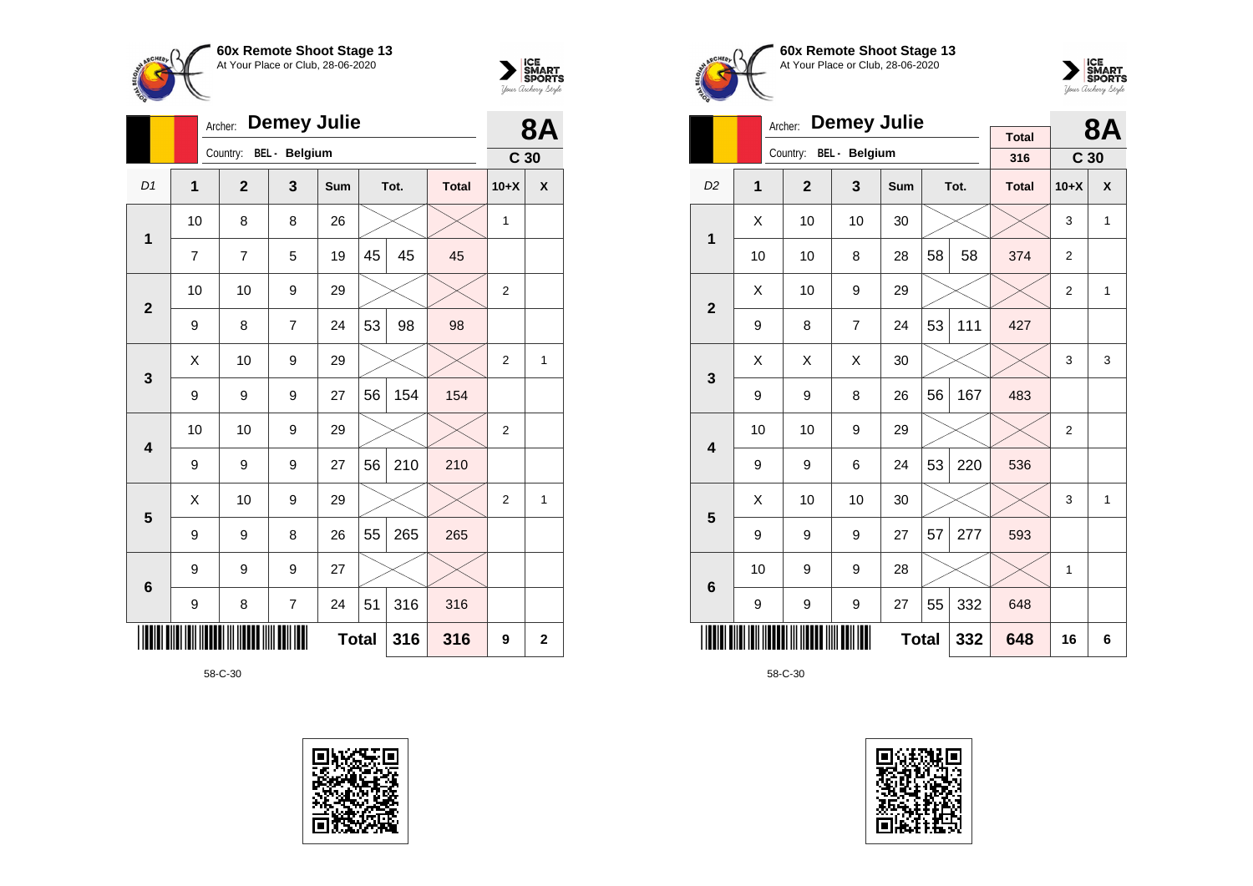



|                |                | <b>Demey Julie</b><br>Archer: |                |              |    |      |              |                 |             |  |  |
|----------------|----------------|-------------------------------|----------------|--------------|----|------|--------------|-----------------|-------------|--|--|
|                |                | Country:                      | BEL - Belgium  |              |    |      |              | C <sub>30</sub> |             |  |  |
| D <sub>1</sub> | $\overline{1}$ | $\mathbf{2}$                  | 3              | Sum          |    | Tot. | <b>Total</b> | $10+X$          | X           |  |  |
| $\mathbf 1$    | 10             | 8                             | 8              | 26           |    |      |              | 1               |             |  |  |
|                | 7              | 7                             | 5              | 19           | 45 | 45   | 45           |                 |             |  |  |
| $\overline{2}$ | 10             | 10                            | 9              | 29           |    |      |              | 2               |             |  |  |
|                | 9              | 8                             | $\overline{7}$ | 24           | 53 | 98   | 98           |                 |             |  |  |
| 3              | X              | 10                            | 9              | 29           |    |      |              | $\overline{2}$  | 1           |  |  |
|                | 9              | 9                             | 9              | 27           | 56 | 154  | 154          |                 |             |  |  |
| 4              | 10             | 10                            | 9              | 29           |    |      |              | $\overline{2}$  |             |  |  |
|                | 9              | 9                             | 9              | 27           | 56 | 210  | 210          |                 |             |  |  |
| 5              | X              | 10                            | 9              | 29           |    |      |              | $\overline{2}$  | 1           |  |  |
|                | 9              | 9                             | 8              | 26           | 55 | 265  | 265          |                 |             |  |  |
| 6              | 9              | 9                             | 9              | 27           |    |      |              |                 |             |  |  |
|                | 9              | 8                             | $\overline{7}$ | 24           | 51 | 316  | 316          |                 |             |  |  |
|                |                |                               |                | <b>Total</b> |    | 316  | 316          | 9               | $\mathbf 2$ |  |  |









|                         |                                | <b>Demey Julie</b><br>Archer: |                | <b>Total</b> |    | <b>8A</b> |              |                 |              |
|-------------------------|--------------------------------|-------------------------------|----------------|--------------|----|-----------|--------------|-----------------|--------------|
|                         |                                | Country:                      | BEL - Belgium  |              |    |           | 316          | C <sub>30</sub> |              |
| D <sub>2</sub>          | 1                              | $\overline{2}$                | 3              | <b>Sum</b>   |    | Tot.      | <b>Total</b> | $10+X$          | X            |
| 1                       | X                              | 10                            | 10             | 30           |    |           |              | 3               | 1            |
|                         | 10                             | 10                            | 8              | 28           | 58 | 58        | 374          | $\overline{2}$  |              |
| $\overline{2}$          | X                              | 10                            | 9              | 29           |    |           |              | $\overline{2}$  | $\mathbf{1}$ |
|                         | 9                              | 8                             | $\overline{7}$ | 24           | 53 | 111       | 427          |                 |              |
| 3                       | X                              | X                             | Χ              | 30           |    |           |              | 3               | 3            |
|                         | 9                              | 9                             | 8              | 26           | 56 | 167       | 483          |                 |              |
| $\overline{\mathbf{4}}$ | 10                             | 10                            | 9              | 29           |    |           |              | $\overline{2}$  |              |
|                         | 9                              | 9                             | 6              | 24           | 53 | 220       | 536          |                 |              |
| 5                       | X                              | 10                            | 10             | 30           |    |           |              | 3               | $\mathbf{1}$ |
|                         | 9                              | 9                             | 9              | 27           | 57 | 277       | 593          |                 |              |
| 6                       | 10                             | 9                             | 9              | 28           |    |           |              | 1               |              |
|                         | 55<br>332<br>9<br>27<br>9<br>9 |                               |                |              |    |           |              |                 |              |
|                         |                                |                               |                | <b>Total</b> |    | 332       | 648          | 16              | 6            |

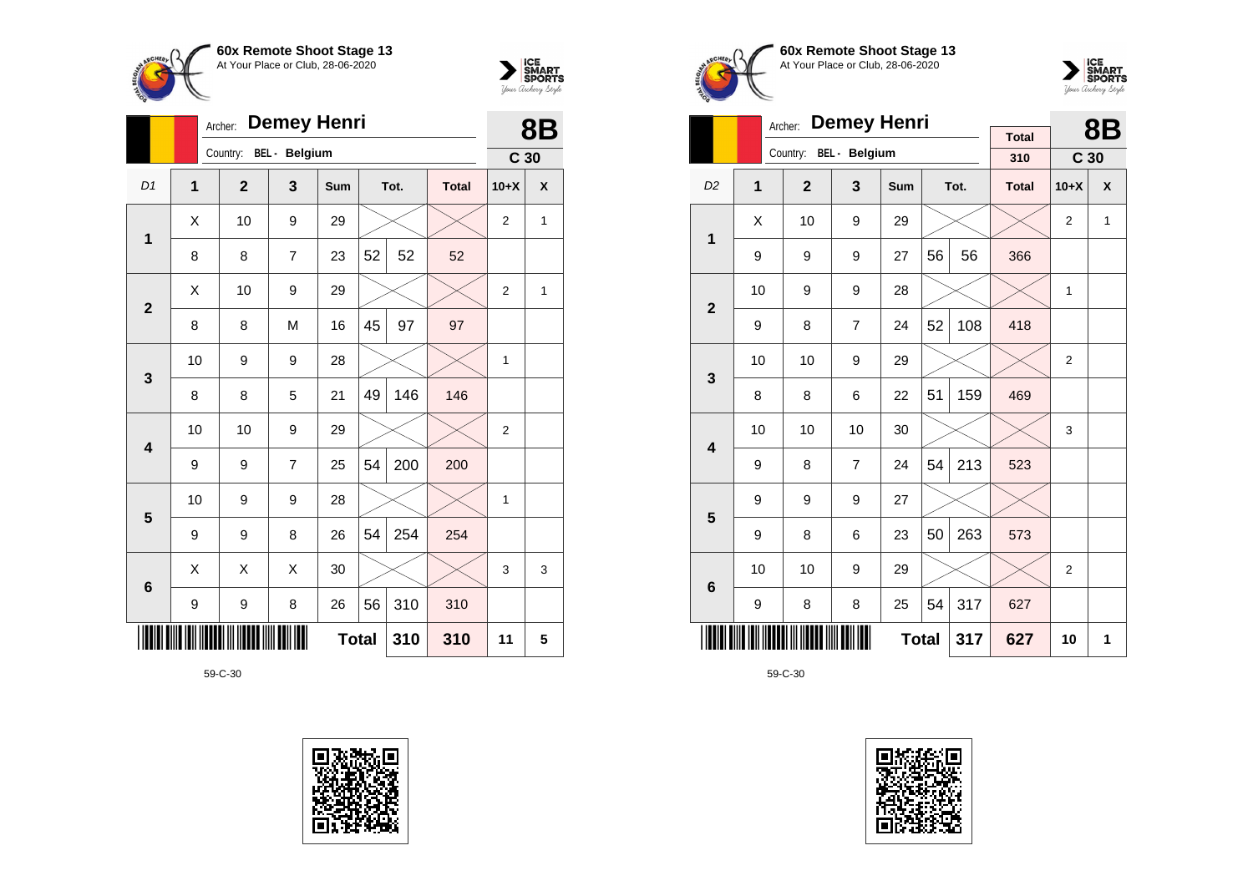



|                         |                | <b>Demey Henri</b><br>Archer: |                |              |    |      |              |                 |   |  |  |
|-------------------------|----------------|-------------------------------|----------------|--------------|----|------|--------------|-----------------|---|--|--|
|                         |                | Country:                      | BEL - Belgium  |              |    |      |              | C <sub>30</sub> |   |  |  |
| D <sub>1</sub>          | $\overline{1}$ | $\overline{2}$                | 3              | <b>Sum</b>   |    | Tot. | <b>Total</b> | $10+X$          | X |  |  |
| $\mathbf 1$             | X              | 10                            | 9              | 29           |    |      |              | 2               | 1 |  |  |
|                         | 8              | 8                             | $\overline{7}$ | 23           | 52 | 52   | 52           |                 |   |  |  |
| $\overline{2}$          | X              | 10                            | 9              | 29           |    |      |              | $\overline{2}$  | 1 |  |  |
|                         | 8              | 8                             | M              | 16           | 45 | 97   | 97           |                 |   |  |  |
| 3                       | 10             | 9                             | 9              | 28           |    |      |              | $\mathbf{1}$    |   |  |  |
|                         | 8              | 8                             | 5              | 21           | 49 | 146  | 146          |                 |   |  |  |
| $\overline{\mathbf{4}}$ | 10             | 10                            | 9              | 29           |    |      |              | $\overline{2}$  |   |  |  |
|                         | 9              | 9                             | $\overline{7}$ | 25           | 54 | 200  | 200          |                 |   |  |  |
| 5                       | 10             | 9                             | 9              | 28           |    |      |              | 1               |   |  |  |
|                         | 9              | 9                             | 8              | 26           | 54 | 254  | 254          |                 |   |  |  |
| $6\phantom{1}6$         | Χ              | Χ                             | Χ              | 30           |    |      |              | 3               | 3 |  |  |
|                         | 9              | 9                             | 8              | 26           | 56 | 310  | 310          |                 |   |  |  |
|                         |                |                               |                | <b>Total</b> |    | 310  | 310          | 11              | 5 |  |  |







|                         |    | Archer:        | <b>Demey Henri</b> |     |    |      | <b>8B</b>           |                 |   |
|-------------------------|----|----------------|--------------------|-----|----|------|---------------------|-----------------|---|
|                         |    | Country:       | BEL - Belgium      |     |    |      | <b>Total</b><br>310 | C <sub>30</sub> |   |
| D <sub>2</sub>          | 1  | $\overline{2}$ | 3                  | Sum |    | Tot. | <b>Total</b>        | $10+X$          | X |
|                         |    |                |                    |     |    |      |                     |                 |   |
| 1                       | X  | 10             | 9                  | 29  |    |      |                     | 2               | 1 |
|                         | 9  | 9              | 9                  | 27  | 56 | 56   | 366                 |                 |   |
|                         | 10 | 9              | 9                  | 28  |    |      |                     | 1               |   |
| $\overline{2}$          | 9  | 8              | $\overline{7}$     | 24  | 52 | 108  | 418                 |                 |   |
|                         | 10 | 10             | 9                  | 29  |    |      |                     | 2               |   |
| 3                       | 8  | 8              | 6                  | 22  | 51 | 159  | 469                 |                 |   |
| $\overline{\mathbf{4}}$ | 10 | 10             | 10                 | 30  |    |      |                     | 3               |   |
|                         | 9  | 8              | $\overline{7}$     | 24  | 54 | 213  | 523                 |                 |   |
| 5                       | 9  | 9              | 9                  | 27  |    |      |                     |                 |   |
|                         | 9  | 8              | 6                  | 23  | 50 | 263  | 573                 |                 |   |
| $6\phantom{1}6$         | 10 | 10             | 9                  | 29  |    |      |                     | $\overline{2}$  |   |
|                         | 9  | 8              | 8                  | 25  | 54 | 317  | 627                 |                 |   |
|                         |    |                | 317                | 627 | 10 | 1    |                     |                 |   |

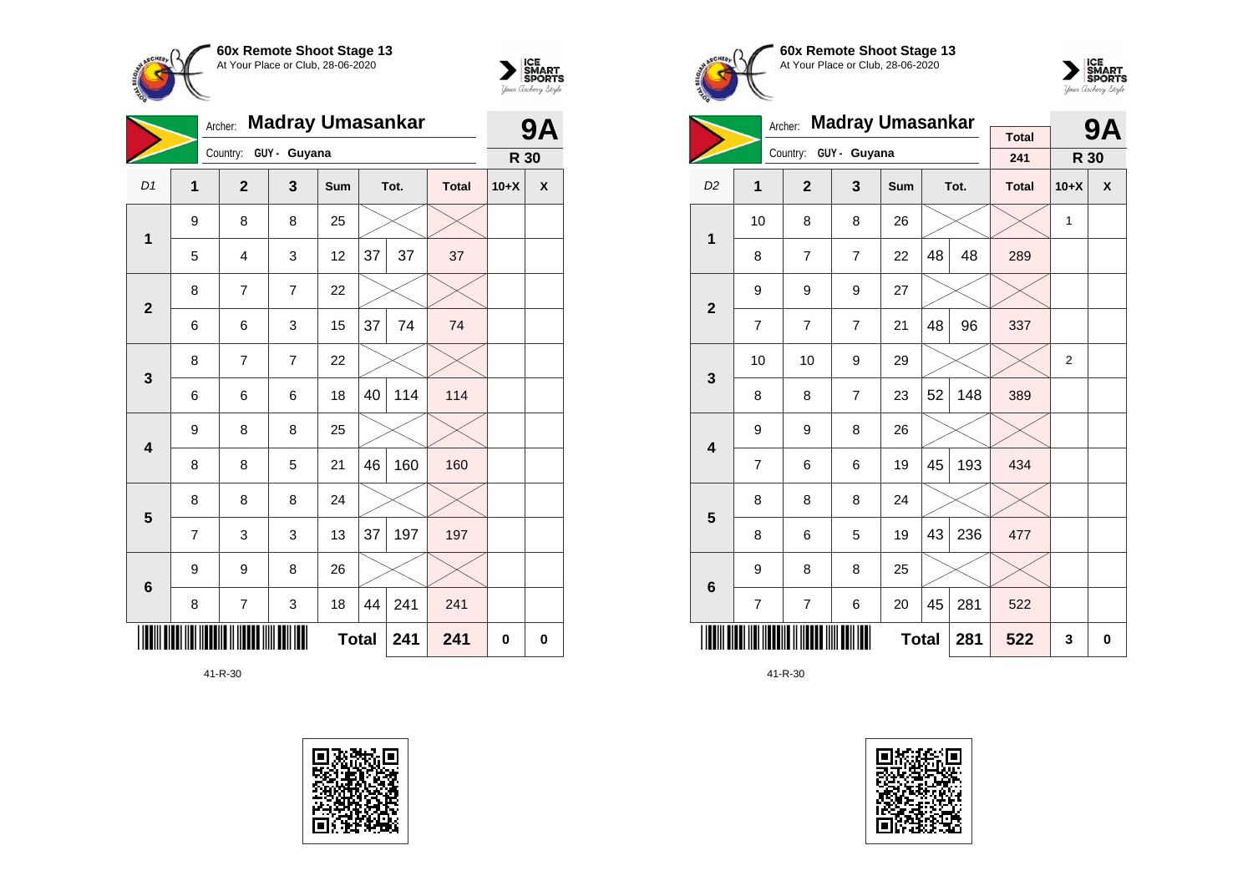



|                         |                | <b>Madray Umasankar</b><br>Archer: |                |     |              |      |              |        | <b>9A</b>          |
|-------------------------|----------------|------------------------------------|----------------|-----|--------------|------|--------------|--------|--------------------|
|                         |                | Country:                           | GUY - Guyana   |     |              |      |              | R 30   |                    |
| D1                      | $\mathbf{1}$   | $\mathbf{2}$                       | 3              | Sum |              | Tot. | <b>Total</b> | $10+X$ | $\pmb{\mathsf{X}}$ |
| $\mathbf 1$             | 9              | 8                                  | 8              | 25  |              |      |              |        |                    |
|                         | 5              | 4                                  | 3              | 12  | 37           | 37   | 37           |        |                    |
| $\mathbf{2}$            | 8              | $\overline{7}$                     | $\overline{7}$ | 22  |              |      |              |        |                    |
|                         | 6              | 6                                  | 3              | 15  | 37           | 74   | 74           |        |                    |
| $\mathbf{3}$            | 8              | $\overline{7}$                     | $\overline{7}$ | 22  |              |      |              |        |                    |
|                         | 6              | 6                                  | 6              | 18  | 40           | 114  | 114          |        |                    |
| $\overline{\mathbf{4}}$ | 9              | 8                                  | 8              | 25  |              |      |              |        |                    |
|                         | 8              | 8                                  | 5              | 21  | 46           | 160  | 160          |        |                    |
| $5\phantom{1}$          | 8              | 8                                  | 8              | 24  |              |      |              |        |                    |
|                         | $\overline{7}$ | 3                                  | 3              | 13  | 37           | 197  | 197          |        |                    |
| 6                       | 9              | 9                                  | 8              | 26  |              |      |              |        |                    |
|                         | 8              | 7                                  | 3              | 18  | 44           | 241  | 241          |        |                    |
|                         |                |                                    |                |     | <b>Total</b> | 241  | 241          | 0      | $\mathbf 0$        |









|                         |                | Archer:        | <b>Madray Umasankar</b> |              |    | <b>9A</b> |              |                |   |
|-------------------------|----------------|----------------|-------------------------|--------------|----|-----------|--------------|----------------|---|
|                         |                |                | Country: GUY - Guyana   |              |    |           | <b>Total</b> |                |   |
|                         |                |                |                         |              |    |           | 241          | R 30           |   |
| D <sub>2</sub>          | 1              | $\mathbf{2}$   | 3                       | Sum          |    | Tot.      | <b>Total</b> | $10+X$         | X |
| $\mathbf 1$             | 10             | 8              | 8                       | 26           |    |           |              | 1              |   |
|                         | 8              | $\overline{7}$ | $\overline{7}$          | 22           | 48 | 48        | 289          |                |   |
| $\overline{2}$          | 9              | 9              | 9                       | 27           |    |           |              |                |   |
|                         | $\overline{7}$ | $\overline{7}$ | $\overline{7}$          | 21           | 48 | 96        | 337          |                |   |
| 3                       | 10             | 10             | 9                       | 29           |    |           |              | $\overline{2}$ |   |
|                         | 8              | 8              | $\overline{7}$          | 23           | 52 | 148       | 389          |                |   |
| $\overline{\mathbf{4}}$ | 9              | 9              | 8                       | 26           |    |           |              |                |   |
|                         | 7              | 6              | 6                       | 19           | 45 | 193       | 434          |                |   |
| 5                       | 8              | 8              | 8                       | 24           |    |           |              |                |   |
|                         | 8              | 6              | 5                       | 19           | 43 | 236       | 477          |                |   |
| 6                       | 9              | 8              | 8                       | 25           |    |           |              |                |   |
|                         | 7              | $\overline{7}$ | 6                       | 20           | 45 | 281       | 522          |                |   |
|                         |                |                |                         | <b>Total</b> |    | 281       | 522          | 3              | 0 |

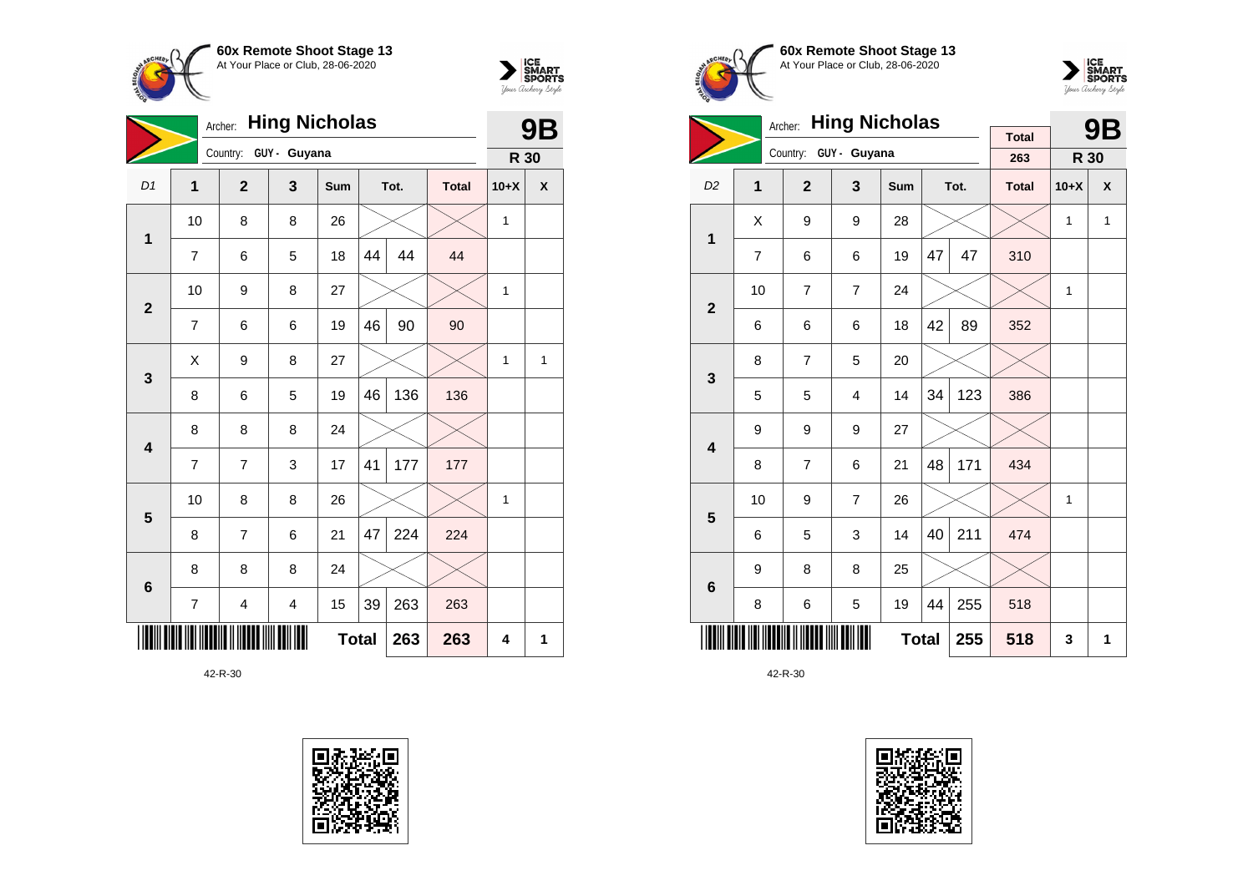



|                         | <b>Hing Nicholas</b><br>Archer: |                       |                         |              |    |      |              |        | 9Β           |
|-------------------------|---------------------------------|-----------------------|-------------------------|--------------|----|------|--------------|--------|--------------|
|                         |                                 | Country: GUY - Guyana |                         |              |    |      |              | R 30   |              |
| D <sub>1</sub>          | 1                               | $\overline{2}$        | 3                       | Sum          |    | Tot. | <b>Total</b> | $10+X$ | X            |
| $\mathbf{1}$            | 10                              | 8                     | 8                       | 26           |    |      |              | 1      |              |
|                         | 7                               | 6                     | 5                       | 18           | 44 | 44   | 44           |        |              |
|                         | 10                              | 9                     | 8                       | 27           |    |      |              | 1      |              |
| $\overline{2}$          | 7                               | 6                     | 6                       | 19           | 46 | 90   | 90           |        |              |
| 3                       | Χ                               | 9                     | 8                       | 27           |    |      |              | 1      | $\mathbf{1}$ |
|                         | 8                               | 6                     | 5                       | 19           | 46 | 136  | 136          |        |              |
| $\overline{\mathbf{4}}$ | 8                               | 8                     | 8                       | 24           |    |      |              |        |              |
|                         | 7                               | 7                     | 3                       | 17           | 41 | 177  | 177          |        |              |
| 5                       | 10                              | 8                     | 8                       | 26           |    |      |              | 1      |              |
|                         | 8                               | $\overline{7}$        | 6                       | 21           | 47 | 224  | 224          |        |              |
| $6\phantom{1}6$         | 8                               | 8                     | 8                       | 24           |    |      |              |        |              |
|                         | $\overline{7}$                  | 4                     | $\overline{\mathbf{4}}$ | 15           | 39 | 263  | 263          |        |              |
|                         |                                 |                       |                         | <b>Total</b> |    | 263  | 263          | 4      | 1            |







|                         |                | <b>Hing Nicholas</b><br>Archer: |                         |              |    | 9Β   |                     |              |              |
|-------------------------|----------------|---------------------------------|-------------------------|--------------|----|------|---------------------|--------------|--------------|
|                         |                | Country:                        | GUY - Guyana            |              |    |      | <b>Total</b><br>263 | R 30         |              |
| D <sub>2</sub>          | $\overline{1}$ | $\overline{2}$                  | $\overline{\mathbf{3}}$ | <b>Sum</b>   |    | Tot. | <b>Total</b>        | $10+X$       | X            |
| $\mathbf 1$             | Χ              | 9                               | 9                       | 28           |    |      |                     | $\mathbf{1}$ | $\mathbf{1}$ |
|                         | 7              | 6                               | 6                       | 19           | 47 | 47   | 310                 |              |              |
| $\overline{2}$          | 10             | $\overline{7}$                  | $\overline{7}$          | 24           |    |      |                     | 1            |              |
|                         | 6              | 6                               | 6                       | 18           | 42 | 89   | 352                 |              |              |
| 3                       | 8              | $\overline{7}$                  | 5                       | 20           |    |      |                     |              |              |
|                         | 5              | 5                               | 4                       | 14           | 34 | 123  | 386                 |              |              |
| $\overline{\mathbf{4}}$ | 9              | 9                               | 9                       | 27           |    |      |                     |              |              |
|                         | 8              | $\overline{7}$                  | 6                       | 21           | 48 | 171  | 434                 |              |              |
| 5                       | 10             | 9                               | $\overline{7}$          | 26           |    |      |                     | 1            |              |
|                         | 6              | 5                               | 3                       | 14           | 40 | 211  | 474                 |              |              |
| $6\phantom{1}$          | 9              | 8                               | 8                       | 25           |    |      |                     |              |              |
|                         | 8              | 6                               | 5                       | 19           | 44 | 255  | 518                 |              |              |
|                         |                |                                 |                         | <b>Total</b> |    | 255  | 518                 | 3            | 1            |

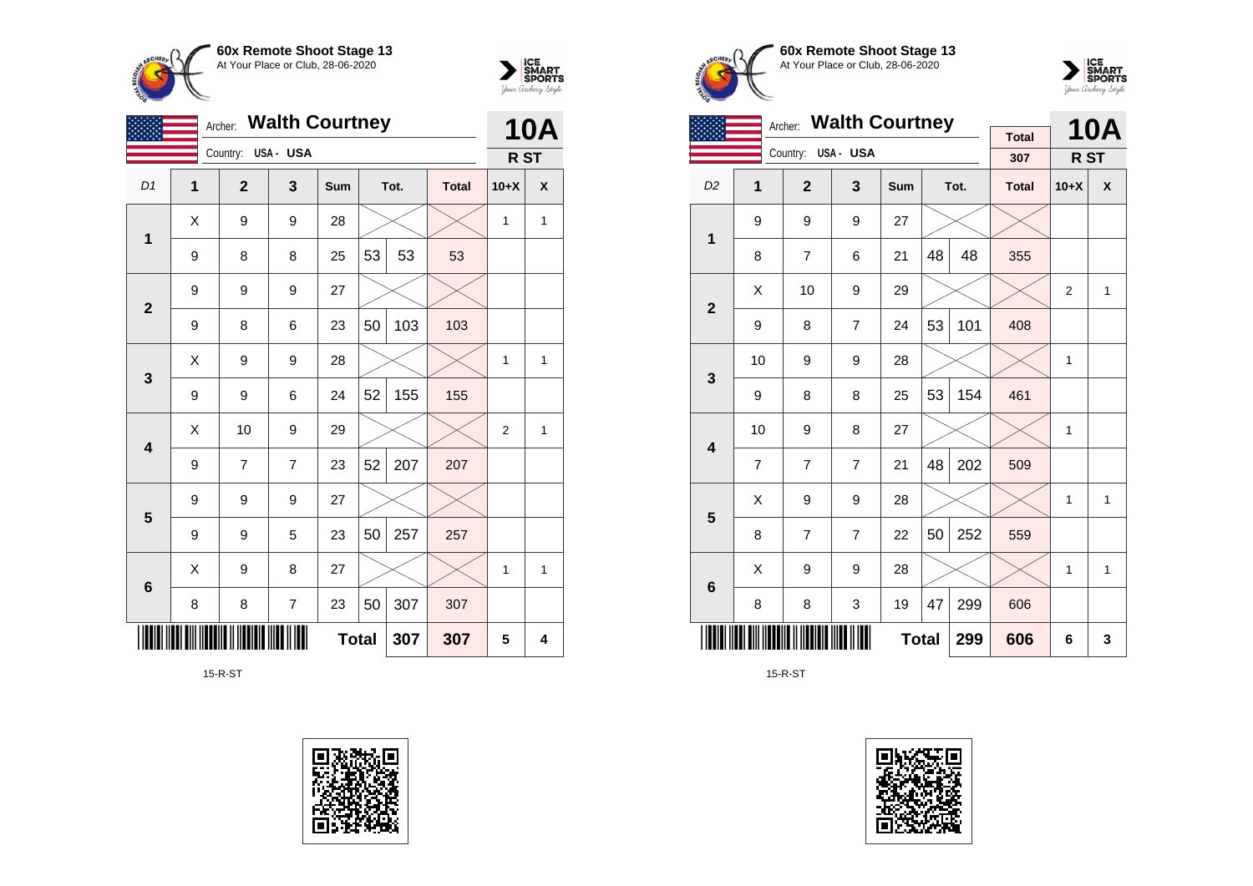



|                         |   | Archer:        | <b>Walth Courtney</b> |              |    |      |              |                | <b>10A</b> |
|-------------------------|---|----------------|-----------------------|--------------|----|------|--------------|----------------|------------|
|                         |   | Country:       | USA- USA              |              |    |      |              | R ST           |            |
| D1                      | 1 | $\overline{2}$ | 3                     | Sum          |    | Tot. | <b>Total</b> | $10+X$         | X          |
| 1                       | Χ | 9              | 9                     | 28           |    |      |              | 1              | 1          |
|                         | 9 | 8              | 8                     | 25           | 53 | 53   | 53           |                |            |
| $\mathbf{2}$            | 9 | 9              | 9                     | 27           |    |      |              |                |            |
|                         | 9 | 8              | 6                     | 23           | 50 | 103  | 103          |                |            |
| $\mathbf{3}$            | X | 9              | 9                     | 28           |    |      |              | 1              | 1          |
|                         | 9 | 9              | 6                     | 24           | 52 | 155  | 155          |                |            |
| $\overline{\mathbf{4}}$ | Χ | 10             | 9                     | 29           |    |      |              | $\overline{2}$ | 1          |
|                         | 9 | 7              | $\overline{7}$        | 23           | 52 | 207  | 207          |                |            |
| $5\phantom{1}$          | 9 | 9              | 9                     | 27           |    |      |              |                |            |
|                         | 9 | 9              | 5                     | 23           | 50 | 257  | 257          |                |            |
| $\bf 6$                 | X | 9              | 8                     | 27           |    |      |              | 1              | 1          |
|                         | 8 | 8              | $\overline{7}$        | 23           | 50 | 307  | 307          |                |            |
|                         |   |                |                       | <b>Total</b> |    | 307  | 307          | 5              | 4          |

15-R-ST







|                         | <b>Walth Courtney</b><br>Archer: |                |                |              |    |      |                     |                | <b>10A</b>   |
|-------------------------|----------------------------------|----------------|----------------|--------------|----|------|---------------------|----------------|--------------|
|                         |                                  | Country:       | USA- USA       |              |    |      | <b>Total</b><br>307 | R ST           |              |
| D <sub>2</sub>          | 1                                | $\overline{2}$ | 3              | <b>Sum</b>   |    | Tot. | <b>Total</b>        | $10+X$         | X            |
| 1                       | 9                                | 9              | 9              | 27           |    |      |                     |                |              |
|                         | 8                                | $\overline{7}$ | 6              | 21           | 48 | 48   | 355                 |                |              |
| $\overline{2}$          | X                                | 10             | 9              | 29           |    |      |                     | $\overline{2}$ | $\mathbf{1}$ |
|                         | 9                                | 8              | $\overline{7}$ | 24           | 53 | 101  | 408                 |                |              |
| 3                       | 10                               | 9              | 9              | 28           |    |      |                     | 1              |              |
|                         | 9                                | 8              | 8              | 25           | 53 | 154  | 461                 |                |              |
| $\overline{\mathbf{4}}$ | 10                               | 9              | 8              | 27           |    |      |                     | $\mathbf{1}$   |              |
|                         | 7                                | 7              | $\overline{7}$ | 21           | 48 | 202  | 509                 |                |              |
| 5                       | X                                | 9              | 9              | 28           |    |      |                     | $\mathbf{1}$   | $\mathbf{1}$ |
|                         | 8                                | $\overline{7}$ | $\overline{7}$ | 22           | 50 | 252  | 559                 |                |              |
| $6\phantom{1}6$         | X                                | 9              | 9              | 28           |    |      |                     | $\mathbf{1}$   | 1            |
|                         | 8                                | 8              | 3              | 19           | 47 | 299  | 606                 |                |              |
|                         |                                  |                |                | <b>Total</b> |    | 299  | 606                 | 6              | 3            |

15-R-ST

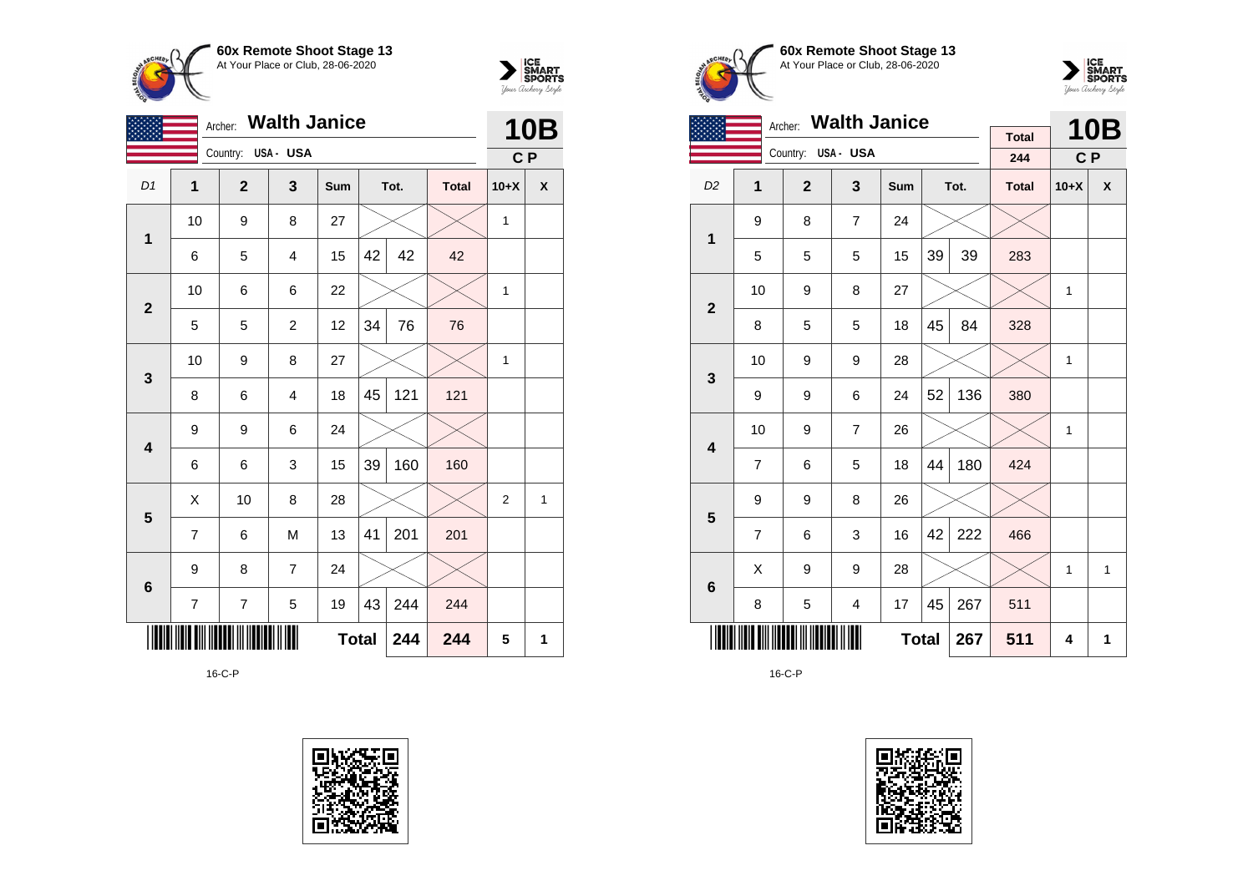



|                | <b>Walth Janice</b><br>Archer:<br>Country: USA - USA<br>D1<br>1<br>$\mathbf{2}$<br>3<br>Tot.<br><b>Total</b><br>Sum<br>10<br>9<br>8<br>27<br>1<br>42<br>42<br>42<br>15<br>5<br>$\overline{4}$<br>6<br>10<br>6<br>6<br>22<br>$\mathbf{2}$<br>34<br>12<br>76<br>76<br>5<br>5<br>$\overline{c}$<br>10<br>9<br>8<br>27<br>$\mathbf{3}$<br>121<br>45<br>121<br>8<br>18<br>6<br>$\overline{4}$<br>9<br>9<br>6<br>24<br>$\overline{\mathbf{4}}$ |                |                |              |    |     |     |                |   |  |
|----------------|------------------------------------------------------------------------------------------------------------------------------------------------------------------------------------------------------------------------------------------------------------------------------------------------------------------------------------------------------------------------------------------------------------------------------------------|----------------|----------------|--------------|----|-----|-----|----------------|---|--|
|                |                                                                                                                                                                                                                                                                                                                                                                                                                                          |                |                |              |    |     |     | C P            |   |  |
|                |                                                                                                                                                                                                                                                                                                                                                                                                                                          |                |                |              |    |     |     | $10+X$         | X |  |
|                |                                                                                                                                                                                                                                                                                                                                                                                                                                          |                |                |              |    |     |     | $\mathbf{1}$   |   |  |
|                |                                                                                                                                                                                                                                                                                                                                                                                                                                          |                |                |              |    |     |     |                |   |  |
|                |                                                                                                                                                                                                                                                                                                                                                                                                                                          |                |                |              |    |     |     | $\mathbf{1}$   |   |  |
|                |                                                                                                                                                                                                                                                                                                                                                                                                                                          |                |                |              |    |     |     |                |   |  |
|                |                                                                                                                                                                                                                                                                                                                                                                                                                                          |                |                |              |    |     |     | $\mathbf{1}$   |   |  |
|                |                                                                                                                                                                                                                                                                                                                                                                                                                                          |                |                |              |    |     |     |                |   |  |
|                |                                                                                                                                                                                                                                                                                                                                                                                                                                          |                |                |              |    |     |     |                |   |  |
|                | 6                                                                                                                                                                                                                                                                                                                                                                                                                                        | 6              | 3              | 15           | 39 | 160 | 160 |                |   |  |
| $5\phantom{1}$ | Χ                                                                                                                                                                                                                                                                                                                                                                                                                                        | 10             | 8              | 28           |    |     |     | $\overline{2}$ | 1 |  |
|                | $\overline{7}$                                                                                                                                                                                                                                                                                                                                                                                                                           | 6              | M              | 13           | 41 | 201 | 201 |                |   |  |
| $\bf 6$        | 9                                                                                                                                                                                                                                                                                                                                                                                                                                        | 8              | $\overline{7}$ | 24           |    |     |     |                |   |  |
|                | 7                                                                                                                                                                                                                                                                                                                                                                                                                                        | $\overline{7}$ | 5              | 19           | 43 | 244 | 244 |                |   |  |
|                |                                                                                                                                                                                                                                                                                                                                                                                                                                          |                |                | <b>Total</b> |    | 244 | 244 | 5              | 1 |  |

16-C-P







|                         |                | Archer:            | <b>Walth Janice</b> |              |    |      | <b>Total</b> |              | <b>10B</b> |
|-------------------------|----------------|--------------------|---------------------|--------------|----|------|--------------|--------------|------------|
|                         |                | Country: USA - USA |                     |              |    |      | 244          | C P          |            |
| D <sub>2</sub>          | 1              | $\overline{2}$     | 3                   | Sum          |    | Tot. | <b>Total</b> | $10+X$       | X          |
| 1                       | 9              | 8                  | $\overline{7}$      | 24           |    |      |              |              |            |
|                         | 5              | 5                  | 5                   | 15           | 39 | 39   | 283          |              |            |
| $\mathbf{2}$            | 10             | 9                  | 8                   | 27           |    |      |              | $\mathbf{1}$ |            |
|                         | 8              | 5                  | 5                   | 18           | 45 | 84   | 328          |              |            |
| 3                       | 10             | 9                  | 9                   | 28           |    |      |              | $\mathbf{1}$ |            |
|                         | 9              | 9                  | 6                   | 24           | 52 | 136  | 380          |              |            |
| $\overline{\mathbf{4}}$ | 10             | 9                  | $\overline{7}$      | 26           |    |      |              | $\mathbf{1}$ |            |
|                         | $\overline{7}$ | 6                  | 5                   | 18           | 44 | 180  | 424          |              |            |
| 5                       | 9              | 9                  | 8                   | 26           |    |      |              |              |            |
|                         | $\overline{7}$ | 6                  | 3                   | 16           | 42 | 222  | 466          |              |            |
| $6\phantom{1}$          | X              | 9                  | 9                   | 28           |    |      |              | 1            | 1          |
|                         | 8              | 5                  | 4                   | 17           | 45 | 267  | 511          |              |            |
|                         |                |                    |                     | <b>Total</b> |    | 267  | 511          | 4            | 1          |

16-C-P

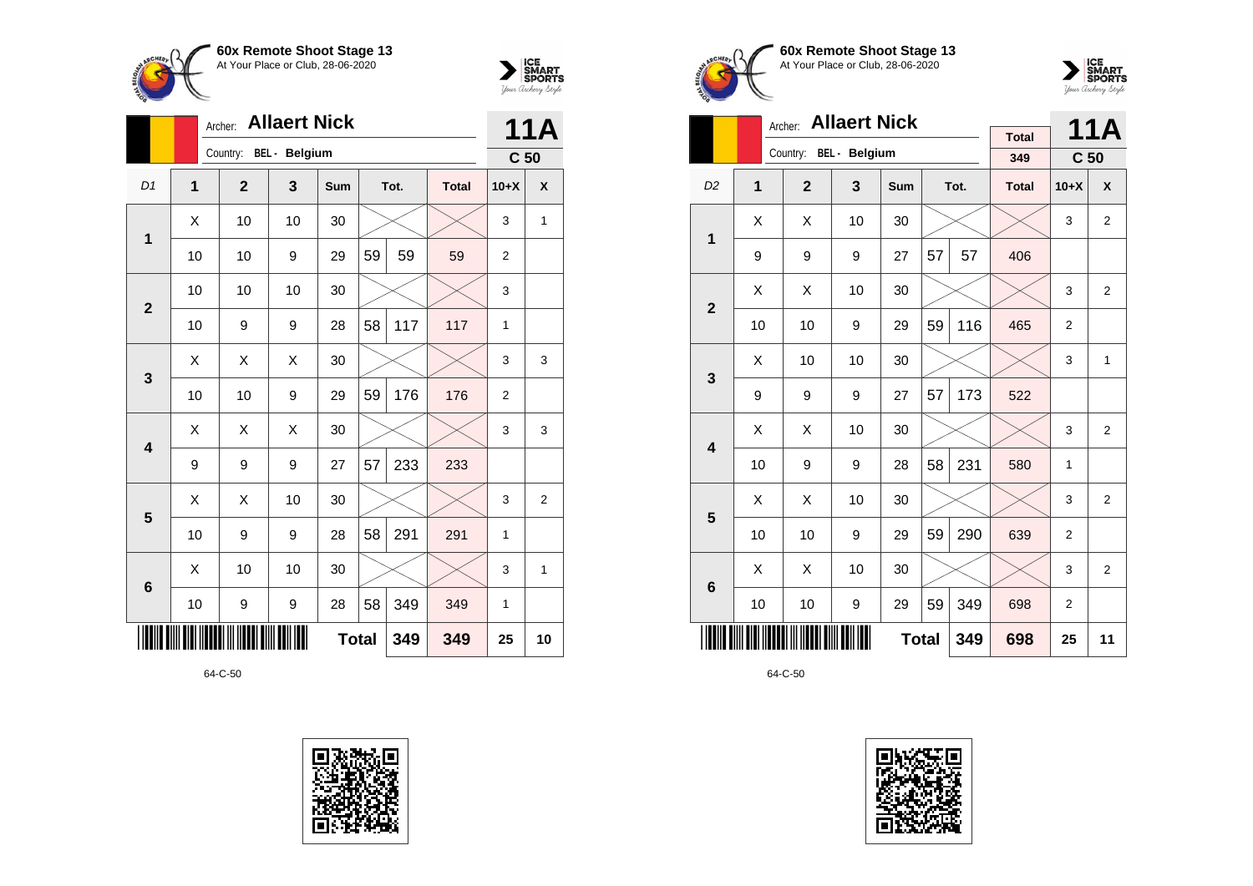



|                 |                | <b>Allaert Nick</b><br>Archer: |    |              |    |      |              |                 |                  |  |  |
|-----------------|----------------|--------------------------------|----|--------------|----|------|--------------|-----------------|------------------|--|--|
|                 |                | Country: BEL - Belgium         |    |              |    |      |              | C <sub>50</sub> |                  |  |  |
| D <sub>1</sub>  | $\overline{1}$ | $\mathbf{2}$                   | 3  | <b>Sum</b>   |    | Tot. | <b>Total</b> | $10+X$          | $\boldsymbol{x}$ |  |  |
| 1               | X              | 10                             | 10 | 30           |    |      |              | 3               | 1                |  |  |
|                 | 10             | 10                             | 9  | 29           | 59 | 59   | 59           | $\overline{2}$  |                  |  |  |
| $\overline{2}$  | 10             | 10                             | 10 | 30           |    |      |              | 3               |                  |  |  |
|                 | 10             | 9                              | 9  | 28           | 58 | 117  | 117          | 1               |                  |  |  |
| 3               | X              | Χ                              | X  | 30           |    |      |              | 3               | 3                |  |  |
|                 | 10             | 10                             | 9  | 29           | 59 | 176  | 176          | $\overline{2}$  |                  |  |  |
| 4               | Χ              | X                              | Χ  | 30           |    |      |              | 3               | 3                |  |  |
|                 | 9              | 9                              | 9  | 27           | 57 | 233  | 233          |                 |                  |  |  |
| 5               | Χ              | X                              | 10 | 30           |    |      |              | 3               | 2                |  |  |
|                 | 10             | 9                              | 9  | 28           | 58 | 291  | 291          | $\mathbf{1}$    |                  |  |  |
| $6\phantom{1}6$ | X              | 10                             | 10 | 30           |    |      |              | 3               | 1                |  |  |
|                 | 10             | 9                              | 9  | 28           | 58 | 349  | 349          | 1               |                  |  |  |
|                 |                |                                |    | <b>Total</b> |    | 349  | 349          | 25              | 10               |  |  |







 $\sum_{\text{Jour }\text{Cuchery }\text{StyR}}\begin{matrix}\n\text{ICE} \\
\text{SDORTS} \\
\text{Jour }\text{Cuchery }\text{Sty}/\text{C}\n\end{matrix}$ 

|                         |    | <b>Allaert Nick</b><br>Archer: |    |              |    | 11A  |              |                 |                |
|-------------------------|----|--------------------------------|----|--------------|----|------|--------------|-----------------|----------------|
|                         |    | Country: BEL - Belgium         |    |              |    |      | <b>Total</b> |                 |                |
|                         |    |                                |    |              |    |      | 349          | C <sub>50</sub> |                |
| D <sub>2</sub>          | 1  | $\overline{2}$                 | 3  | <b>Sum</b>   |    | Tot. | <b>Total</b> | $10+X$          | X              |
| 1                       | X  | X                              | 10 | 30           |    |      |              | 3               | 2              |
|                         | 9  | 9                              | 9  | 27           | 57 | 57   | 406          |                 |                |
| $\overline{2}$          | X  | X                              | 10 | 30           |    |      |              | 3               | $\overline{2}$ |
|                         | 10 | 10                             | 9  | 29           | 59 | 116  | 465          | $\overline{2}$  |                |
| 3                       | X  | 10                             | 10 | 30           |    |      |              | 3               | 1              |
|                         | 9  | 9                              | 9  | 27           | 57 | 173  | 522          |                 |                |
| $\overline{\mathbf{A}}$ | Χ  | Χ                              | 10 | 30           |    |      |              | 3               | $\overline{2}$ |
|                         | 10 | 9                              | 9  | 28           | 58 | 231  | 580          | 1               |                |
| 5                       | X  | Χ                              | 10 | 30           |    |      |              | 3               | $\overline{2}$ |
|                         | 10 | 10                             | 9  | 29           | 59 | 290  | 639          | $\overline{2}$  |                |
| 6                       | X  | X                              | 10 | 30           |    |      |              | 3               | $\overline{2}$ |
|                         | 10 | 10                             | 9  | 29           | 59 | 349  | 698          | 2               |                |
|                         |    |                                |    | <b>Total</b> |    | 349  | 698          | 25              | 11             |

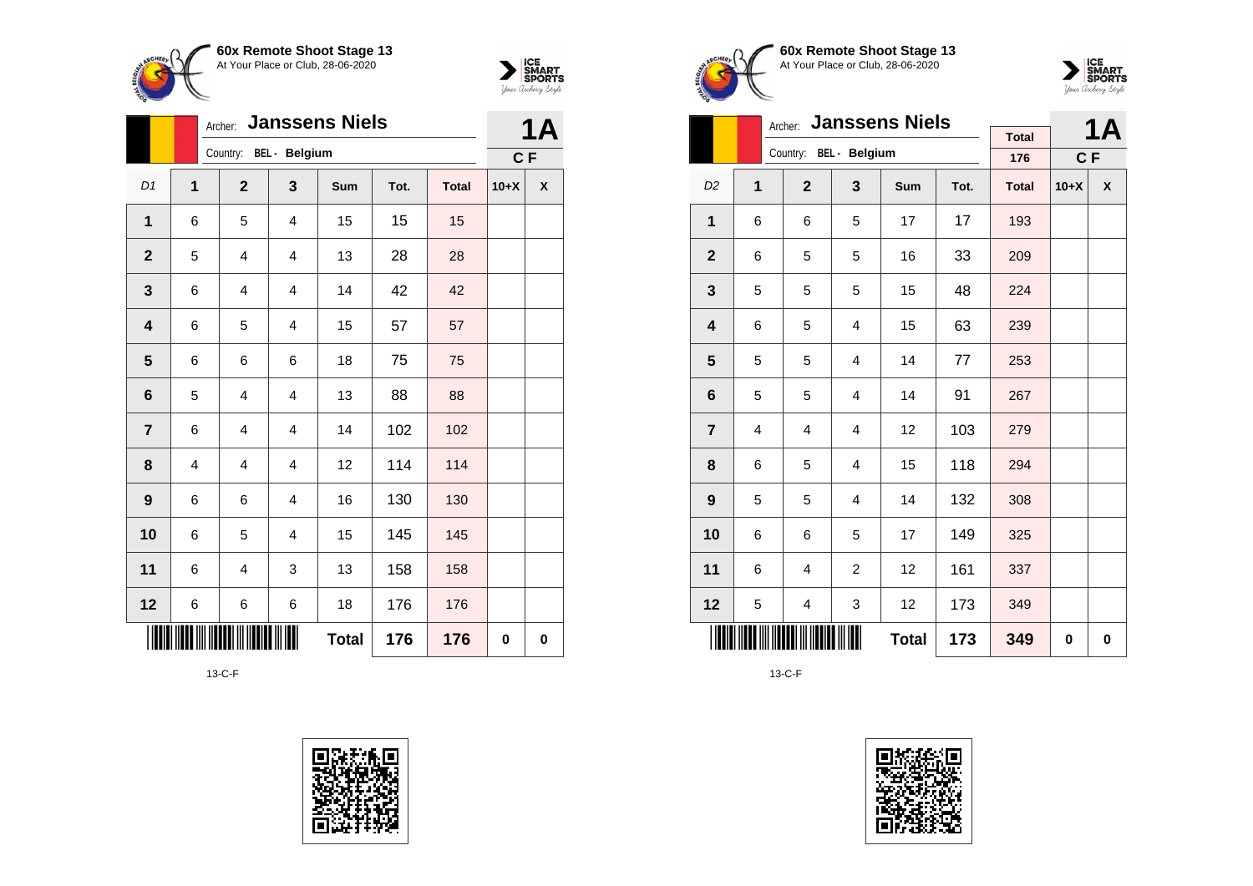



|                         |                | <b>Janssens Niels</b><br>Archer: |                         |              | 1Α   |              |        |   |
|-------------------------|----------------|----------------------------------|-------------------------|--------------|------|--------------|--------|---|
|                         |                | Country: BEL - Belgium           |                         |              |      |              | C F    |   |
| D1                      | $\overline{1}$ | $\overline{2}$                   | $\mathbf{3}$            | Sum          | Tot. | <b>Total</b> | $10+X$ | X |
| 1                       | 6              | 5                                | $\overline{4}$          | 15           | 15   | 15           |        |   |
| $\mathbf 2$             | 5              | $\overline{4}$                   | 4                       | 13           | 28   | 28           |        |   |
| 3                       | 6              | $\overline{4}$                   | $\overline{\mathbf{4}}$ | 14           | 42   | 42           |        |   |
| 4                       | 6              | 5                                | $\overline{4}$          | 15           | 57   | 57           |        |   |
| $\overline{\mathbf{5}}$ | 6              | 6                                | 6                       | 18           | 75   | 75           |        |   |
| 6                       | 5              | $\overline{4}$                   | $\overline{4}$          | 13           | 88   | 88           |        |   |
| $\overline{7}$          | 6              | $\overline{4}$                   | 4                       | 14           | 102  | 102          |        |   |
| 8                       | 4              | 4                                | $\overline{4}$          | 12           | 114  | 114          |        |   |
| $\boldsymbol{9}$        | 6              | 6                                | $\overline{4}$          | 16           | 130  | 130          |        |   |
| 10                      | 6              | 5                                | 4                       | 15           | 145  | 145          |        |   |
| 11                      | 6              | $\overline{\mathbf{4}}$          | 3                       | 13           | 158  | 158          |        |   |
| 12                      | 6              | 6                                | 6                       | 18           | 176  | 176          |        |   |
|                         |                |                                  |                         | <b>Total</b> | 176  | 176          | 0      | 0 |









|                |   | <b>Janssens Niels</b><br>Archer: |                         |              |      | <b>1A</b>           |        |   |
|----------------|---|----------------------------------|-------------------------|--------------|------|---------------------|--------|---|
|                |   | Country: BEL - Belgium           |                         |              |      | <b>Total</b><br>176 | $C$ F  |   |
| D <sub>2</sub> | 1 | $\mathbf{2}$                     | 3                       | <b>Sum</b>   | Tot. | <b>Total</b>        | $10+X$ | X |
|                |   |                                  |                         |              |      |                     |        |   |
| 1              | 6 | 6                                | 5                       | 17           | 17   | 193                 |        |   |
| $\overline{2}$ | 6 | 5                                | 5                       | 16           | 33   | 209                 |        |   |
| 3              | 5 | 5                                | 5                       | 15           | 48   | 224                 |        |   |
| 4              | 6 | 5                                | 4                       | 15           | 63   | 239                 |        |   |
| 5              | 5 | 5                                | 4                       | 14           | 77   | 253                 |        |   |
| 6              | 5 | 5                                | 4                       | 14           | 91   | 267                 |        |   |
| $\overline{7}$ | 4 | $\overline{\mathbf{4}}$          | $\overline{\mathbf{4}}$ | 12           | 103  | 279                 |        |   |
| 8              | 6 | 5                                | 4                       | 15           | 118  | 294                 |        |   |
| 9              | 5 | 5                                | 4                       | 14           | 132  | 308                 |        |   |
| 10             | 6 | 6                                | 5                       | 17           | 149  | 325                 |        |   |
| 11             | 6 | 4                                | $\overline{2}$          | 12           | 161  | 337                 |        |   |
| 12             | 5 | 4                                | 3                       | 12           | 173  | 349                 |        |   |
|                |   |                                  |                         | <b>Total</b> | 173  | 349                 | 0      | 0 |

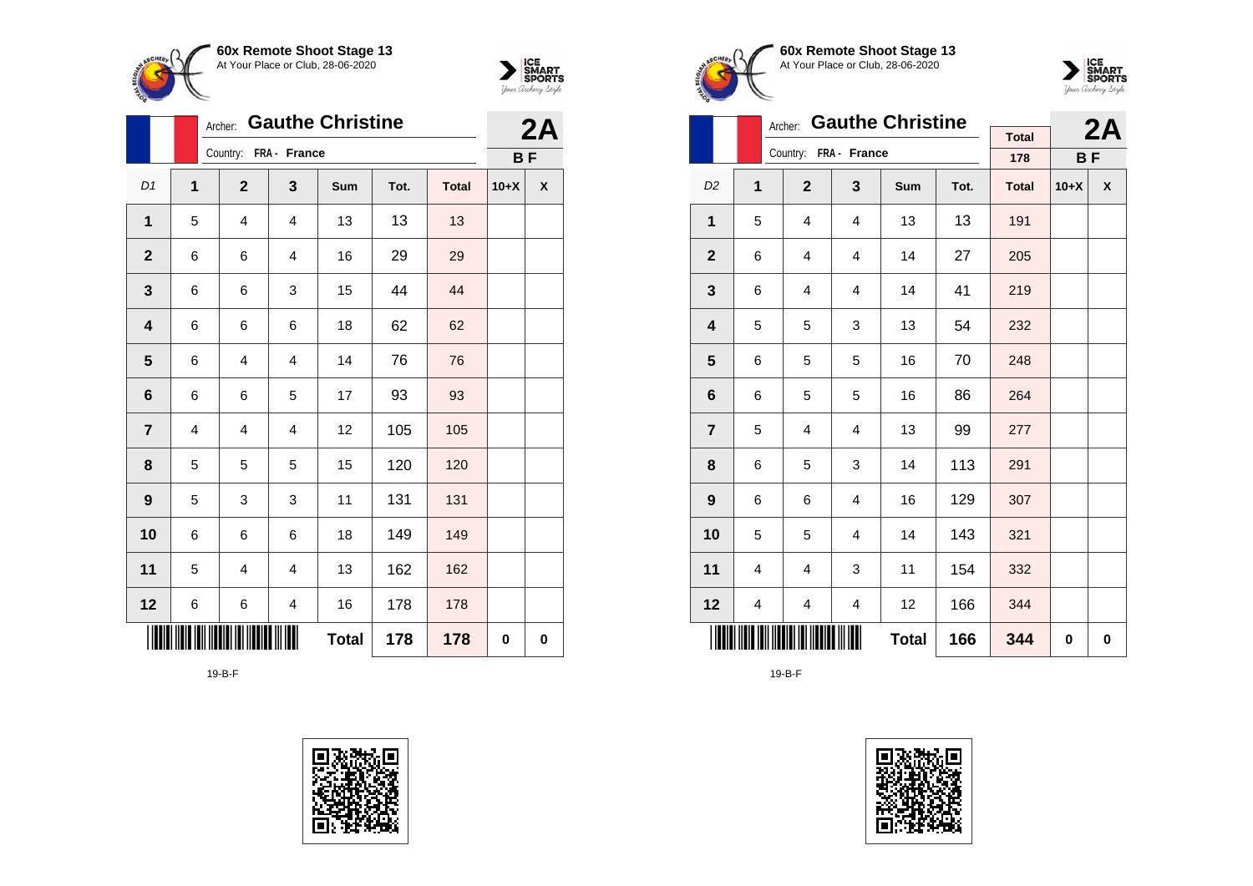



|                         |                | Archer:                 | <b>Gauthe Christine</b> |              |      |              |           |                  |  |  |  |  |
|-------------------------|----------------|-------------------------|-------------------------|--------------|------|--------------|-----------|------------------|--|--|--|--|
|                         |                | Country: FRA - France   |                         |              |      |              | <b>BF</b> |                  |  |  |  |  |
| D1                      | $\overline{1}$ | $\overline{2}$          | $\mathbf{3}$            | Sum          | Tot. | <b>Total</b> | $10+X$    | $\boldsymbol{x}$ |  |  |  |  |
| $\mathbf{1}$            | 5              | $\overline{4}$          | $\overline{4}$          | 13           | 13   | 13           |           |                  |  |  |  |  |
| $\mathbf 2$             | 6              | 6                       | $\overline{4}$          | 16           | 29   | 29           |           |                  |  |  |  |  |
| 3                       | 6              | 6                       | 3                       | 15           | 44   | 44           |           |                  |  |  |  |  |
| 4                       | 6              | 6                       | 6                       | 18           | 62   | 62           |           |                  |  |  |  |  |
| $\overline{\mathbf{5}}$ | 6              | $\overline{\mathbf{4}}$ | $\overline{\mathbf{4}}$ | 14           | 76   | 76           |           |                  |  |  |  |  |
| 6                       | 6              | 6                       | 5                       | 17           | 93   | 93           |           |                  |  |  |  |  |
| $\overline{7}$          | 4              | $\overline{4}$          | $\overline{4}$          | 12           | 105  | 105          |           |                  |  |  |  |  |
| 8                       | 5              | 5                       | 5                       | 15           | 120  | 120          |           |                  |  |  |  |  |
| $\boldsymbol{9}$        | 5              | 3                       | 3                       | 11           | 131  | 131          |           |                  |  |  |  |  |
| 10                      | 6              | 6                       | 6                       | 18           | 149  | 149          |           |                  |  |  |  |  |
| 11                      | 5              | $\overline{4}$          | $\overline{4}$          | 13           | 162  | 162          |           |                  |  |  |  |  |
| 12                      | 6              | 6                       | 4                       | 16           | 178  | 178          |           |                  |  |  |  |  |
|                         |                |                         |                         | <b>Total</b> | 178  | 178          | 0         | 0                |  |  |  |  |









|                  |   | Archer:                 | <b>Gauthe Christine</b> |              |      |                     | 2A        |   |
|------------------|---|-------------------------|-------------------------|--------------|------|---------------------|-----------|---|
|                  |   | Country: FRA - France   |                         |              |      | <b>Total</b><br>178 | <b>BF</b> |   |
|                  |   |                         |                         |              |      |                     |           |   |
| D <sub>2</sub>   | 1 | $\mathbf{2}$            | 3                       | Sum          | Tot. | <b>Total</b>        | $10+X$    | X |
| $\mathbf{1}$     | 5 | 4                       | $\overline{4}$          | 13           | 13   | 191                 |           |   |
| $\mathbf{2}$     | 6 | 4                       | 4                       | 14           | 27   | 205                 |           |   |
| 3                | 6 | 4                       | 4                       | 14           | 41   | 219                 |           |   |
| 4                | 5 | 5                       | 3                       | 13           | 54   | 232                 |           |   |
| 5                | 6 | 5                       | 5                       | 16           | 70   | 248                 |           |   |
| 6                | 6 | 5                       | 5                       | 16           | 86   | 264                 |           |   |
| $\overline{7}$   | 5 | $\overline{\mathbf{4}}$ | $\overline{\mathbf{4}}$ | 13           | 99   | 277                 |           |   |
| 8                | 6 | 5                       | 3                       | 14           | 113  | 291                 |           |   |
| $\boldsymbol{9}$ | 6 | 6                       | 4                       | 16           | 129  | 307                 |           |   |
| 10               | 5 | 5                       | 4                       | 14           | 143  | 321                 |           |   |
| 11               | 4 | 4                       | 3                       | 11           | 154  | 332                 |           |   |
| 12               | 4 | 4                       | 4                       | 12           | 166  | 344                 |           |   |
|                  |   |                         |                         | <b>Total</b> | 166  | 344                 | 0         | 0 |

19-B-F

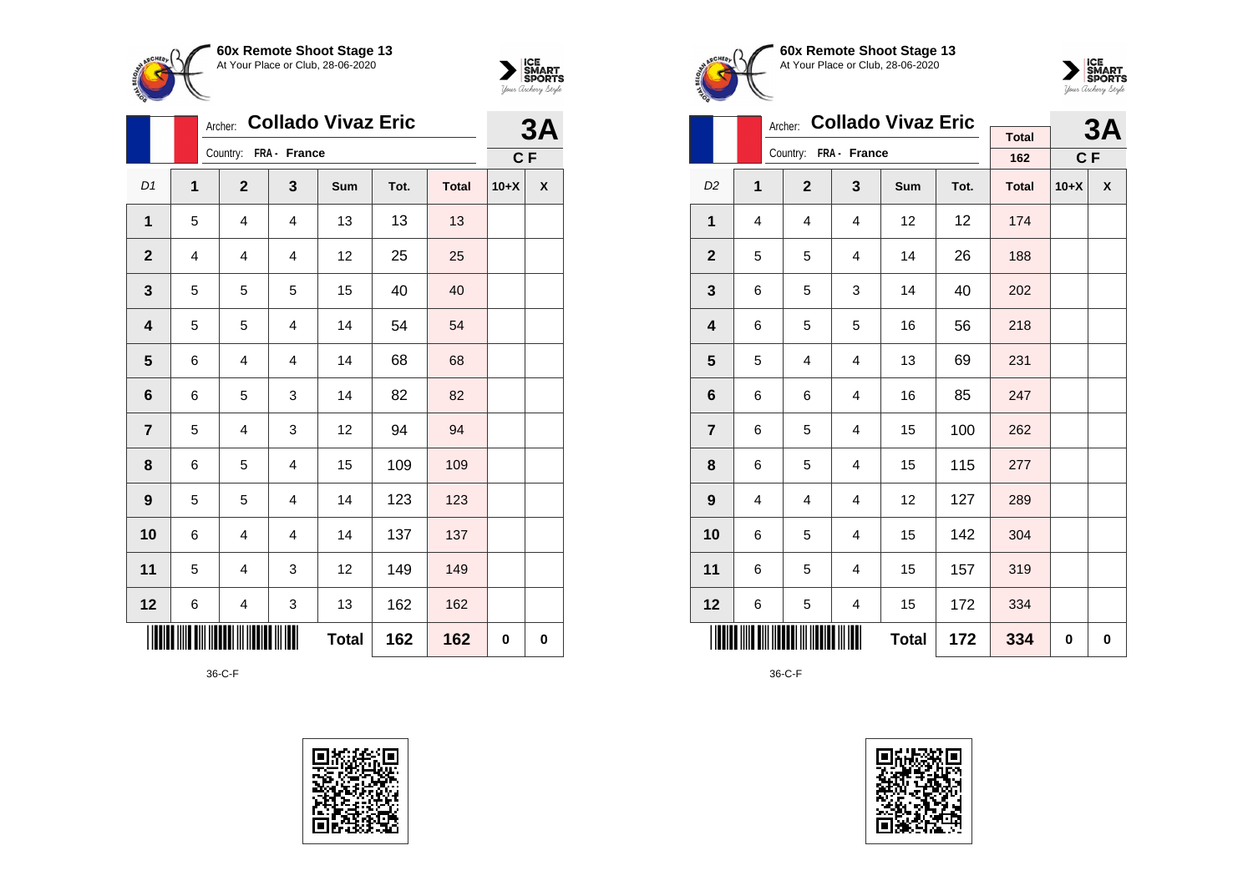



|                         |   | Archer:                 |                         | <b>Collado Vivaz Eric</b> |      |              |        | 3A |
|-------------------------|---|-------------------------|-------------------------|---------------------------|------|--------------|--------|----|
|                         |   | Country: FRA - France   |                         |                           |      |              | C F    |    |
| D1                      | 1 | $\mathbf{2}$            | 3                       | Sum                       | Tot. | <b>Total</b> | $10+X$ | X  |
| $\mathbf{1}$            | 5 | $\overline{4}$          | $\overline{4}$          | 13                        | 13   | 13           |        |    |
| $\mathbf 2$             | 4 | 4                       | 4                       | 12                        | 25   | 25           |        |    |
| $\mathbf{3}$            | 5 | 5                       | 5                       | 15                        | 40   | 40           |        |    |
| 4                       | 5 | 5                       | $\overline{\mathbf{4}}$ | 14                        | 54   | 54           |        |    |
| $\overline{\mathbf{5}}$ | 6 | 4                       | 4                       | 14                        | 68   | 68           |        |    |
| 6                       | 6 | 5                       | 3                       | 14                        | 82   | 82           |        |    |
| $\overline{7}$          | 5 | 4                       | 3                       | 12                        | 94   | 94           |        |    |
| 8                       | 6 | 5                       | $\overline{4}$          | 15                        | 109  | 109          |        |    |
| $\boldsymbol{9}$        | 5 | 5                       | 4                       | 14                        | 123  | 123          |        |    |
| 10                      | 6 | $\overline{\mathbf{4}}$ | $\overline{\mathbf{4}}$ | 14                        | 137  | 137          |        |    |
| 11                      | 5 | 4                       | 3                       | 12                        | 149  | 149          |        |    |
| 12                      | 6 | 4                       | 3                       | 13                        | 162  | 162          |        |    |
|                         |   |                         |                         | <b>Total</b>              | 162  | 162          | 0      | 0  |







|                | Archer:        |                       |                | 3A           |      |              |        |                    |
|----------------|----------------|-----------------------|----------------|--------------|------|--------------|--------|--------------------|
|                |                | Country: FRA - France | <b>Total</b>   |              |      |              |        |                    |
|                |                |                       |                |              |      | 162          | $C$ F  |                    |
| D <sub>2</sub> | 1              | $\overline{2}$        | 3              | <b>Sum</b>   | Tot. | <b>Total</b> | $10+X$ | $\pmb{\mathsf{X}}$ |
| $\mathbf{1}$   | 4              | 4                     | 4              | 12           | 12   | 174          |        |                    |
| $\mathbf{2}$   | 5              | 5                     | 4              | 14           | 26   | 188          |        |                    |
| 3              | 6              | 5                     | 3              | 14           | 40   | 202          |        |                    |
| 4              | 6              | 5                     | 5              | 16           | 56   | 218          |        |                    |
| 5              | 5              | 4                     | $\overline{4}$ | 13           | 69   | 231          |        |                    |
| 6              | 6              | 6                     | $\overline{4}$ | 16           | 85   | 247          |        |                    |
| $\overline{7}$ | 6              | 5                     | 4              | 15           | 100  | 262          |        |                    |
| 8              | 6              | 5                     | 4              | 15           | 115  | 277          |        |                    |
| 9              | $\overline{4}$ | 4                     | $\overline{4}$ | 12           | 127  | 289          |        |                    |
| 10             | 6              | 5                     | $\overline{4}$ | 15           | 142  | 304          |        |                    |
| 11             | 6              | 5                     | 4              | 15           | 157  | 319          |        |                    |
| 12             | 6              | 5                     | 4              | 15           | 172  | 334          |        |                    |
|                |                |                       |                | <b>Total</b> | 172  | 334          | 0      | 0                  |

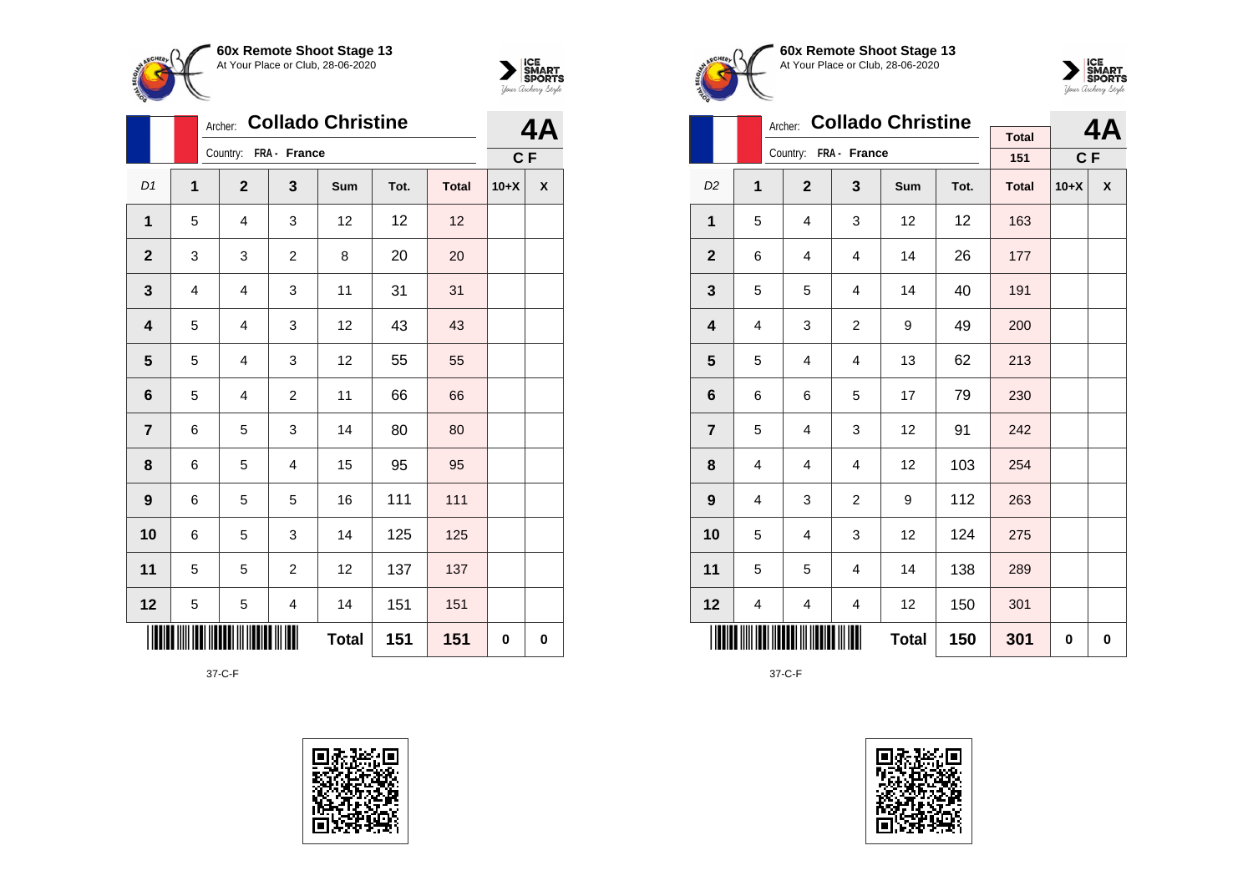



|                         |             | Archer: Collado Christine | 4,                    |              |      |              |        |   |  |
|-------------------------|-------------|---------------------------|-----------------------|--------------|------|--------------|--------|---|--|
|                         |             |                           | Country: FRA - France |              |      |              |        |   |  |
| D1                      | $\mathbf 1$ | $\mathbf{2}$              | 3                     | Sum          | Tot. | <b>Total</b> | $10+X$ | X |  |
| 1                       | 5           | 4                         | 3                     | 12           | 12   | 12           |        |   |  |
| $\mathbf{2}$            | 3           | 3                         | $\overline{c}$        | 8            | 20   | 20           |        |   |  |
| $\mathbf{3}$            | 4           | 4                         | 3                     | 11           | 31   | 31           |        |   |  |
| $\overline{\mathbf{4}}$ | 5           | 4                         | 3                     | 12           | 43   | 43           |        |   |  |
| $\overline{\mathbf{5}}$ | 5           | 4                         | 3                     | 12           | 55   | 55           |        |   |  |
| $6\phantom{1}6$         | 5           | 4                         | $\overline{c}$        | 11           | 66   | 66           |        |   |  |
| $\overline{7}$          | 6           | 5                         | 3                     | 14           | 80   | 80           |        |   |  |
| 8                       | 6           | 5                         | 4                     | 15           | 95   | 95           |        |   |  |
| $\boldsymbol{9}$        | 6           | 5                         | 5                     | 16           | 111  | 111          |        |   |  |
| 10                      | 6           | 5                         | 3                     | 14           | 125  | 125          |        |   |  |
| 11                      | 5           | 5                         | $\overline{c}$        | 12           | 137  | 137          |        |   |  |
| 12                      | 5           | 5                         | 4                     | 14           | 151  | 151          |        |   |  |
|                         |             |                           |                       | <b>Total</b> | 151  | 151          | 0      | 0 |  |







|                         |   | Archer:               |                | <b>Collado Christine</b> |      | <b>Total</b>        |        | 4Α                 |
|-------------------------|---|-----------------------|----------------|--------------------------|------|---------------------|--------|--------------------|
|                         |   | Country: FRA - France |                |                          |      |                     | C F    |                    |
| D <sub>2</sub>          | 1 | $\overline{2}$        | 3              | Sum                      | Tot. | 151<br><b>Total</b> | $10+X$ | $\pmb{\mathsf{X}}$ |
| 1                       | 5 | 4                     | 3              | 12                       | 12   | 163                 |        |                    |
| $\mathbf 2$             | 6 | 4                     | 4              | 14                       | 26   | 177                 |        |                    |
| 3                       | 5 | 5                     | 4              | 14                       | 40   | 191                 |        |                    |
| $\overline{\mathbf{4}}$ | 4 | 3                     | $\overline{2}$ | 9                        | 49   | 200                 |        |                    |
| 5                       | 5 | 4                     | 4              | 13                       | 62   | 213                 |        |                    |
| 6                       | 6 | 6                     | 5              | 17                       | 79   | 230                 |        |                    |
| $\overline{7}$          | 5 | 4                     | 3              | 12                       | 91   | 242                 |        |                    |
| 8                       | 4 | $\overline{4}$        | $\overline{4}$ | 12                       | 103  | 254                 |        |                    |
| 9                       | 4 | 3                     | $\overline{c}$ | 9                        | 112  | 263                 |        |                    |
| 10                      | 5 | $\overline{4}$        | 3              | 12                       | 124  | 275                 |        |                    |
| 11                      | 5 | 5                     | $\overline{4}$ | 14                       | 138  | 289                 |        |                    |
| 12                      | 4 | 4                     | 4              | 12                       | 150  | 301                 |        |                    |
|                         |   |                       |                | <b>Total</b>             | 150  | 301                 | 0      | 0                  |

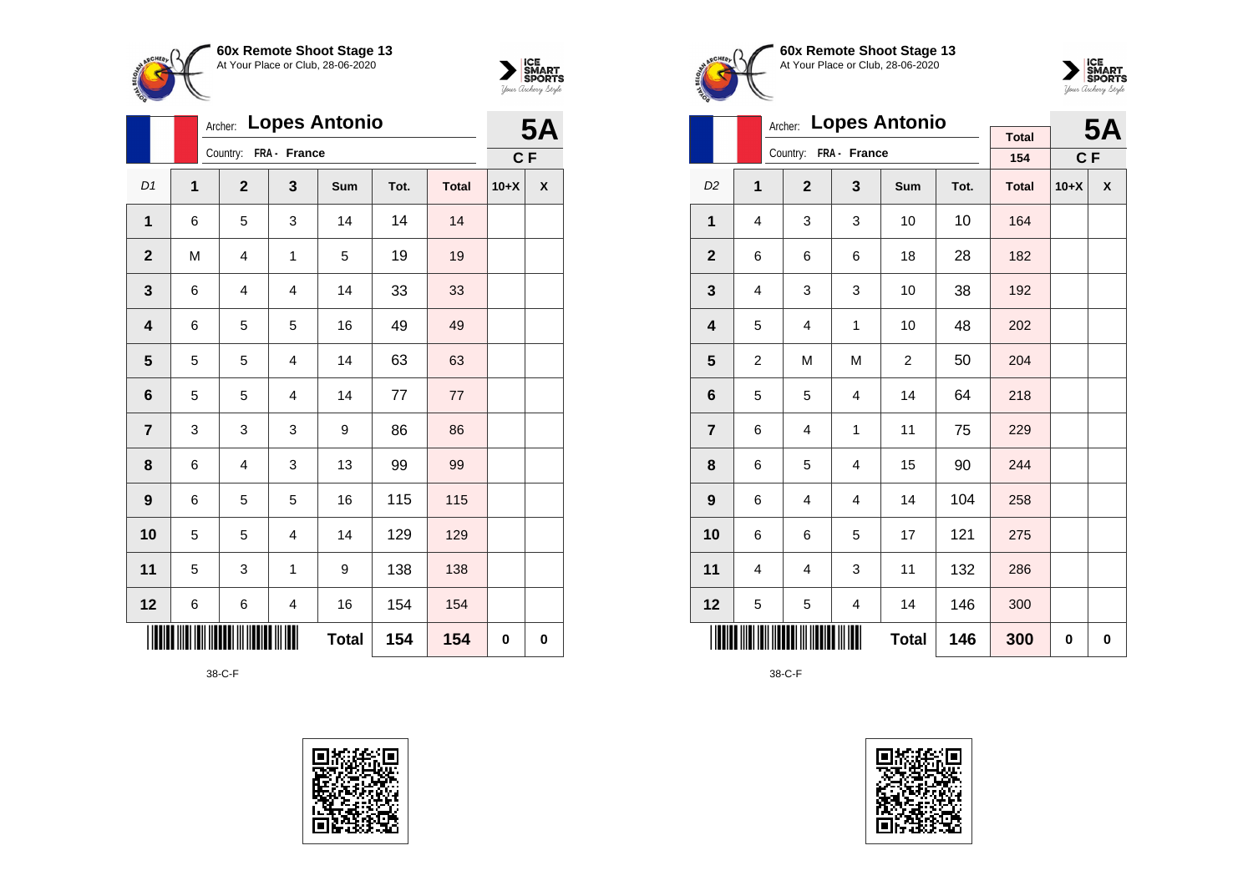



|                         | Archer: Lopes Antonio |                         |                         |              |      |              |        | <b>5A</b> |  |
|-------------------------|-----------------------|-------------------------|-------------------------|--------------|------|--------------|--------|-----------|--|
|                         |                       | Country: FRA - France   |                         |              |      |              |        |           |  |
| D1                      | $\mathbf{1}$          | $\mathbf{2}$            | 3                       | Sum          | Tot. | <b>Total</b> | $10+X$ | χ         |  |
| 1                       | 6                     | 5                       | 3                       | 14           | 14   | 14           |        |           |  |
| $\mathbf{2}$            | M                     | $\overline{4}$          | 1                       | 5            | 19   | 19           |        |           |  |
| $\mathbf{3}$            | 6                     | $\overline{\mathbf{4}}$ | $\overline{\mathbf{4}}$ | 14           | 33   | 33           |        |           |  |
| $\overline{\mathbf{4}}$ | 6                     | 5                       | 5                       | 16           | 49   | 49           |        |           |  |
| 5                       | 5                     | 5                       | $\overline{\mathbf{4}}$ | 14           | 63   | 63           |        |           |  |
| 6                       | 5                     | 5                       | $\overline{4}$          | 14           | 77   | $77 \,$      |        |           |  |
| $\overline{\mathbf{7}}$ | 3                     | 3                       | 3                       | 9            | 86   | 86           |        |           |  |
| 8                       | 6                     | $\overline{4}$          | 3                       | 13           | 99   | 99           |        |           |  |
| $\boldsymbol{9}$        | 6                     | 5                       | 5                       | 16           | 115  | 115          |        |           |  |
| 10                      | 5                     | 5                       | $\overline{\mathbf{4}}$ | 14           | 129  | 129          |        |           |  |
| 11                      | 5                     | 3                       | 1                       | 9            | 138  | 138          |        |           |  |
| 12                      | 6                     | 6                       | $\overline{\mathbf{4}}$ | 16           | 154  | 154          |        |           |  |
|                         |                       |                         |                         | <b>Total</b> | 154  | 154          | 0      | 0         |  |







|                         | Archer:        |                       |                         | <b>5A</b>      |      |                     |        |   |
|-------------------------|----------------|-----------------------|-------------------------|----------------|------|---------------------|--------|---|
|                         |                | Country: FRA - France |                         |                |      | <b>Total</b><br>154 | C F    |   |
| D <sub>2</sub>          | 1              | $\overline{2}$        | 3                       | Sum            | Tot. | <b>Total</b>        | $10+X$ | X |
| 1                       | 4              | 3                     | 3                       | 10             | 10   | 164                 |        |   |
| $\mathbf{2}$            | 6              | 6                     | 6                       | 18             | 28   | 182                 |        |   |
| 3                       | 4              | 3                     | 3                       | 10             | 38   | 192                 |        |   |
| $\overline{\mathbf{4}}$ | 5              | 4                     | 1                       | 10             | 48   | 202                 |        |   |
| 5                       | $\overline{2}$ | M                     | M                       | $\overline{2}$ | 50   | 204                 |        |   |
| 6                       | 5              | 5                     | 4                       | 14             | 64   | 218                 |        |   |
| $\overline{7}$          | 6              | 4                     | 1                       | 11             | 75   | 229                 |        |   |
| 8                       | 6              | 5                     | 4                       | 15             | 90   | 244                 |        |   |
| 9                       | 6              | 4                     | $\overline{\mathbf{4}}$ | 14             | 104  | 258                 |        |   |
| 10                      | 6              | 6                     | 5                       | 17             | 121  | 275                 |        |   |
| 11                      | 4              | 4                     | 3                       | 11             | 132  | 286                 |        |   |
| 12                      | 5              | 5                     | 4                       | 14             | 146  | 300                 |        |   |
|                         |                |                       |                         | <b>Total</b>   | 146  | 300                 | 0      | 0 |